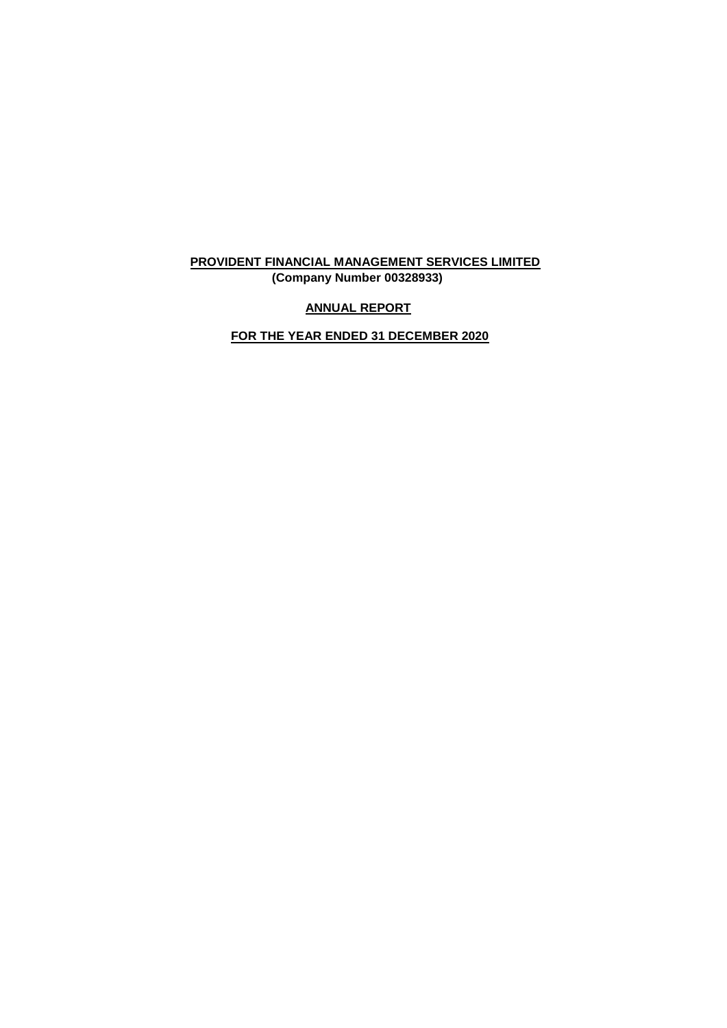# **ANNUAL REPORT**

# **FOR THE YEAR ENDED 31 DECEMBER 2020**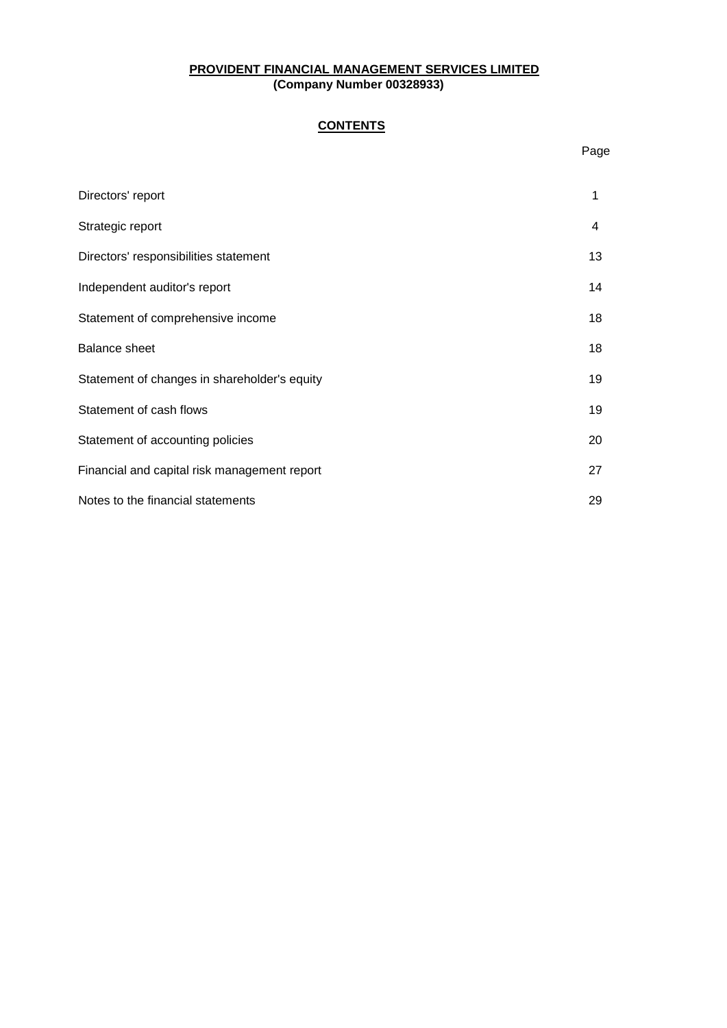Page

# **CONTENTS**

| Directors' report                            | 1  |
|----------------------------------------------|----|
| Strategic report                             | 4  |
| Directors' responsibilities statement        | 13 |
| Independent auditor's report                 | 14 |
| Statement of comprehensive income            | 18 |
| <b>Balance sheet</b>                         | 18 |
| Statement of changes in shareholder's equity | 19 |
| Statement of cash flows                      | 19 |
| Statement of accounting policies             | 20 |
| Financial and capital risk management report | 27 |
| Notes to the financial statements            | 29 |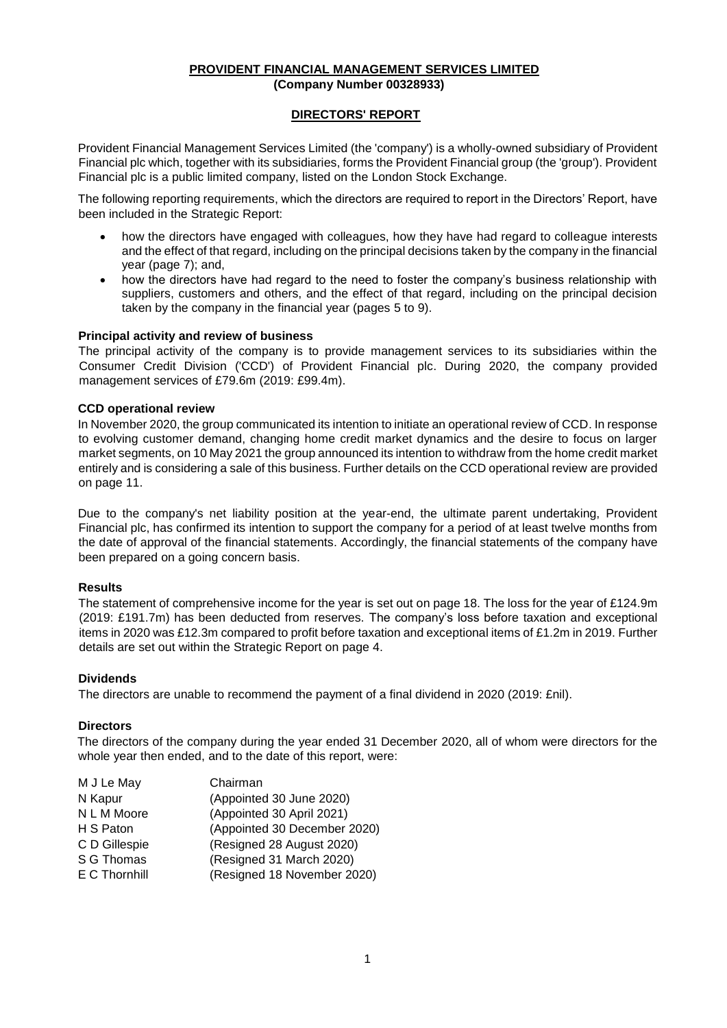# **DIRECTORS' REPORT**

Provident Financial Management Services Limited (the 'company') is a wholly-owned subsidiary of Provident Financial plc which, together with its subsidiaries, forms the Provident Financial group (the 'group'). Provident Financial plc is a public limited company, listed on the London Stock Exchange.

The following reporting requirements, which the directors are required to report in the Directors' Report, have been included in the Strategic Report:

- how the directors have engaged with colleagues, how they have had regard to colleague interests and the effect of that regard, including on the principal decisions taken by the company in the financial year (page 7); and,
- how the directors have had regard to the need to foster the company's business relationship with suppliers, customers and others, and the effect of that regard, including on the principal decision taken by the company in the financial year (pages 5 to 9).

#### **Principal activity and review of business**

The principal activity of the company is to provide management services to its subsidiaries within the Consumer Credit Division ('CCD') of Provident Financial plc. During 2020, the company provided management services of £79.6m (2019: £99.4m).

#### **CCD operational review**

In November 2020, the group communicated its intention to initiate an operational review of CCD. In response to evolving customer demand, changing home credit market dynamics and the desire to focus on larger market segments, on 10 May 2021 the group announced its intention to withdraw from the home credit market entirely and is considering a sale of this business. Further details on the CCD operational review are provided on page 11.

Due to the company's net liability position at the year-end, the ultimate parent undertaking, Provident Financial plc, has confirmed its intention to support the company for a period of at least twelve months from the date of approval of the financial statements. Accordingly, the financial statements of the company have been prepared on a going concern basis.

#### **Results**

The statement of comprehensive income for the year is set out on page 18. The loss for the year of £124.9m (2019: £191.7m) has been deducted from reserves. The company's loss before taxation and exceptional items in 2020 was £12.3m compared to profit before taxation and exceptional items of £1.2m in 2019. Further details are set out within the Strategic Report on page 4.

# **Dividends**

The directors are unable to recommend the payment of a final dividend in 2020 (2019: £nil).

#### **Directors**

The directors of the company during the year ended 31 December 2020, all of whom were directors for the whole year then ended, and to the date of this report, were:

| M J Le May    | Chairman                     |
|---------------|------------------------------|
| N Kapur       | (Appointed 30 June 2020)     |
| N L M Moore   | (Appointed 30 April 2021)    |
| H S Paton     | (Appointed 30 December 2020) |
| C D Gillespie | (Resigned 28 August 2020)    |
| S G Thomas    | (Resigned 31 March 2020)     |
| E C Thornhill | (Resigned 18 November 2020)  |
|               |                              |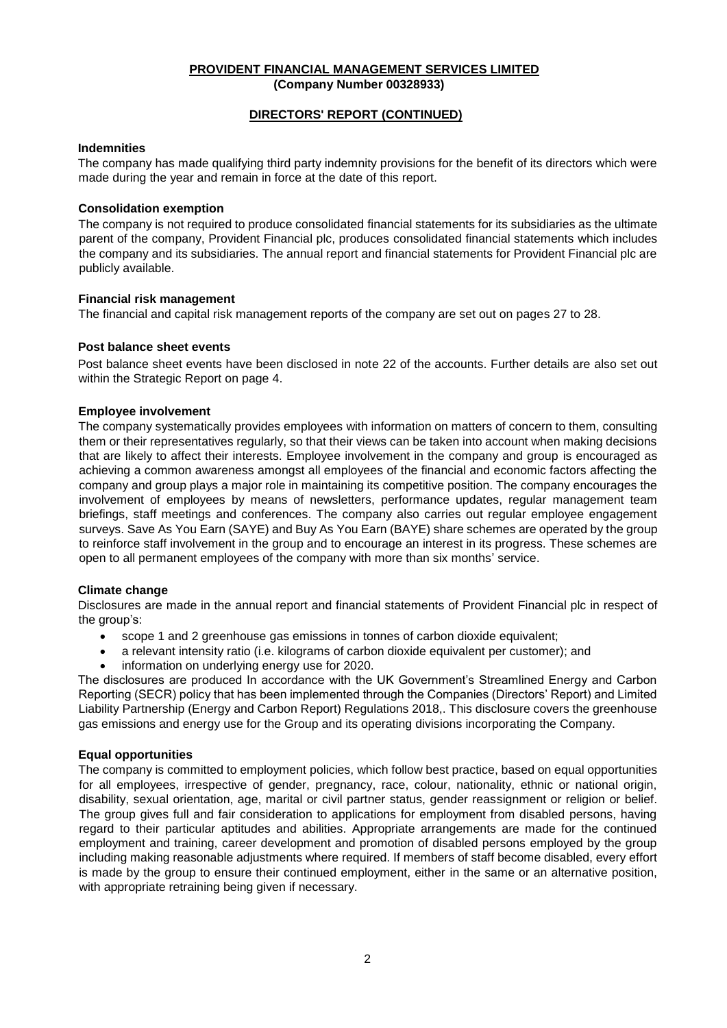# **DIRECTORS' REPORT (CONTINUED)**

#### **Indemnities**

The company has made qualifying third party indemnity provisions for the benefit of its directors which were made during the year and remain in force at the date of this report.

#### **Consolidation exemption**

The company is not required to produce consolidated financial statements for its subsidiaries as the ultimate parent of the company, Provident Financial plc, produces consolidated financial statements which includes the company and its subsidiaries. The annual report and financial statements for Provident Financial plc are publicly available.

#### **Financial risk management**

The financial and capital risk management reports of the company are set out on pages 27 to 28.

#### **Post balance sheet events**

Post balance sheet events have been disclosed in note 22 of the accounts. Further details are also set out within the Strategic Report on page 4.

#### **Employee involvement**

The company systematically provides employees with information on matters of concern to them, consulting them or their representatives regularly, so that their views can be taken into account when making decisions that are likely to affect their interests. Employee involvement in the company and group is encouraged as achieving a common awareness amongst all employees of the financial and economic factors affecting the company and group plays a major role in maintaining its competitive position. The company encourages the involvement of employees by means of newsletters, performance updates, regular management team briefings, staff meetings and conferences. The company also carries out regular employee engagement surveys. Save As You Earn (SAYE) and Buy As You Earn (BAYE) share schemes are operated by the group to reinforce staff involvement in the group and to encourage an interest in its progress. These schemes are open to all permanent employees of the company with more than six months' service.

# **Climate change**

Disclosures are made in the annual report and financial statements of Provident Financial plc in respect of the group's:

- scope 1 and 2 greenhouse gas emissions in tonnes of carbon dioxide equivalent;
- a relevant intensity ratio (i.e. kilograms of carbon dioxide equivalent per customer); and
- information on underlying energy use for 2020.

The disclosures are produced In accordance with the UK Government's Streamlined Energy and Carbon Reporting (SECR) policy that has been implemented through the Companies (Directors' Report) and Limited Liability Partnership (Energy and Carbon Report) Regulations 2018,. This disclosure covers the greenhouse gas emissions and energy use for the Group and its operating divisions incorporating the Company.

# **Equal opportunities**

The company is committed to employment policies, which follow best practice, based on equal opportunities for all employees, irrespective of gender, pregnancy, race, colour, nationality, ethnic or national origin, disability, sexual orientation, age, marital or civil partner status, gender reassignment or religion or belief. The group gives full and fair consideration to applications for employment from disabled persons, having regard to their particular aptitudes and abilities. Appropriate arrangements are made for the continued employment and training, career development and promotion of disabled persons employed by the group including making reasonable adjustments where required. If members of staff become disabled, every effort is made by the group to ensure their continued employment, either in the same or an alternative position, with appropriate retraining being given if necessary.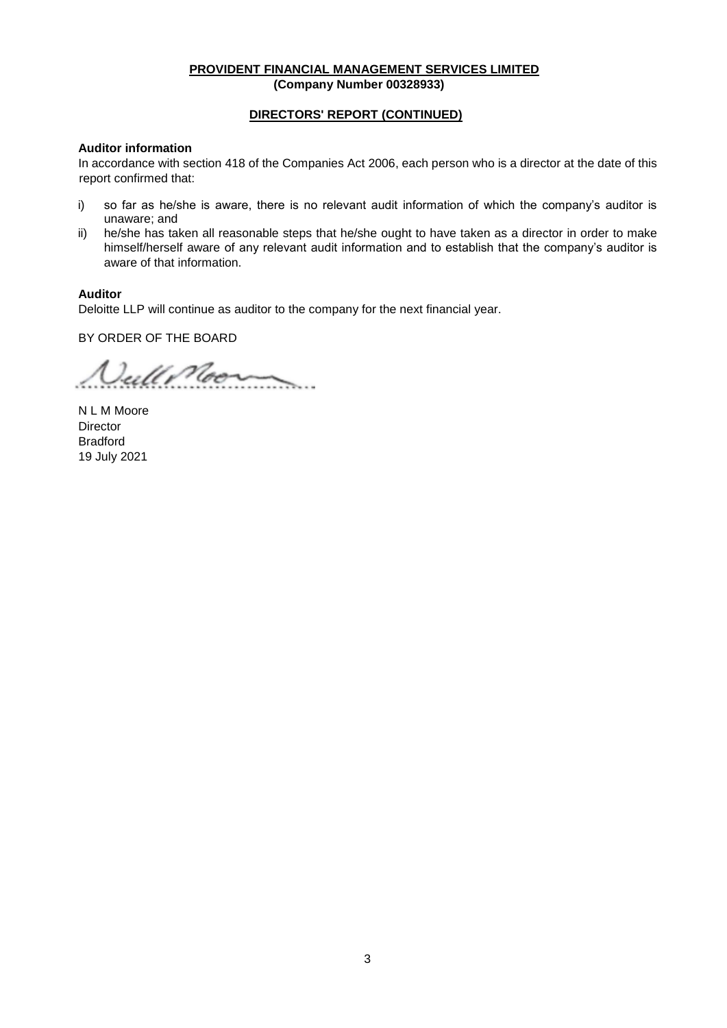# **DIRECTORS' REPORT (CONTINUED)**

#### **Auditor information**

In accordance with section 418 of the Companies Act 2006, each person who is a director at the date of this report confirmed that:

- i) so far as he/she is aware, there is no relevant audit information of which the company's auditor is unaware; and
- ii) he/she has taken all reasonable steps that he/she ought to have taken as a director in order to make himself/herself aware of any relevant audit information and to establish that the company's auditor is aware of that information.

# **Auditor**

Deloitte LLP will continue as auditor to the company for the next financial year.

BY ORDER OF THE BOARD

*<u>DulliMoon*</u>

N L M Moore **Director** Bradford 19 July 2021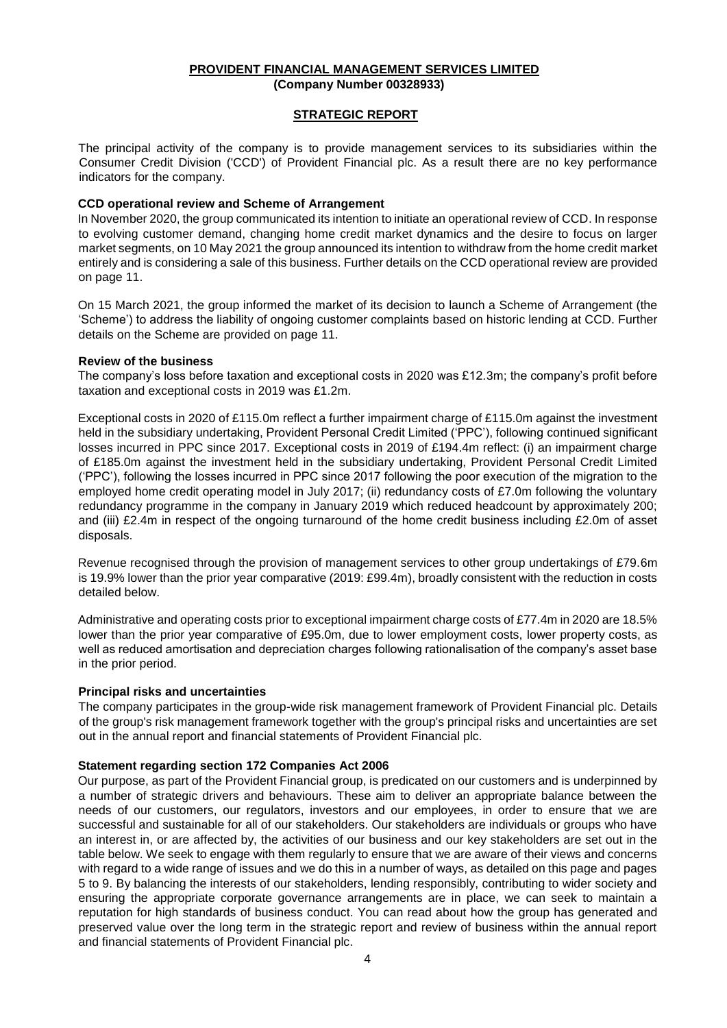# **STRATEGIC REPORT**

The principal activity of the company is to provide management services to its subsidiaries within the Consumer Credit Division ('CCD') of Provident Financial plc. As a result there are no key performance indicators for the company.

# **CCD operational review and Scheme of Arrangement**

In November 2020, the group communicated its intention to initiate an operational review of CCD. In response to evolving customer demand, changing home credit market dynamics and the desire to focus on larger market segments, on 10 May 2021 the group announced its intention to withdraw from the home credit market entirely and is considering a sale of this business. Further details on the CCD operational review are provided on page 11.

On 15 March 2021, the group informed the market of its decision to launch a Scheme of Arrangement (the 'Scheme') to address the liability of ongoing customer complaints based on historic lending at CCD. Further details on the Scheme are provided on page 11.

#### **Review of the business**

The company's loss before taxation and exceptional costs in 2020 was £12.3m; the company's profit before taxation and exceptional costs in 2019 was £1.2m.

Exceptional costs in 2020 of £115.0m reflect a further impairment charge of £115.0m against the investment held in the subsidiary undertaking, Provident Personal Credit Limited ('PPC'), following continued significant losses incurred in PPC since 2017. Exceptional costs in 2019 of £194.4m reflect: (i) an impairment charge of £185.0m against the investment held in the subsidiary undertaking, Provident Personal Credit Limited ('PPC'), following the losses incurred in PPC since 2017 following the poor execution of the migration to the employed home credit operating model in July 2017; (ii) redundancy costs of £7.0m following the voluntary redundancy programme in the company in January 2019 which reduced headcount by approximately 200; and (iii) £2.4m in respect of the ongoing turnaround of the home credit business including £2.0m of asset disposals.

Revenue recognised through the provision of management services to other group undertakings of £79.6m is 19.9% lower than the prior year comparative (2019: £99.4m), broadly consistent with the reduction in costs detailed below.

Administrative and operating costs prior to exceptional impairment charge costs of £77.4m in 2020 are 18.5% lower than the prior year comparative of £95.0m, due to lower employment costs, lower property costs, as well as reduced amortisation and depreciation charges following rationalisation of the company's asset base in the prior period.

# **Principal risks and uncertainties**

The company participates in the group-wide risk management framework of Provident Financial plc. Details of the group's risk management framework together with the group's principal risks and uncertainties are set out in the annual report and financial statements of Provident Financial plc.

# **Statement regarding section 172 Companies Act 2006**

Our purpose, as part of the Provident Financial group, is predicated on our customers and is underpinned by a number of strategic drivers and behaviours. These aim to deliver an appropriate balance between the needs of our customers, our regulators, investors and our employees, in order to ensure that we are successful and sustainable for all of our stakeholders. Our stakeholders are individuals or groups who have an interest in, or are affected by, the activities of our business and our key stakeholders are set out in the table below. We seek to engage with them regularly to ensure that we are aware of their views and concerns with regard to a wide range of issues and we do this in a number of ways, as detailed on this page and pages 5 to 9. By balancing the interests of our stakeholders, lending responsibly, contributing to wider society and ensuring the appropriate corporate governance arrangements are in place, we can seek to maintain a reputation for high standards of business conduct. You can read about how the group has generated and preserved value over the long term in the strategic report and review of business within the annual report and financial statements of Provident Financial plc.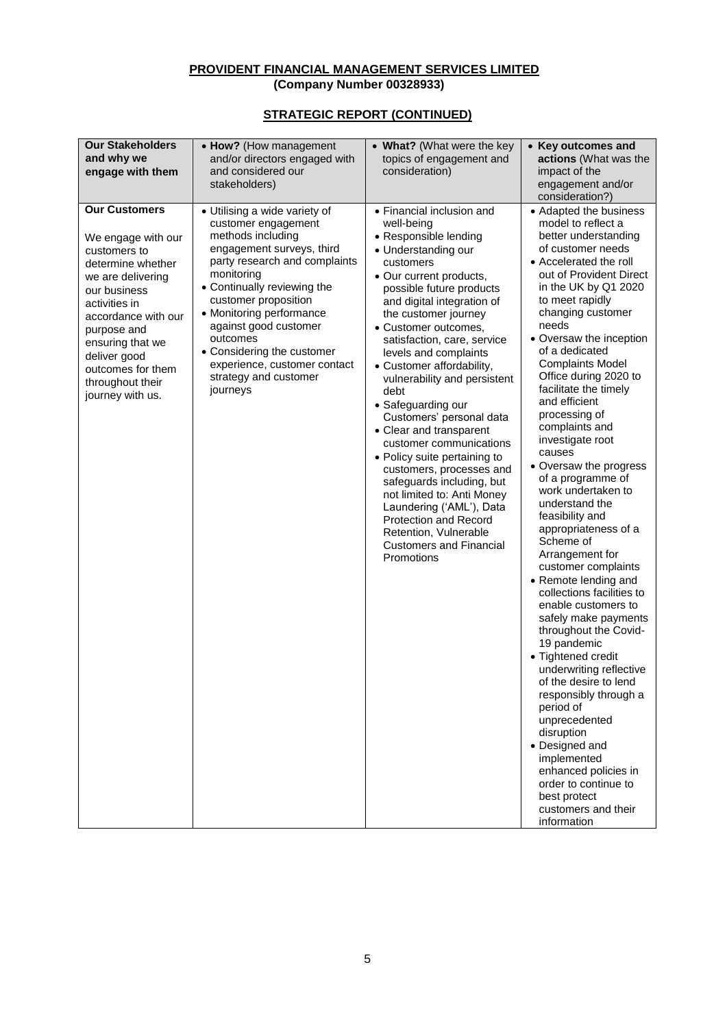**(Company Number 00328933)**

| <b>Our Stakeholders</b><br>and why we<br>engage with them                                                                                                                                                                                                                    | • How? (How management<br>and/or directors engaged with<br>and considered our<br>stakeholders)                                                                                                                                                                                                                                                                                   | • What? (What were the key<br>topics of engagement and<br>consideration)                                                                                                                                                                                                                                                                                                                                                                                                                                                                                                                                                                                                                                                            | • Key outcomes and<br>actions (What was the<br>impact of the<br>engagement and/or<br>consideration?)                                                                                                                                                                                                                                                                                                                                                                                                                                                                                                                                                                                                                                                                                                                                                                                                                                                                                                                                                           |
|------------------------------------------------------------------------------------------------------------------------------------------------------------------------------------------------------------------------------------------------------------------------------|----------------------------------------------------------------------------------------------------------------------------------------------------------------------------------------------------------------------------------------------------------------------------------------------------------------------------------------------------------------------------------|-------------------------------------------------------------------------------------------------------------------------------------------------------------------------------------------------------------------------------------------------------------------------------------------------------------------------------------------------------------------------------------------------------------------------------------------------------------------------------------------------------------------------------------------------------------------------------------------------------------------------------------------------------------------------------------------------------------------------------------|----------------------------------------------------------------------------------------------------------------------------------------------------------------------------------------------------------------------------------------------------------------------------------------------------------------------------------------------------------------------------------------------------------------------------------------------------------------------------------------------------------------------------------------------------------------------------------------------------------------------------------------------------------------------------------------------------------------------------------------------------------------------------------------------------------------------------------------------------------------------------------------------------------------------------------------------------------------------------------------------------------------------------------------------------------------|
| <b>Our Customers</b><br>We engage with our<br>customers to<br>determine whether<br>we are delivering<br>our business<br>activities in<br>accordance with our<br>purpose and<br>ensuring that we<br>deliver good<br>outcomes for them<br>throughout their<br>journey with us. | • Utilising a wide variety of<br>customer engagement<br>methods including<br>engagement surveys, third<br>party research and complaints<br>monitoring<br>• Continually reviewing the<br>customer proposition<br>• Monitoring performance<br>against good customer<br>outcomes<br>• Considering the customer<br>experience, customer contact<br>strategy and customer<br>journeys | • Financial inclusion and<br>well-being<br>• Responsible lending<br>• Understanding our<br>customers<br>• Our current products,<br>possible future products<br>and digital integration of<br>the customer journey<br>• Customer outcomes,<br>satisfaction, care, service<br>levels and complaints<br>• Customer affordability,<br>vulnerability and persistent<br>debt<br>• Safeguarding our<br>Customers' personal data<br>• Clear and transparent<br>customer communications<br>• Policy suite pertaining to<br>customers, processes and<br>safeguards including, but<br>not limited to: Anti Money<br>Laundering ('AML'), Data<br>Protection and Record<br>Retention, Vulnerable<br><b>Customers and Financial</b><br>Promotions | • Adapted the business<br>model to reflect a<br>better understanding<br>of customer needs<br>• Accelerated the roll<br>out of Provident Direct<br>in the UK by Q1 2020<br>to meet rapidly<br>changing customer<br>needs<br>• Oversaw the inception<br>of a dedicated<br><b>Complaints Model</b><br>Office during 2020 to<br>facilitate the timely<br>and efficient<br>processing of<br>complaints and<br>investigate root<br>causes<br>• Oversaw the progress<br>of a programme of<br>work undertaken to<br>understand the<br>feasibility and<br>appropriateness of a<br>Scheme of<br>Arrangement for<br>customer complaints<br>• Remote lending and<br>collections facilities to<br>enable customers to<br>safely make payments<br>throughout the Covid-<br>19 pandemic<br>• Tightened credit<br>underwriting reflective<br>of the desire to lend<br>responsibly through a<br>period of<br>unprecedented<br>disruption<br>• Designed and<br>implemented<br>enhanced policies in<br>order to continue to<br>best protect<br>customers and their<br>information |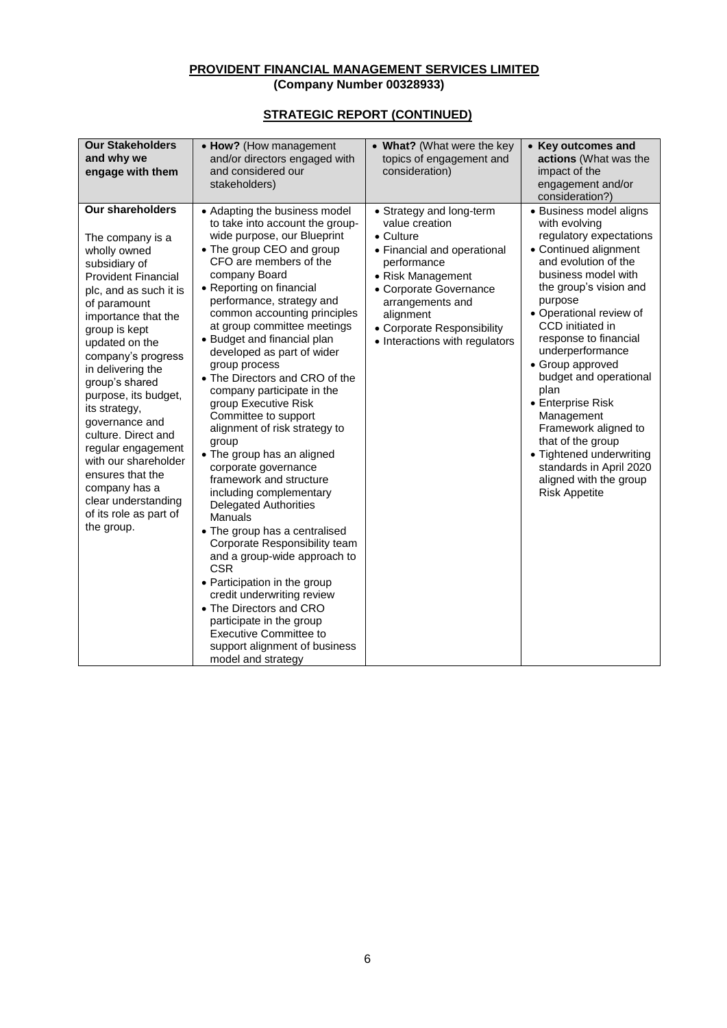**(Company Number 00328933)**

| <b>Our Stakeholders</b><br>and why we<br>engage with them                                                                                                                                                                                                                                                                                                                                                                                                                                                       | • How? (How management<br>and/or directors engaged with<br>and considered our<br>stakeholders)                                                                                                                                                                                                                                                                                                                                                                                                                                                                                                                                                                                                                                                                                                                                                                                                                                                                                                                              | • What? (What were the key<br>topics of engagement and<br>consideration)                                                                                                                                                                                      | • Key outcomes and<br>actions (What was the<br>impact of the<br>engagement and/or<br>consideration?)                                                                                                                                                                                                                                                                                                                                                                                                                        |
|-----------------------------------------------------------------------------------------------------------------------------------------------------------------------------------------------------------------------------------------------------------------------------------------------------------------------------------------------------------------------------------------------------------------------------------------------------------------------------------------------------------------|-----------------------------------------------------------------------------------------------------------------------------------------------------------------------------------------------------------------------------------------------------------------------------------------------------------------------------------------------------------------------------------------------------------------------------------------------------------------------------------------------------------------------------------------------------------------------------------------------------------------------------------------------------------------------------------------------------------------------------------------------------------------------------------------------------------------------------------------------------------------------------------------------------------------------------------------------------------------------------------------------------------------------------|---------------------------------------------------------------------------------------------------------------------------------------------------------------------------------------------------------------------------------------------------------------|-----------------------------------------------------------------------------------------------------------------------------------------------------------------------------------------------------------------------------------------------------------------------------------------------------------------------------------------------------------------------------------------------------------------------------------------------------------------------------------------------------------------------------|
| <b>Our shareholders</b><br>The company is a<br>wholly owned<br>subsidiary of<br><b>Provident Financial</b><br>plc, and as such it is<br>of paramount<br>importance that the<br>group is kept<br>updated on the<br>company's progress<br>in delivering the<br>group's shared<br>purpose, its budget,<br>its strategy,<br>governance and<br>culture. Direct and<br>regular engagement<br>with our shareholder<br>ensures that the<br>company has a<br>clear understanding<br>of its role as part of<br>the group. | • Adapting the business model<br>to take into account the group-<br>wide purpose, our Blueprint<br>• The group CEO and group<br>CFO are members of the<br>company Board<br>• Reporting on financial<br>performance, strategy and<br>common accounting principles<br>at group committee meetings<br>• Budget and financial plan<br>developed as part of wider<br>group process<br>• The Directors and CRO of the<br>company participate in the<br>group Executive Risk<br>Committee to support<br>alignment of risk strategy to<br>group<br>• The group has an aligned<br>corporate governance<br>framework and structure<br>including complementary<br><b>Delegated Authorities</b><br>Manuals<br>• The group has a centralised<br>Corporate Responsibility team<br>and a group-wide approach to<br><b>CSR</b><br>• Participation in the group<br>credit underwriting review<br>• The Directors and CRO<br>participate in the group<br><b>Executive Committee to</b><br>support alignment of business<br>model and strategy | • Strategy and long-term<br>value creation<br>$\bullet$ Culture<br>• Financial and operational<br>performance<br>• Risk Management<br>• Corporate Governance<br>arrangements and<br>alignment<br>• Corporate Responsibility<br>• Interactions with regulators | • Business model aligns<br>with evolving<br>regulatory expectations<br>• Continued alignment<br>and evolution of the<br>business model with<br>the group's vision and<br>purpose<br>• Operational review of<br>CCD initiated in<br>response to financial<br>underperformance<br>• Group approved<br>budget and operational<br>plan<br>• Enterprise Risk<br>Management<br>Framework aligned to<br>that of the group<br>• Tightened underwriting<br>standards in April 2020<br>aligned with the group<br><b>Risk Appetite</b> |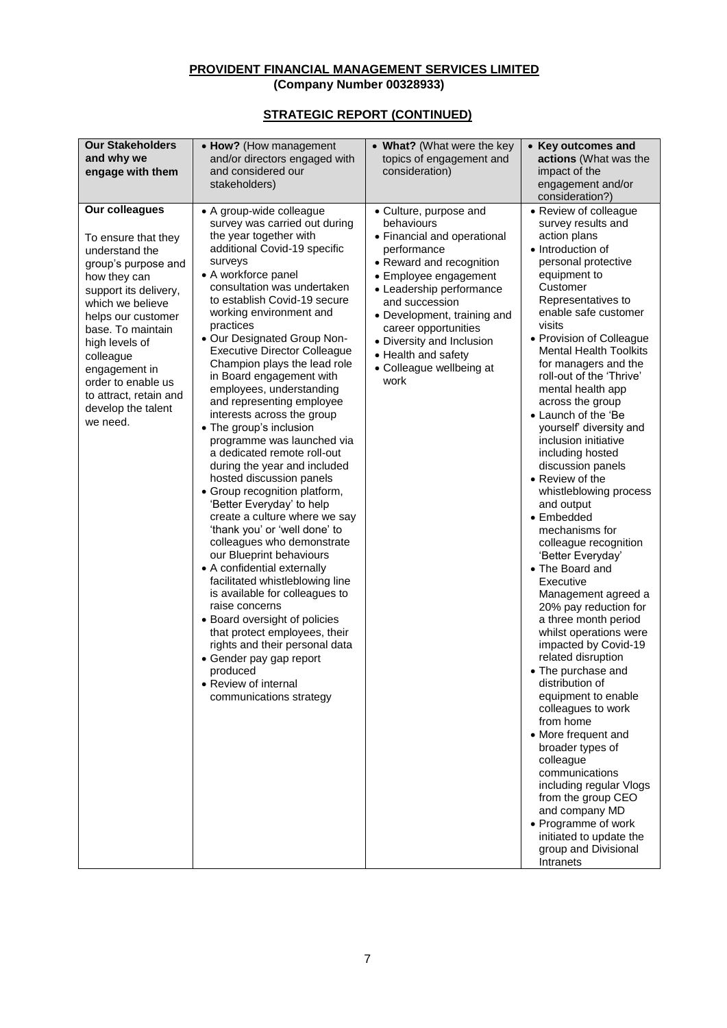**(Company Number 00328933)**

| <b>Our Stakeholders</b><br>and why we<br>engage with them                                                                                                                                                                                                                                                                | • How? (How management<br>and/or directors engaged with<br>and considered our<br>stakeholders)                                                                                                                                                                                                                                                                                                                                                                                                                                                                                                                                                                                                                                                                                                                                                                                                                                                                                                                                                                                                                                                          | • What? (What were the key<br>topics of engagement and<br>consideration)                                                                                                                                                                                                                                                             | • Key outcomes and<br>actions (What was the<br>impact of the<br>engagement and/or<br>consideration?)                                                                                                                                                                                                                                                                                                                                                                                                                                                                                                                                                                                                                                                                                                                                                                                                                                                                                                                                                                                                                                     |
|--------------------------------------------------------------------------------------------------------------------------------------------------------------------------------------------------------------------------------------------------------------------------------------------------------------------------|---------------------------------------------------------------------------------------------------------------------------------------------------------------------------------------------------------------------------------------------------------------------------------------------------------------------------------------------------------------------------------------------------------------------------------------------------------------------------------------------------------------------------------------------------------------------------------------------------------------------------------------------------------------------------------------------------------------------------------------------------------------------------------------------------------------------------------------------------------------------------------------------------------------------------------------------------------------------------------------------------------------------------------------------------------------------------------------------------------------------------------------------------------|--------------------------------------------------------------------------------------------------------------------------------------------------------------------------------------------------------------------------------------------------------------------------------------------------------------------------------------|------------------------------------------------------------------------------------------------------------------------------------------------------------------------------------------------------------------------------------------------------------------------------------------------------------------------------------------------------------------------------------------------------------------------------------------------------------------------------------------------------------------------------------------------------------------------------------------------------------------------------------------------------------------------------------------------------------------------------------------------------------------------------------------------------------------------------------------------------------------------------------------------------------------------------------------------------------------------------------------------------------------------------------------------------------------------------------------------------------------------------------------|
| Our colleagues<br>To ensure that they<br>understand the<br>group's purpose and<br>how they can<br>support its delivery,<br>which we believe<br>helps our customer<br>base. To maintain<br>high levels of<br>colleague<br>engagement in<br>order to enable us<br>to attract, retain and<br>develop the talent<br>we need. | • A group-wide colleague<br>survey was carried out during<br>the year together with<br>additional Covid-19 specific<br>surveys<br>• A workforce panel<br>consultation was undertaken<br>to establish Covid-19 secure<br>working environment and<br>practices<br>• Our Designated Group Non-<br><b>Executive Director Colleague</b><br>Champion plays the lead role<br>in Board engagement with<br>employees, understanding<br>and representing employee<br>interests across the group<br>• The group's inclusion<br>programme was launched via<br>a dedicated remote roll-out<br>during the year and included<br>hosted discussion panels<br>• Group recognition platform,<br>'Better Everyday' to help<br>create a culture where we say<br>'thank you' or 'well done' to<br>colleagues who demonstrate<br>our Blueprint behaviours<br>• A confidential externally<br>facilitated whistleblowing line<br>is available for colleagues to<br>raise concerns<br>• Board oversight of policies<br>that protect employees, their<br>rights and their personal data<br>• Gender pay gap report<br>produced<br>• Review of internal<br>communications strategy | • Culture, purpose and<br>behaviours<br>• Financial and operational<br>performance<br>• Reward and recognition<br>• Employee engagement<br>• Leadership performance<br>and succession<br>• Development, training and<br>career opportunities<br>• Diversity and Inclusion<br>• Health and safety<br>• Colleague wellbeing at<br>work | • Review of colleague<br>survey results and<br>action plans<br>• Introduction of<br>personal protective<br>equipment to<br>Customer<br>Representatives to<br>enable safe customer<br>visits<br>• Provision of Colleague<br><b>Mental Health Toolkits</b><br>for managers and the<br>roll-out of the 'Thrive'<br>mental health app<br>across the group<br>• Launch of the 'Be<br>yourself' diversity and<br>inclusion initiative<br>including hosted<br>discussion panels<br>• Review of the<br>whistleblowing process<br>and output<br>• Embedded<br>mechanisms for<br>colleague recognition<br>'Better Everyday'<br>• The Board and<br>Executive<br>Management agreed a<br>20% pay reduction for<br>a three month period<br>whilst operations were<br>impacted by Covid-19<br>related disruption<br>• The purchase and<br>distribution of<br>equipment to enable<br>colleagues to work<br>from home<br>• More frequent and<br>broader types of<br>colleague<br>communications<br>including regular Vlogs<br>from the group CEO<br>and company MD<br>• Programme of work<br>initiated to update the<br>group and Divisional<br>Intranets |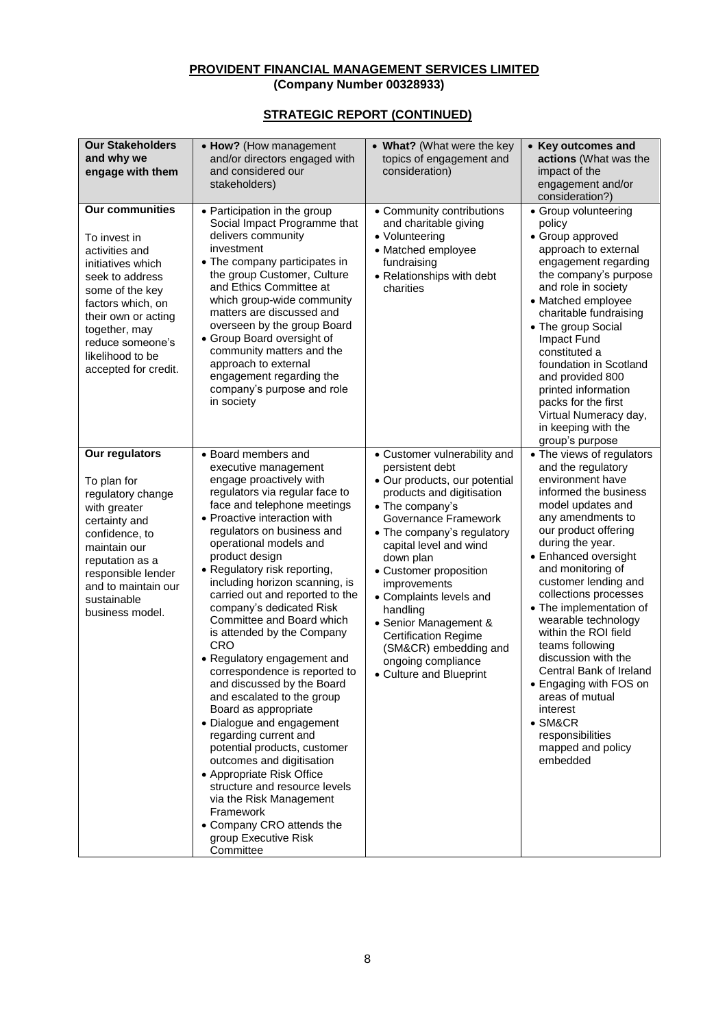**(Company Number 00328933)**

| <b>Our Stakeholders</b><br>and why we<br>engage with them                                                                                                                                                                                        | • How? (How management<br>and/or directors engaged with<br>and considered our<br>stakeholders)                                                                                                                                                                                                                                                                                                                                                                                                                                                                                                                                                                                                                                                                                                                                                                                                             | • What? (What were the key<br>topics of engagement and<br>consideration)                                                                                                                                                                                                                                                                                                                                                                         | • Key outcomes and<br>actions (What was the<br>impact of the<br>engagement and/or<br>consideration?)                                                                                                                                                                                                                                                                                                                                                                                                                                                             |
|--------------------------------------------------------------------------------------------------------------------------------------------------------------------------------------------------------------------------------------------------|------------------------------------------------------------------------------------------------------------------------------------------------------------------------------------------------------------------------------------------------------------------------------------------------------------------------------------------------------------------------------------------------------------------------------------------------------------------------------------------------------------------------------------------------------------------------------------------------------------------------------------------------------------------------------------------------------------------------------------------------------------------------------------------------------------------------------------------------------------------------------------------------------------|--------------------------------------------------------------------------------------------------------------------------------------------------------------------------------------------------------------------------------------------------------------------------------------------------------------------------------------------------------------------------------------------------------------------------------------------------|------------------------------------------------------------------------------------------------------------------------------------------------------------------------------------------------------------------------------------------------------------------------------------------------------------------------------------------------------------------------------------------------------------------------------------------------------------------------------------------------------------------------------------------------------------------|
| <b>Our communities</b><br>To invest in<br>activities and<br>initiatives which<br>seek to address<br>some of the key<br>factors which, on<br>their own or acting<br>together, may<br>reduce someone's<br>likelihood to be<br>accepted for credit. | • Participation in the group<br>Social Impact Programme that<br>delivers community<br>investment<br>• The company participates in<br>the group Customer, Culture<br>and Ethics Committee at<br>which group-wide community<br>matters are discussed and<br>overseen by the group Board<br>• Group Board oversight of<br>community matters and the<br>approach to external<br>engagement regarding the<br>company's purpose and role<br>in society                                                                                                                                                                                                                                                                                                                                                                                                                                                           | • Community contributions<br>and charitable giving<br>• Volunteering<br>• Matched employee<br>fundraising<br>• Relationships with debt<br>charities                                                                                                                                                                                                                                                                                              | • Group volunteering<br>policy<br>• Group approved<br>approach to external<br>engagement regarding<br>the company's purpose<br>and role in society<br>• Matched employee<br>charitable fundraising<br>• The group Social<br>Impact Fund<br>constituted a<br>foundation in Scotland<br>and provided 800<br>printed information<br>packs for the first<br>Virtual Numeracy day,<br>in keeping with the<br>group's purpose                                                                                                                                          |
| Our regulators<br>To plan for<br>regulatory change<br>with greater<br>certainty and<br>confidence, to<br>maintain our<br>reputation as a<br>responsible lender<br>and to maintain our<br>sustainable<br>business model.                          | • Board members and<br>executive management<br>engage proactively with<br>regulators via regular face to<br>face and telephone meetings<br>• Proactive interaction with<br>regulators on business and<br>operational models and<br>product design<br>• Regulatory risk reporting,<br>including horizon scanning, is<br>carried out and reported to the<br>company's dedicated Risk<br>Committee and Board which<br>is attended by the Company<br><b>CRO</b><br>• Regulatory engagement and<br>correspondence is reported to<br>and discussed by the Board<br>and escalated to the group<br>Board as appropriate<br>• Dialogue and engagement<br>regarding current and<br>potential products, customer<br>outcomes and digitisation<br>• Appropriate Risk Office<br>structure and resource levels<br>via the Risk Management<br>Framework<br>• Company CRO attends the<br>group Executive Risk<br>Committee | • Customer vulnerability and<br>persistent debt<br>• Our products, our potential<br>products and digitisation<br>• The company's<br>Governance Framework<br>• The company's regulatory<br>capital level and wind<br>down plan<br>• Customer proposition<br>improvements<br>• Complaints levels and<br>handling<br>• Senior Management &<br><b>Certification Regime</b><br>(SM&CR) embedding and<br>ongoing compliance<br>• Culture and Blueprint | • The views of regulators<br>and the regulatory<br>environment have<br>informed the business<br>model updates and<br>any amendments to<br>our product offering<br>during the year.<br>• Enhanced oversight<br>and monitoring of<br>customer lending and<br>collections processes<br>• The implementation of<br>wearable technology<br>within the ROI field<br>teams following<br>discussion with the<br>Central Bank of Ireland<br>• Engaging with FOS on<br>areas of mutual<br>interest<br>$\bullet$ SM&CR<br>responsibilities<br>mapped and policy<br>embedded |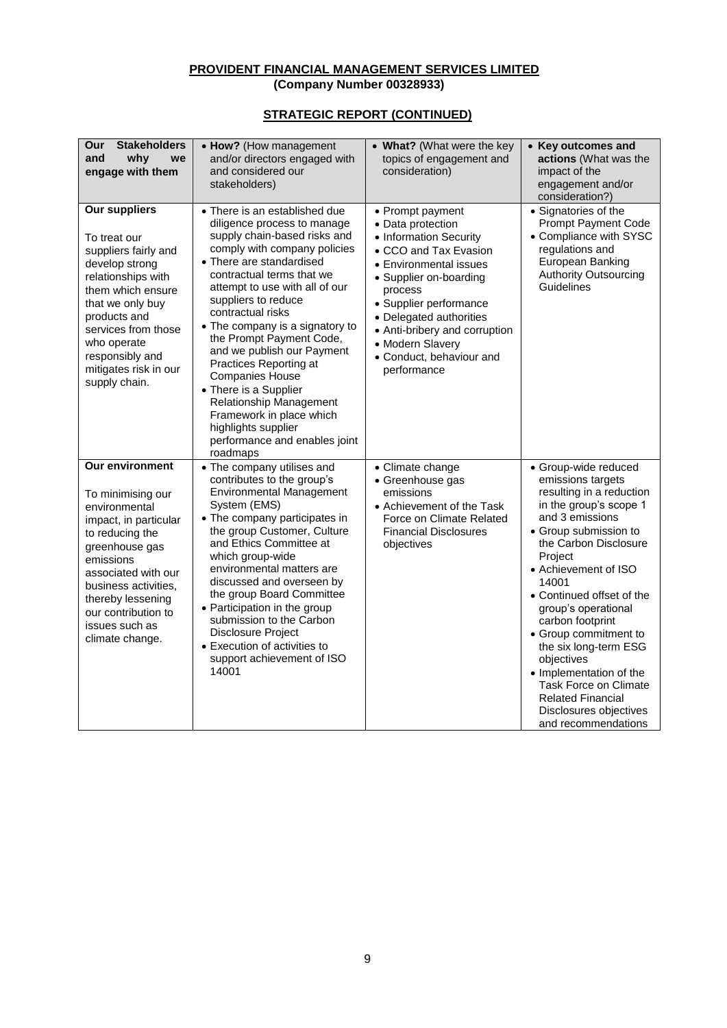**(Company Number 00328933)**

| Our<br><b>Stakeholders</b><br>and<br>why<br>we<br>engage with them                                                                                                                                                                                                      | • How? (How management<br>and/or directors engaged with<br>and considered our<br>stakeholders)                                                                                                                                                                                                                                                                                                                                                                                                                                                                           | • What? (What were the key<br>topics of engagement and<br>consideration)                                                                                                                                                                                                                                     | • Key outcomes and<br>actions (What was the<br>impact of the<br>engagement and/or<br>consideration?)                                                                                                                                                                                                                                                                                                                                                                                             |
|-------------------------------------------------------------------------------------------------------------------------------------------------------------------------------------------------------------------------------------------------------------------------|--------------------------------------------------------------------------------------------------------------------------------------------------------------------------------------------------------------------------------------------------------------------------------------------------------------------------------------------------------------------------------------------------------------------------------------------------------------------------------------------------------------------------------------------------------------------------|--------------------------------------------------------------------------------------------------------------------------------------------------------------------------------------------------------------------------------------------------------------------------------------------------------------|--------------------------------------------------------------------------------------------------------------------------------------------------------------------------------------------------------------------------------------------------------------------------------------------------------------------------------------------------------------------------------------------------------------------------------------------------------------------------------------------------|
| <b>Our suppliers</b><br>To treat our<br>suppliers fairly and<br>develop strong<br>relationships with<br>them which ensure<br>that we only buy<br>products and<br>services from those<br>who operate<br>responsibly and<br>mitigates risk in our<br>supply chain.        | • There is an established due<br>diligence process to manage<br>supply chain-based risks and<br>comply with company policies<br>• There are standardised<br>contractual terms that we<br>attempt to use with all of our<br>suppliers to reduce<br>contractual risks<br>• The company is a signatory to<br>the Prompt Payment Code,<br>and we publish our Payment<br>Practices Reporting at<br><b>Companies House</b><br>• There is a Supplier<br>Relationship Management<br>Framework in place which<br>highlights supplier<br>performance and enables joint<br>roadmaps | • Prompt payment<br>• Data protection<br>• Information Security<br>• CCO and Tax Evasion<br>• Environmental issues<br>• Supplier on-boarding<br>process<br>· Supplier performance<br>• Delegated authorities<br>• Anti-bribery and corruption<br>• Modern Slavery<br>• Conduct, behaviour and<br>performance | • Signatories of the<br><b>Prompt Payment Code</b><br>• Compliance with SYSC<br>regulations and<br>European Banking<br><b>Authority Outsourcing</b><br>Guidelines                                                                                                                                                                                                                                                                                                                                |
| <b>Our environment</b><br>To minimising our<br>environmental<br>impact, in particular<br>to reducing the<br>greenhouse gas<br>emissions<br>associated with our<br>business activities.<br>thereby lessening<br>our contribution to<br>issues such as<br>climate change. | • The company utilises and<br>contributes to the group's<br><b>Environmental Management</b><br>System (EMS)<br>• The company participates in<br>the group Customer, Culture<br>and Ethics Committee at<br>which group-wide<br>environmental matters are<br>discussed and overseen by<br>the group Board Committee<br>• Participation in the group<br>submission to the Carbon<br><b>Disclosure Project</b><br>• Execution of activities to<br>support achievement of ISO<br>14001                                                                                        | • Climate change<br>• Greenhouse gas<br>emissions<br>• Achievement of the Task<br>Force on Climate Related<br><b>Financial Disclosures</b><br>objectives                                                                                                                                                     | · Group-wide reduced<br>emissions targets<br>resulting in a reduction<br>in the group's scope 1<br>and 3 emissions<br>• Group submission to<br>the Carbon Disclosure<br>Project<br>• Achievement of ISO<br>14001<br>• Continued offset of the<br>group's operational<br>carbon footprint<br>• Group commitment to<br>the six long-term ESG<br>objectives<br>• Implementation of the<br><b>Task Force on Climate</b><br><b>Related Financial</b><br>Disclosures objectives<br>and recommendations |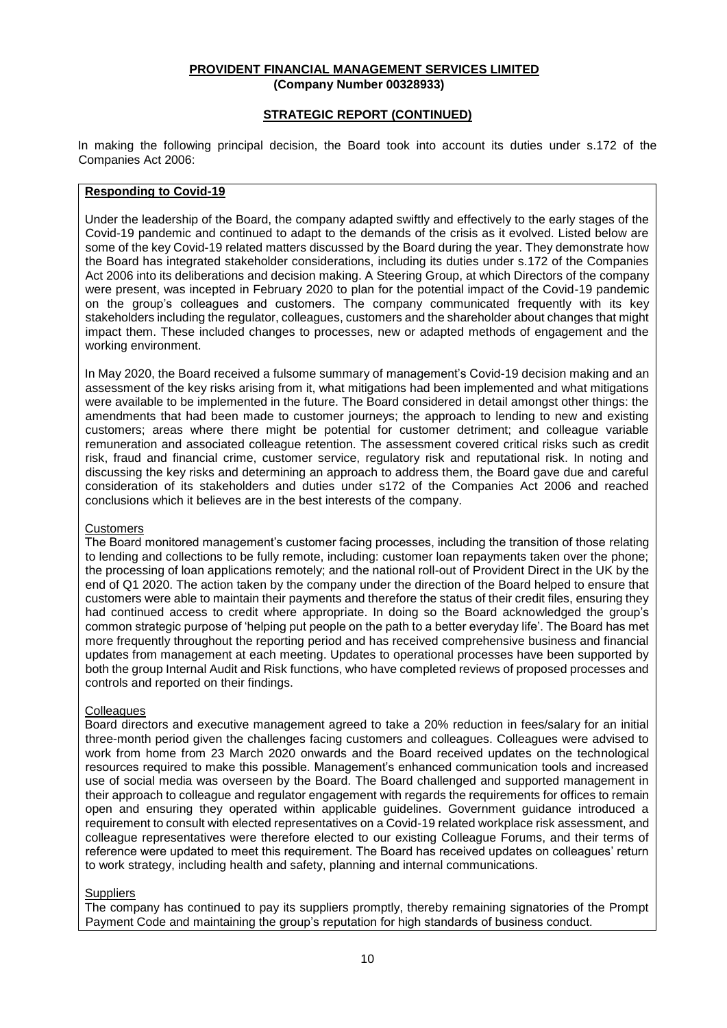**(Company Number 00328933)**

# **STRATEGIC REPORT (CONTINUED)**

In making the following principal decision, the Board took into account its duties under s.172 of the Companies Act 2006:

#### **Responding to Covid-19**

Under the leadership of the Board, the company adapted swiftly and effectively to the early stages of the Covid-19 pandemic and continued to adapt to the demands of the crisis as it evolved. Listed below are some of the key Covid-19 related matters discussed by the Board during the year. They demonstrate how the Board has integrated stakeholder considerations, including its duties under s.172 of the Companies Act 2006 into its deliberations and decision making. A Steering Group, at which Directors of the company were present, was incepted in February 2020 to plan for the potential impact of the Covid-19 pandemic on the group's colleagues and customers. The company communicated frequently with its key stakeholders including the regulator, colleagues, customers and the shareholder about changes that might impact them. These included changes to processes, new or adapted methods of engagement and the working environment.

In May 2020, the Board received a fulsome summary of management's Covid-19 decision making and an assessment of the key risks arising from it, what mitigations had been implemented and what mitigations were available to be implemented in the future. The Board considered in detail amongst other things: the amendments that had been made to customer journeys; the approach to lending to new and existing customers; areas where there might be potential for customer detriment; and colleague variable remuneration and associated colleague retention. The assessment covered critical risks such as credit risk, fraud and financial crime, customer service, regulatory risk and reputational risk. In noting and discussing the key risks and determining an approach to address them, the Board gave due and careful consideration of its stakeholders and duties under s172 of the Companies Act 2006 and reached conclusions which it believes are in the best interests of the company.

#### **Customers**

The Board monitored management's customer facing processes, including the transition of those relating to lending and collections to be fully remote, including: customer loan repayments taken over the phone; the processing of loan applications remotely; and the national roll-out of Provident Direct in the UK by the end of Q1 2020. The action taken by the company under the direction of the Board helped to ensure that customers were able to maintain their payments and therefore the status of their credit files, ensuring they had continued access to credit where appropriate. In doing so the Board acknowledged the group's common strategic purpose of 'helping put people on the path to a better everyday life'. The Board has met more frequently throughout the reporting period and has received comprehensive business and financial updates from management at each meeting. Updates to operational processes have been supported by both the group Internal Audit and Risk functions, who have completed reviews of proposed processes and controls and reported on their findings.

#### **Colleagues**

Board directors and executive management agreed to take a 20% reduction in fees/salary for an initial three-month period given the challenges facing customers and colleagues. Colleagues were advised to work from home from 23 March 2020 onwards and the Board received updates on the technological resources required to make this possible. Management's enhanced communication tools and increased use of social media was overseen by the Board. The Board challenged and supported management in their approach to colleague and regulator engagement with regards the requirements for offices to remain open and ensuring they operated within applicable guidelines. Government guidance introduced a requirement to consult with elected representatives on a Covid-19 related workplace risk assessment, and colleague representatives were therefore elected to our existing Colleague Forums, and their terms of reference were updated to meet this requirement. The Board has received updates on colleagues' return to work strategy, including health and safety, planning and internal communications.

#### **Suppliers**

The company has continued to pay its suppliers promptly, thereby remaining signatories of the Prompt Payment Code and maintaining the group's reputation for high standards of business conduct.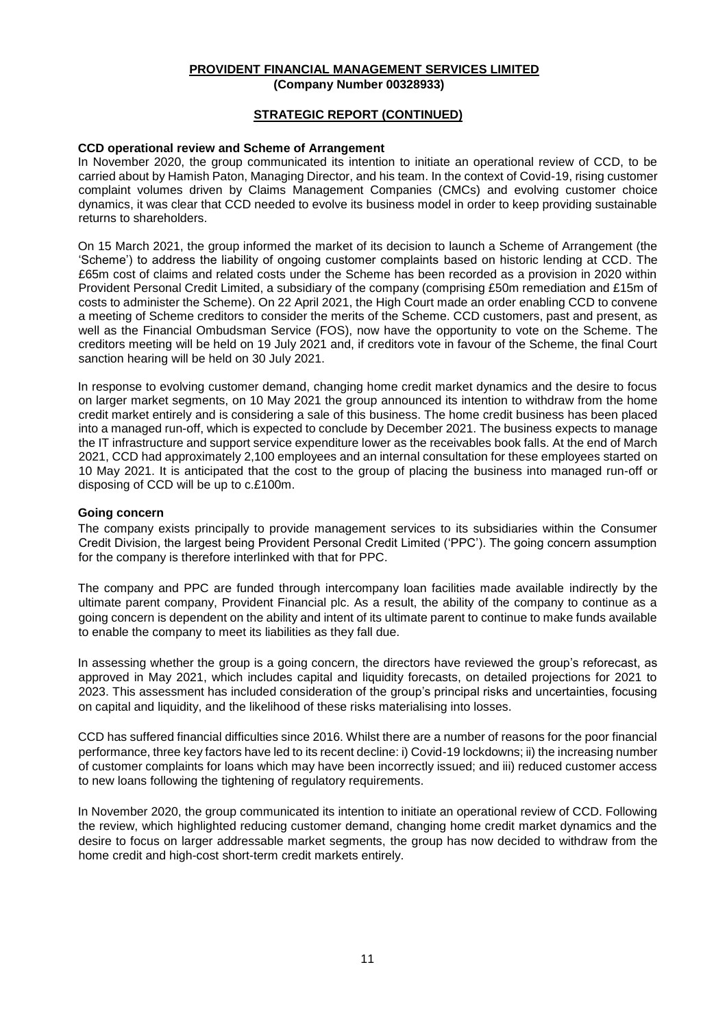# **STRATEGIC REPORT (CONTINUED)**

#### **CCD operational review and Scheme of Arrangement**

In November 2020, the group communicated its intention to initiate an operational review of CCD, to be carried about by Hamish Paton, Managing Director, and his team. In the context of Covid-19, rising customer complaint volumes driven by Claims Management Companies (CMCs) and evolving customer choice dynamics, it was clear that CCD needed to evolve its business model in order to keep providing sustainable returns to shareholders.

On 15 March 2021, the group informed the market of its decision to launch a Scheme of Arrangement (the 'Scheme') to address the liability of ongoing customer complaints based on historic lending at CCD. The £65m cost of claims and related costs under the Scheme has been recorded as a provision in 2020 within Provident Personal Credit Limited, a subsidiary of the company (comprising £50m remediation and £15m of costs to administer the Scheme). On 22 April 2021, the High Court made an order enabling CCD to convene a meeting of Scheme creditors to consider the merits of the Scheme. CCD customers, past and present, as well as the Financial Ombudsman Service (FOS), now have the opportunity to vote on the Scheme. The creditors meeting will be held on 19 July 2021 and, if creditors vote in favour of the Scheme, the final Court sanction hearing will be held on 30 July 2021.

In response to evolving customer demand, changing home credit market dynamics and the desire to focus on larger market segments, on 10 May 2021 the group announced its intention to withdraw from the home credit market entirely and is considering a sale of this business. The home credit business has been placed into a managed run-off, which is expected to conclude by December 2021. The business expects to manage the IT infrastructure and support service expenditure lower as the receivables book falls. At the end of March 2021, CCD had approximately 2,100 employees and an internal consultation for these employees started on 10 May 2021. It is anticipated that the cost to the group of placing the business into managed run-off or disposing of CCD will be up to c.£100m.

#### **Going concern**

The company exists principally to provide management services to its subsidiaries within the Consumer Credit Division, the largest being Provident Personal Credit Limited ('PPC'). The going concern assumption for the company is therefore interlinked with that for PPC.

The company and PPC are funded through intercompany loan facilities made available indirectly by the ultimate parent company, Provident Financial plc. As a result, the ability of the company to continue as a going concern is dependent on the ability and intent of its ultimate parent to continue to make funds available to enable the company to meet its liabilities as they fall due.

In assessing whether the group is a going concern, the directors have reviewed the group's reforecast, as approved in May 2021, which includes capital and liquidity forecasts, on detailed projections for 2021 to 2023. This assessment has included consideration of the group's principal risks and uncertainties, focusing on capital and liquidity, and the likelihood of these risks materialising into losses.

CCD has suffered financial difficulties since 2016. Whilst there are a number of reasons for the poor financial performance, three key factors have led to its recent decline: i) Covid-19 lockdowns; ii) the increasing number of customer complaints for loans which may have been incorrectly issued; and iii) reduced customer access to new loans following the tightening of regulatory requirements.

In November 2020, the group communicated its intention to initiate an operational review of CCD. Following the review, which highlighted reducing customer demand, changing home credit market dynamics and the desire to focus on larger addressable market segments, the group has now decided to withdraw from the home credit and high-cost short-term credit markets entirely.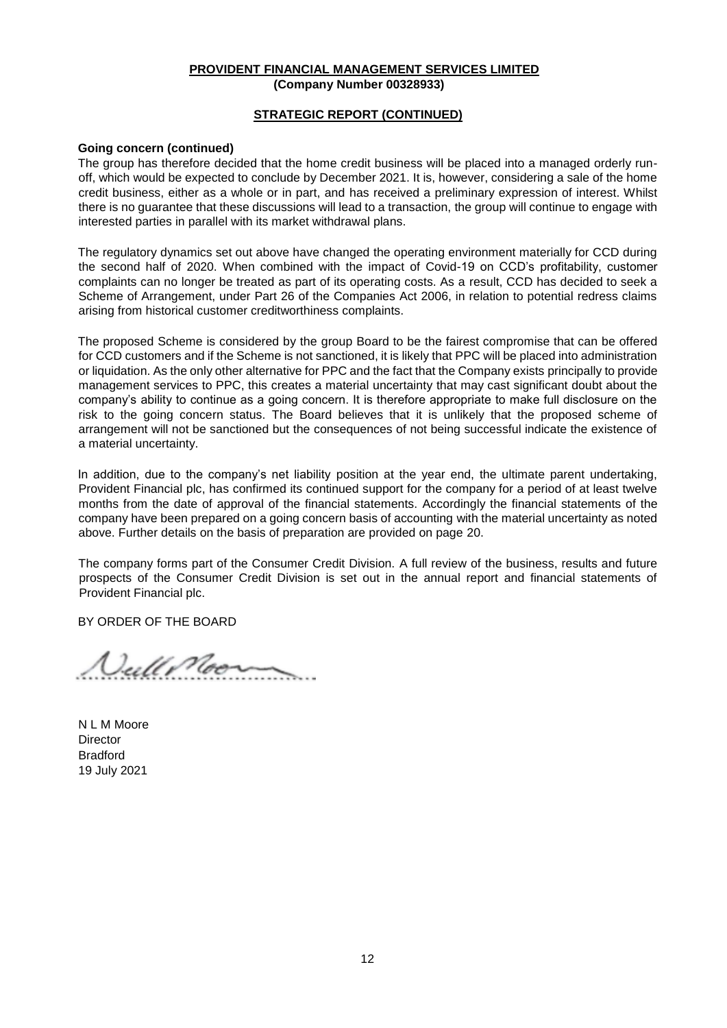# **STRATEGIC REPORT (CONTINUED)**

# **Going concern (continued)**

The group has therefore decided that the home credit business will be placed into a managed orderly runoff, which would be expected to conclude by December 2021. It is, however, considering a sale of the home credit business, either as a whole or in part, and has received a preliminary expression of interest. Whilst there is no guarantee that these discussions will lead to a transaction, the group will continue to engage with interested parties in parallel with its market withdrawal plans.

The regulatory dynamics set out above have changed the operating environment materially for CCD during the second half of 2020. When combined with the impact of Covid-19 on CCD's profitability, customer complaints can no longer be treated as part of its operating costs. As a result, CCD has decided to seek a Scheme of Arrangement, under Part 26 of the Companies Act 2006, in relation to potential redress claims arising from historical customer creditworthiness complaints.

The proposed Scheme is considered by the group Board to be the fairest compromise that can be offered for CCD customers and if the Scheme is not sanctioned, it is likely that PPC will be placed into administration or liquidation. As the only other alternative for PPC and the fact that the Company exists principally to provide management services to PPC, this creates a material uncertainty that may cast significant doubt about the company's ability to continue as a going concern. It is therefore appropriate to make full disclosure on the risk to the going concern status. The Board believes that it is unlikely that the proposed scheme of arrangement will not be sanctioned but the consequences of not being successful indicate the existence of a material uncertainty.

In addition, due to the company's net liability position at the year end, the ultimate parent undertaking, Provident Financial plc, has confirmed its continued support for the company for a period of at least twelve months from the date of approval of the financial statements. Accordingly the financial statements of the company have been prepared on a going concern basis of accounting with the material uncertainty as noted above. Further details on the basis of preparation are provided on page 20.

The company forms part of the Consumer Credit Division. A full review of the business, results and future prospects of the Consumer Credit Division is set out in the annual report and financial statements of Provident Financial plc.

BY ORDER OF THE BOARD

*<u>Dull Moon*</u>

N L M Moore **Director** Bradford 19 July 2021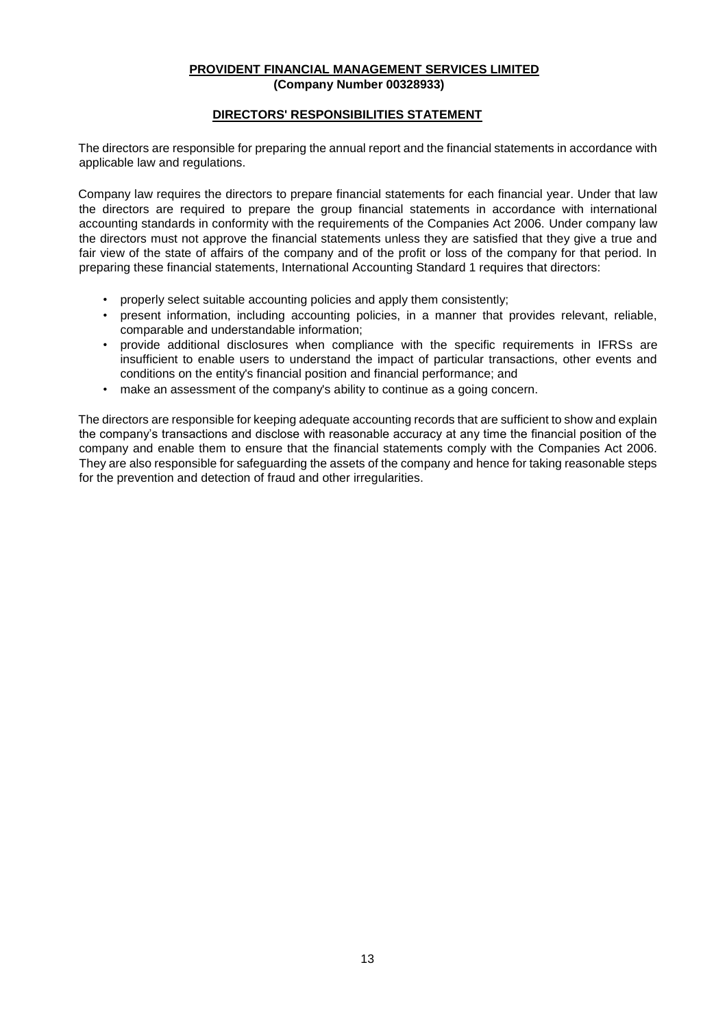# **DIRECTORS' RESPONSIBILITIES STATEMENT**

The directors are responsible for preparing the annual report and the financial statements in accordance with applicable law and regulations.

Company law requires the directors to prepare financial statements for each financial year. Under that law the directors are required to prepare the group financial statements in accordance with international accounting standards in conformity with the requirements of the Companies Act 2006. Under company law the directors must not approve the financial statements unless they are satisfied that they give a true and fair view of the state of affairs of the company and of the profit or loss of the company for that period. In preparing these financial statements, International Accounting Standard 1 requires that directors:

- properly select suitable accounting policies and apply them consistently;
- present information, including accounting policies, in a manner that provides relevant, reliable, comparable and understandable information;
- provide additional disclosures when compliance with the specific requirements in IFRSs are insufficient to enable users to understand the impact of particular transactions, other events and conditions on the entity's financial position and financial performance; and
- make an assessment of the company's ability to continue as a going concern.

The directors are responsible for keeping adequate accounting records that are sufficient to show and explain the company's transactions and disclose with reasonable accuracy at any time the financial position of the company and enable them to ensure that the financial statements comply with the Companies Act 2006. They are also responsible for safeguarding the assets of the company and hence for taking reasonable steps for the prevention and detection of fraud and other irregularities.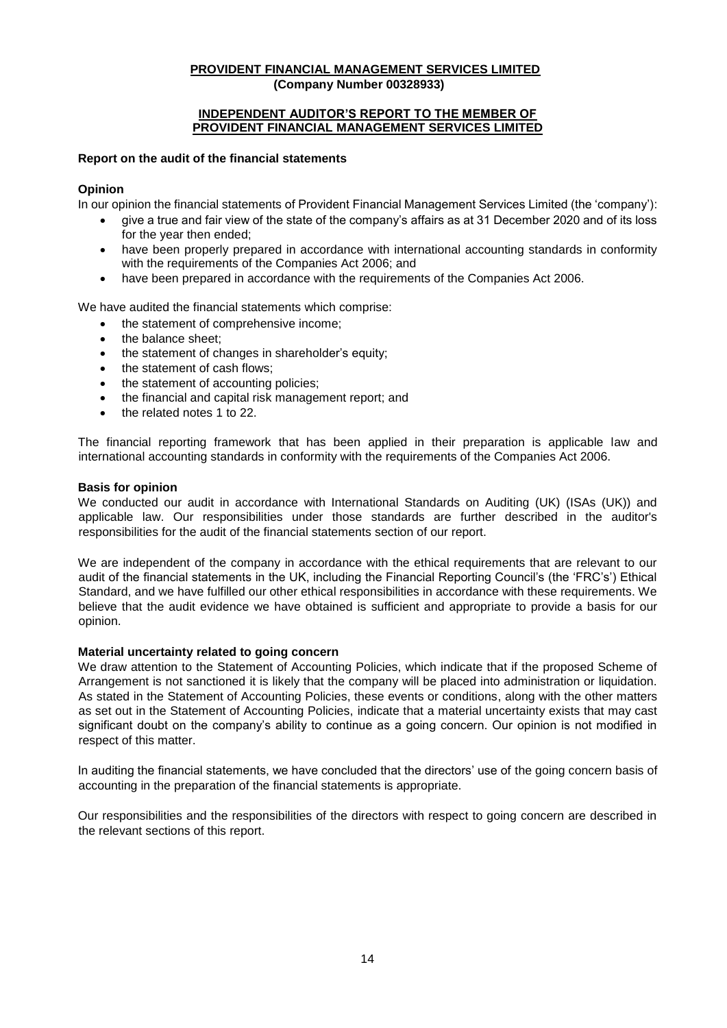# **INDEPENDENT AUDITOR'S REPORT TO THE MEMBER OF PROVIDENT FINANCIAL MANAGEMENT SERVICES LIMITED**

# **Report on the audit of the financial statements**

# **Opinion**

In our opinion the financial statements of Provident Financial Management Services Limited (the 'company'):

- give a true and fair view of the state of the company's affairs as at 31 December 2020 and of its loss for the year then ended;
- have been properly prepared in accordance with international accounting standards in conformity with the requirements of the Companies Act 2006; and
- have been prepared in accordance with the requirements of the Companies Act 2006.

We have audited the financial statements which comprise:

- the statement of comprehensive income:
- the balance sheet;
- the statement of changes in shareholder's equity;
- the statement of cash flows;
- the statement of accounting policies:
- the financial and capital risk management report; and
- the related notes 1 to 22.

The financial reporting framework that has been applied in their preparation is applicable law and international accounting standards in conformity with the requirements of the Companies Act 2006.

#### **Basis for opinion**

We conducted our audit in accordance with International Standards on Auditing (UK) (ISAs (UK)) and applicable law. Our responsibilities under those standards are further described in the auditor's responsibilities for the audit of the financial statements section of our report.

We are independent of the company in accordance with the ethical requirements that are relevant to our audit of the financial statements in the UK, including the Financial Reporting Council's (the 'FRC's') Ethical Standard, and we have fulfilled our other ethical responsibilities in accordance with these requirements. We believe that the audit evidence we have obtained is sufficient and appropriate to provide a basis for our opinion.

#### **Material uncertainty related to going concern**

We draw attention to the Statement of Accounting Policies, which indicate that if the proposed Scheme of Arrangement is not sanctioned it is likely that the company will be placed into administration or liquidation. As stated in the Statement of Accounting Policies, these events or conditions, along with the other matters as set out in the Statement of Accounting Policies, indicate that a material uncertainty exists that may cast significant doubt on the company's ability to continue as a going concern. Our opinion is not modified in respect of this matter.

In auditing the financial statements, we have concluded that the directors' use of the going concern basis of accounting in the preparation of the financial statements is appropriate.

Our responsibilities and the responsibilities of the directors with respect to going concern are described in the relevant sections of this report.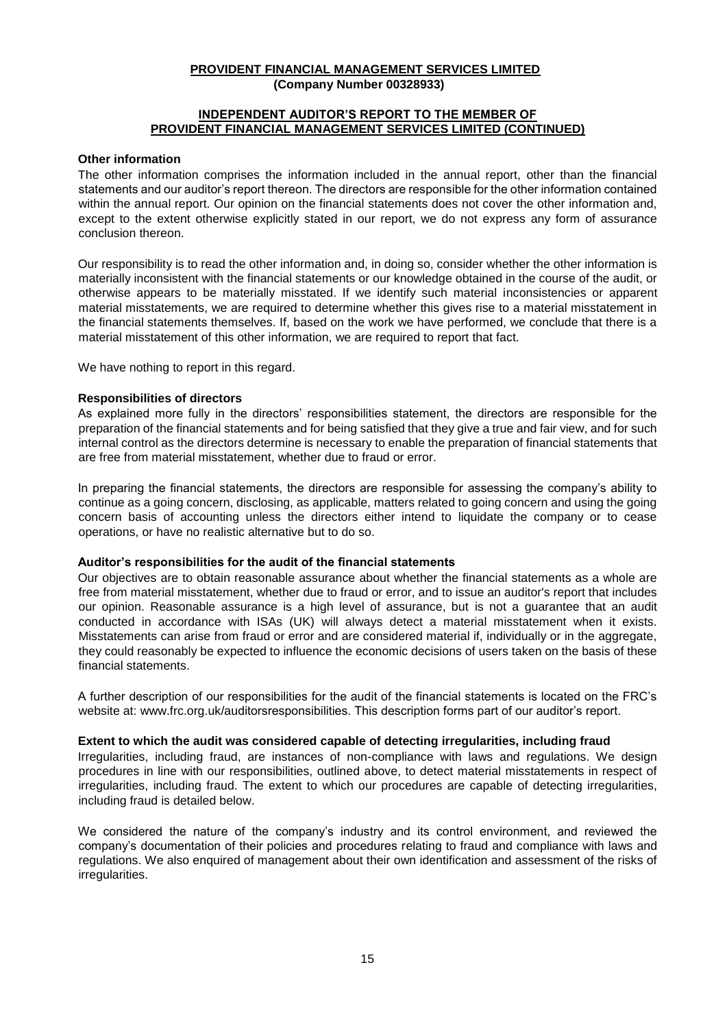# **INDEPENDENT AUDITOR'S REPORT TO THE MEMBER OF PROVIDENT FINANCIAL MANAGEMENT SERVICES LIMITED (CONTINUED)**

#### **Other information**

The other information comprises the information included in the annual report, other than the financial statements and our auditor's report thereon. The directors are responsible for the other information contained within the annual report. Our opinion on the financial statements does not cover the other information and, except to the extent otherwise explicitly stated in our report, we do not express any form of assurance conclusion thereon.

Our responsibility is to read the other information and, in doing so, consider whether the other information is materially inconsistent with the financial statements or our knowledge obtained in the course of the audit, or otherwise appears to be materially misstated. If we identify such material inconsistencies or apparent material misstatements, we are required to determine whether this gives rise to a material misstatement in the financial statements themselves. If, based on the work we have performed, we conclude that there is a material misstatement of this other information, we are required to report that fact.

We have nothing to report in this regard.

#### **Responsibilities of directors**

As explained more fully in the directors' responsibilities statement, the directors are responsible for the preparation of the financial statements and for being satisfied that they give a true and fair view, and for such internal control as the directors determine is necessary to enable the preparation of financial statements that are free from material misstatement, whether due to fraud or error.

In preparing the financial statements, the directors are responsible for assessing the company's ability to continue as a going concern, disclosing, as applicable, matters related to going concern and using the going concern basis of accounting unless the directors either intend to liquidate the company or to cease operations, or have no realistic alternative but to do so.

#### **Auditor's responsibilities for the audit of the financial statements**

Our objectives are to obtain reasonable assurance about whether the financial statements as a whole are free from material misstatement, whether due to fraud or error, and to issue an auditor's report that includes our opinion. Reasonable assurance is a high level of assurance, but is not a guarantee that an audit conducted in accordance with ISAs (UK) will always detect a material misstatement when it exists. Misstatements can arise from fraud or error and are considered material if, individually or in the aggregate, they could reasonably be expected to influence the economic decisions of users taken on the basis of these financial statements.

A further description of our responsibilities for the audit of the financial statements is located on the FRC's website at: www.frc.org.uk/auditorsresponsibilities. This description forms part of our auditor's report.

# **Extent to which the audit was considered capable of detecting irregularities, including fraud**

Irregularities, including fraud, are instances of non-compliance with laws and regulations. We design procedures in line with our responsibilities, outlined above, to detect material misstatements in respect of irregularities, including fraud. The extent to which our procedures are capable of detecting irregularities, including fraud is detailed below.

We considered the nature of the company's industry and its control environment, and reviewed the company's documentation of their policies and procedures relating to fraud and compliance with laws and regulations. We also enquired of management about their own identification and assessment of the risks of irregularities.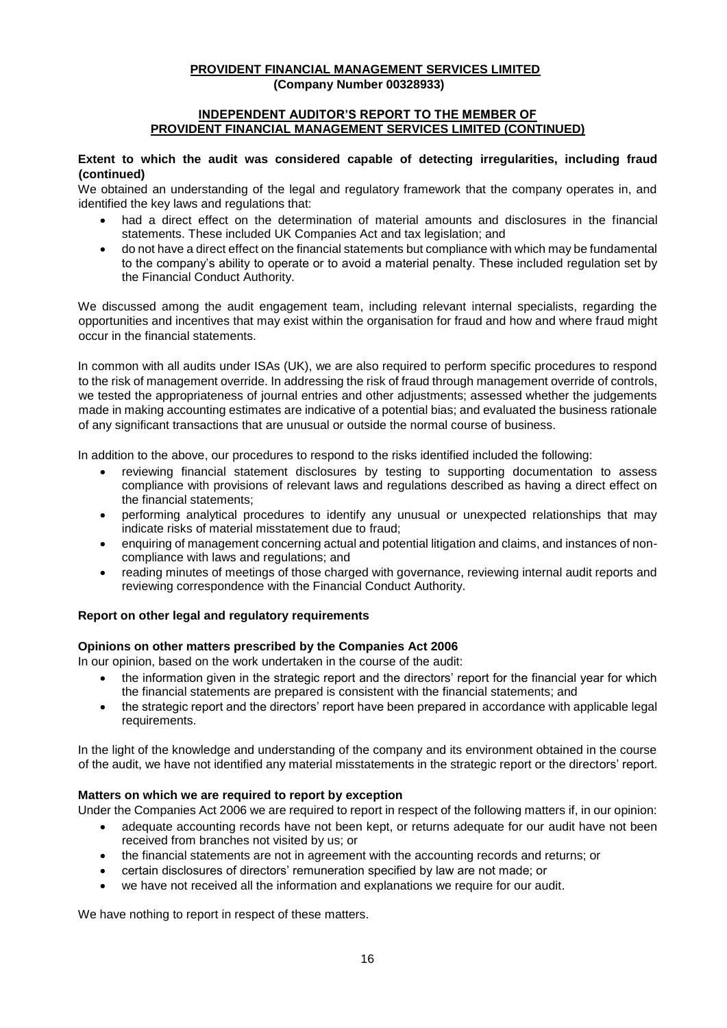### **INDEPENDENT AUDITOR'S REPORT TO THE MEMBER OF PROVIDENT FINANCIAL MANAGEMENT SERVICES LIMITED (CONTINUED)**

# **Extent to which the audit was considered capable of detecting irregularities, including fraud (continued)**

We obtained an understanding of the legal and regulatory framework that the company operates in, and identified the key laws and regulations that:

- had a direct effect on the determination of material amounts and disclosures in the financial statements. These included UK Companies Act and tax legislation; and
- do not have a direct effect on the financial statements but compliance with which may be fundamental to the company's ability to operate or to avoid a material penalty. These included regulation set by the Financial Conduct Authority.

We discussed among the audit engagement team, including relevant internal specialists, regarding the opportunities and incentives that may exist within the organisation for fraud and how and where fraud might occur in the financial statements.

In common with all audits under ISAs (UK), we are also required to perform specific procedures to respond to the risk of management override. In addressing the risk of fraud through management override of controls, we tested the appropriateness of journal entries and other adjustments; assessed whether the judgements made in making accounting estimates are indicative of a potential bias; and evaluated the business rationale of any significant transactions that are unusual or outside the normal course of business.

In addition to the above, our procedures to respond to the risks identified included the following:

- reviewing financial statement disclosures by testing to supporting documentation to assess compliance with provisions of relevant laws and regulations described as having a direct effect on the financial statements;
- performing analytical procedures to identify any unusual or unexpected relationships that may indicate risks of material misstatement due to fraud;
- enquiring of management concerning actual and potential litigation and claims, and instances of noncompliance with laws and regulations; and
- reading minutes of meetings of those charged with governance, reviewing internal audit reports and reviewing correspondence with the Financial Conduct Authority.

# **Report on other legal and regulatory requirements**

#### **Opinions on other matters prescribed by the Companies Act 2006**

In our opinion, based on the work undertaken in the course of the audit:

- the information given in the strategic report and the directors' report for the financial year for which the financial statements are prepared is consistent with the financial statements; and
- the strategic report and the directors' report have been prepared in accordance with applicable legal requirements.

In the light of the knowledge and understanding of the company and its environment obtained in the course of the audit, we have not identified any material misstatements in the strategic report or the directors' report.

# **Matters on which we are required to report by exception**

Under the Companies Act 2006 we are required to report in respect of the following matters if, in our opinion:

- adequate accounting records have not been kept, or returns adequate for our audit have not been received from branches not visited by us; or
- the financial statements are not in agreement with the accounting records and returns; or
- certain disclosures of directors' remuneration specified by law are not made; or
- we have not received all the information and explanations we require for our audit.

We have nothing to report in respect of these matters.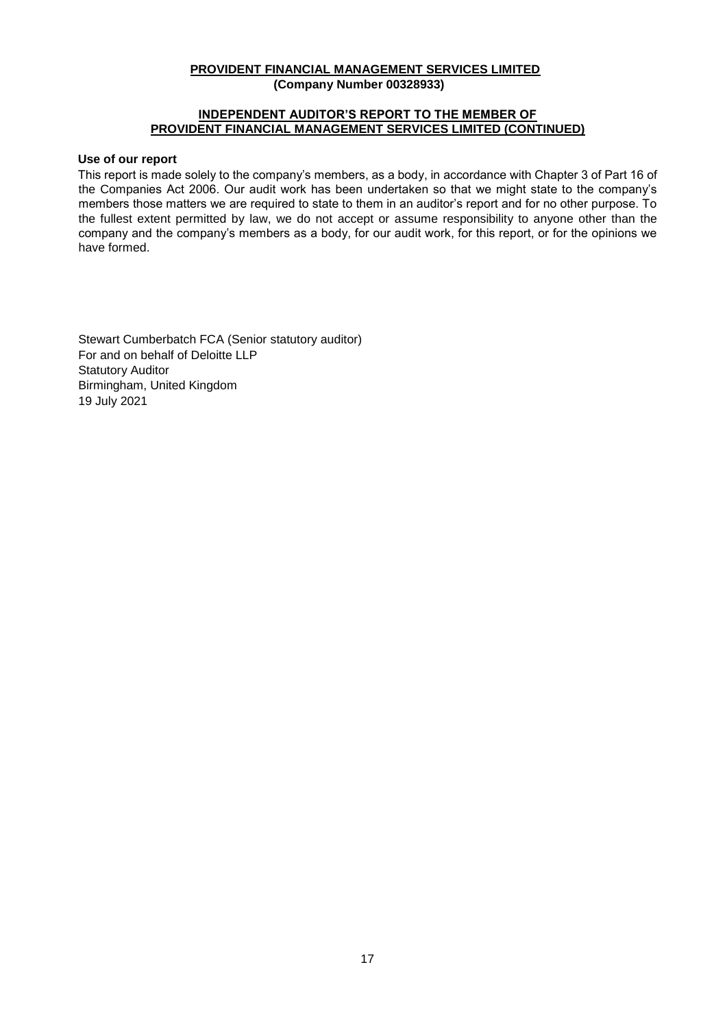# **INDEPENDENT AUDITOR'S REPORT TO THE MEMBER OF PROVIDENT FINANCIAL MANAGEMENT SERVICES LIMITED (CONTINUED)**

#### **Use of our report**

This report is made solely to the company's members, as a body, in accordance with Chapter 3 of Part 16 of the Companies Act 2006. Our audit work has been undertaken so that we might state to the company's members those matters we are required to state to them in an auditor's report and for no other purpose. To the fullest extent permitted by law, we do not accept or assume responsibility to anyone other than the company and the company's members as a body, for our audit work, for this report, or for the opinions we have formed.

Stewart Cumberbatch FCA (Senior statutory auditor) For and on behalf of Deloitte LLP Statutory Auditor Birmingham, United Kingdom 19 July 2021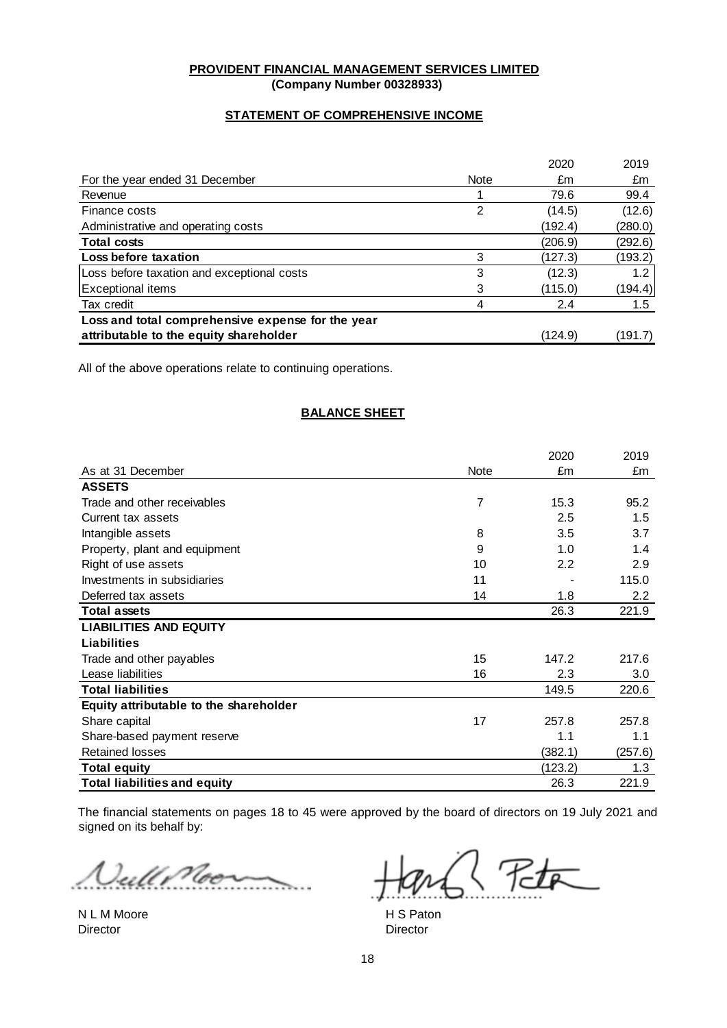# **STATEMENT OF COMPREHENSIVE INCOME**

|                                                   |      | 2020    | 2019    |
|---------------------------------------------------|------|---------|---------|
| For the year ended 31 December                    | Note | £m      | £m      |
| Revenue                                           |      | 79.6    | 99.4    |
| Finance costs                                     | 2    | (14.5)  | (12.6)  |
| Administrative and operating costs                |      | (192.4) | (280.0) |
| <b>Total costs</b>                                |      | (206.9) | (292.6) |
| Loss before taxation                              | 3    | (127.3) | (193.2) |
| Loss before taxation and exceptional costs        | 3    | (12.3)  | 1.2     |
| Exceptional items                                 | 3    | (115.0) | (194.4) |
| Tax credit                                        | 4    | 2.4     | 1.5     |
| Loss and total comprehensive expense for the year |      |         |         |
| attributable to the equity shareholder            |      | (124.9) | (191.7) |
|                                                   |      |         |         |

All of the above operations relate to continuing operations.

# **BALANCE SHEET**

|                                        |      | 2020    | 2019             |
|----------------------------------------|------|---------|------------------|
| As at 31 December                      | Note | £m      | £m               |
| <b>ASSETS</b>                          |      |         |                  |
| Trade and other receivables            | 7    | 15.3    | 95.2             |
| Current tax assets                     |      | 2.5     | 1.5              |
| Intangible assets                      | 8    | 3.5     | 3.7              |
| Property, plant and equipment          | 9    | 1.0     | 1.4              |
| Right of use assets                    | 10   | 2.2     | 2.9              |
| Investments in subsidiaries            | 11   |         | 115.0            |
| Deferred tax assets                    | 14   | 1.8     | $2.2\phantom{0}$ |
| <b>Total assets</b>                    |      | 26.3    | 221.9            |
| <b>LIABILITIES AND EQUITY</b>          |      |         |                  |
| <b>Liabilities</b>                     |      |         |                  |
| Trade and other payables               | 15   | 147.2   | 217.6            |
| Lease liabilities                      | 16   | 2.3     | 3.0              |
| <b>Total liabilities</b>               |      | 149.5   | 220.6            |
| Equity attributable to the shareholder |      |         |                  |
| Share capital                          | 17   | 257.8   | 257.8            |
| Share-based payment reserve            |      | 1.1     | 1.1              |
| <b>Retained losses</b>                 |      | (382.1) | (257.6)          |
| <b>Total equity</b>                    |      | (123.2) | 1.3              |
| <b>Total liabilities and equity</b>    |      | 26.3    | 221.9            |

The financial statements on pages 18 to 45 were approved by the board of directors on 19 July 2021 and signed on its behalf by:

*<u>Dullinoon</u>*  $\sim$ 

Director **Director** Director

MR Peta

N L M Moore H S Paton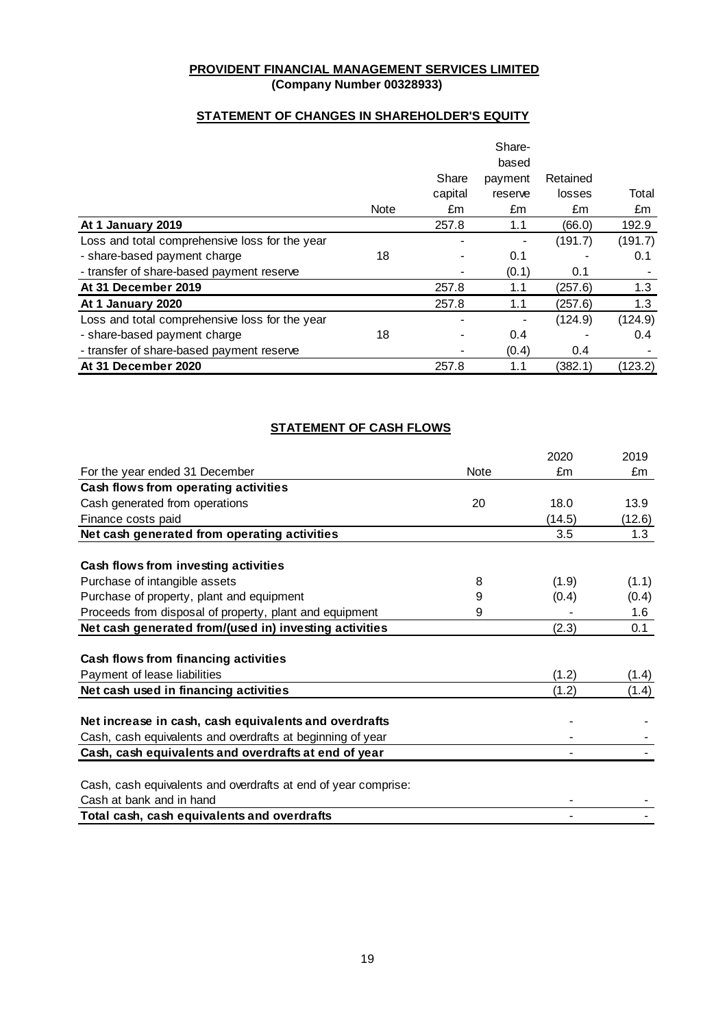# **STATEMENT OF CHANGES IN SHAREHOLDER'S EQUITY**

|                                                |      |         | Share-  |          |         |
|------------------------------------------------|------|---------|---------|----------|---------|
|                                                |      |         | based   |          |         |
|                                                |      | Share   | payment | Retained |         |
|                                                |      | capital | reserve | losses   | Total   |
|                                                | Note | £m      | £m      | £m       | £m      |
| At 1 January 2019                              |      | 257.8   | 1.1     | (66.0)   | 192.9   |
| Loss and total comprehensive loss for the year |      |         |         | (191.7)  | (191.7) |
| - share-based payment charge                   | 18   |         | 0.1     |          | 0.1     |
| - transfer of share-based payment reserve      |      |         | (0.1)   | 0.1      |         |
| At 31 December 2019                            |      | 257.8   | 1.1     | (257.6)  | 1.3     |
| At 1 January 2020                              |      | 257.8   | 1.1     | (257.6)  | 1.3     |
| Loss and total comprehensive loss for the year |      |         |         | (124.9)  | (124.9) |
| - share-based payment charge                   | 18   |         | 0.4     |          | 0.4     |
| - transfer of share-based payment reserve      |      |         | (0.4)   | 0.4      |         |
| At 31 December 2020                            |      | 257.8   | 1.1     | (382.1)  | (123.2) |

# **STATEMENT OF CASH FLOWS**

|                                                                |      | 2020   | 2019    |
|----------------------------------------------------------------|------|--------|---------|
| For the year ended 31 December                                 | Note | £m     | £m      |
| Cash flows from operating activities                           |      |        |         |
| Cash generated from operations                                 | 20   | 18.0   | 13.9    |
| Finance costs paid                                             |      | (14.5) | (12.6)  |
| Net cash generated from operating activities                   |      | 3.5    | 1.3     |
|                                                                |      |        |         |
| Cash flows from investing activities                           |      |        |         |
| Purchase of intangible assets                                  | 8    | (1.9)  | (1.1)   |
| Purchase of property, plant and equipment                      | 9    | (0.4)  | (0.4)   |
| Proceeds from disposal of property, plant and equipment        | 9    |        | $1.6\,$ |
| Net cash generated from/(used in) investing activities         |      | (2.3)  | 0.1     |
|                                                                |      |        |         |
| Cash flows from financing activities                           |      |        |         |
| Payment of lease liabilities                                   |      | (1.2)  | (1.4)   |
| Net cash used in financing activities                          |      | (1.2)  | (1.4)   |
|                                                                |      |        |         |
| Net increase in cash, cash equivalents and overdrafts          |      |        |         |
| Cash, cash equivalents and overdrafts at beginning of year     |      |        |         |
| Cash, cash equivalents and overdrafts at end of year           |      |        |         |
|                                                                |      |        |         |
| Cash, cash equivalents and overdrafts at end of year comprise: |      |        |         |
| Cash at bank and in hand                                       |      |        |         |
| Total cash, cash equivalents and overdrafts                    |      |        |         |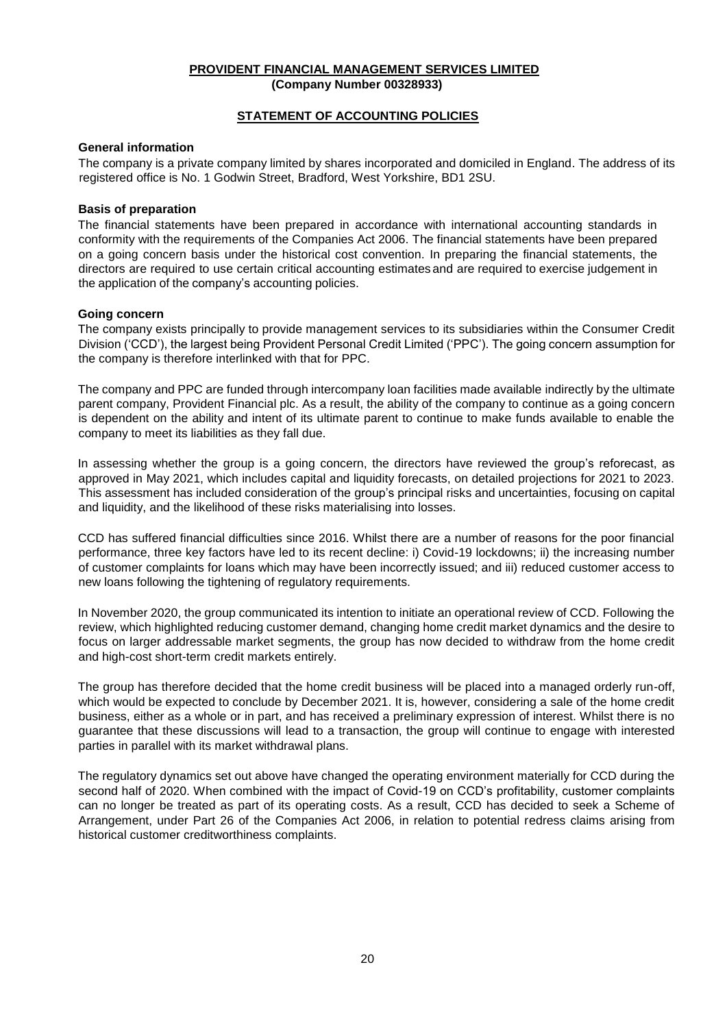# **STATEMENT OF ACCOUNTING POLICIES**

# **General information**

The company is a private company limited by shares incorporated and domiciled in England. The address of its registered office is No. 1 Godwin Street, Bradford, West Yorkshire, BD1 2SU.

#### **Basis of preparation**

The financial statements have been prepared in accordance with international accounting standards in conformity with the requirements of the Companies Act 2006. The financial statements have been prepared on a going concern basis under the historical cost convention. In preparing the financial statements, the directors are required to use certain critical accounting estimates and are required to exercise judgement in the application of the company's accounting policies.

#### **Going concern**

The company exists principally to provide management services to its subsidiaries within the Consumer Credit Division ('CCD'), the largest being Provident Personal Credit Limited ('PPC'). The going concern assumption for the company is therefore interlinked with that for PPC.

The company and PPC are funded through intercompany loan facilities made available indirectly by the ultimate parent company, Provident Financial plc. As a result, the ability of the company to continue as a going concern is dependent on the ability and intent of its ultimate parent to continue to make funds available to enable the company to meet its liabilities as they fall due.

In assessing whether the group is a going concern, the directors have reviewed the group's reforecast, as approved in May 2021, which includes capital and liquidity forecasts, on detailed projections for 2021 to 2023. This assessment has included consideration of the group's principal risks and uncertainties, focusing on capital and liquidity, and the likelihood of these risks materialising into losses.

CCD has suffered financial difficulties since 2016. Whilst there are a number of reasons for the poor financial performance, three key factors have led to its recent decline: i) Covid-19 lockdowns; ii) the increasing number of customer complaints for loans which may have been incorrectly issued; and iii) reduced customer access to new loans following the tightening of regulatory requirements.

In November 2020, the group communicated its intention to initiate an operational review of CCD. Following the review, which highlighted reducing customer demand, changing home credit market dynamics and the desire to focus on larger addressable market segments, the group has now decided to withdraw from the home credit and high-cost short-term credit markets entirely.

The group has therefore decided that the home credit business will be placed into a managed orderly run-off, which would be expected to conclude by December 2021. It is, however, considering a sale of the home credit business, either as a whole or in part, and has received a preliminary expression of interest. Whilst there is no guarantee that these discussions will lead to a transaction, the group will continue to engage with interested parties in parallel with its market withdrawal plans.

The regulatory dynamics set out above have changed the operating environment materially for CCD during the second half of 2020. When combined with the impact of Covid-19 on CCD's profitability, customer complaints can no longer be treated as part of its operating costs. As a result, CCD has decided to seek a Scheme of Arrangement, under Part 26 of the Companies Act 2006, in relation to potential redress claims arising from historical customer creditworthiness complaints.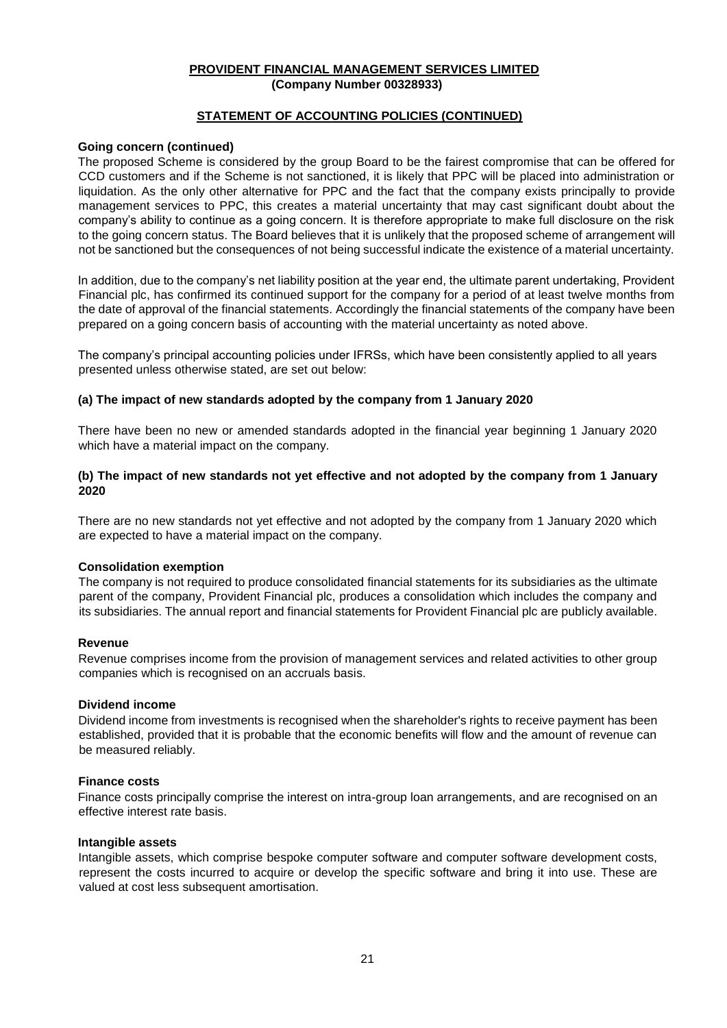# **STATEMENT OF ACCOUNTING POLICIES (CONTINUED)**

#### **Going concern (continued)**

The proposed Scheme is considered by the group Board to be the fairest compromise that can be offered for CCD customers and if the Scheme is not sanctioned, it is likely that PPC will be placed into administration or liquidation. As the only other alternative for PPC and the fact that the company exists principally to provide management services to PPC, this creates a material uncertainty that may cast significant doubt about the company's ability to continue as a going concern. It is therefore appropriate to make full disclosure on the risk to the going concern status. The Board believes that it is unlikely that the proposed scheme of arrangement will not be sanctioned but the consequences of not being successful indicate the existence of a material uncertainty.

In addition, due to the company's net liability position at the year end, the ultimate parent undertaking, Provident Financial plc, has confirmed its continued support for the company for a period of at least twelve months from the date of approval of the financial statements. Accordingly the financial statements of the company have been prepared on a going concern basis of accounting with the material uncertainty as noted above.

The company's principal accounting policies under IFRSs, which have been consistently applied to all years presented unless otherwise stated, are set out below:

#### **(a) The impact of new standards adopted by the company from 1 January 2020**

There have been no new or amended standards adopted in the financial year beginning 1 January 2020 which have a material impact on the company.

# **(b) The impact of new standards not yet effective and not adopted by the company from 1 January 2020**

There are no new standards not yet effective and not adopted by the company from 1 January 2020 which are expected to have a material impact on the company.

#### **Consolidation exemption**

The company is not required to produce consolidated financial statements for its subsidiaries as the ultimate parent of the company, Provident Financial plc, produces a consolidation which includes the company and its subsidiaries. The annual report and financial statements for Provident Financial plc are publicly available.

#### **Revenue**

Revenue comprises income from the provision of management services and related activities to other group companies which is recognised on an accruals basis.

#### **Dividend income**

Dividend income from investments is recognised when the shareholder's rights to receive payment has been established, provided that it is probable that the economic benefits will flow and the amount of revenue can be measured reliably.

#### **Finance costs**

Finance costs principally comprise the interest on intra-group loan arrangements, and are recognised on an effective interest rate basis.

#### **Intangible assets**

Intangible assets, which comprise bespoke computer software and computer software development costs, represent the costs incurred to acquire or develop the specific software and bring it into use. These are valued at cost less subsequent amortisation.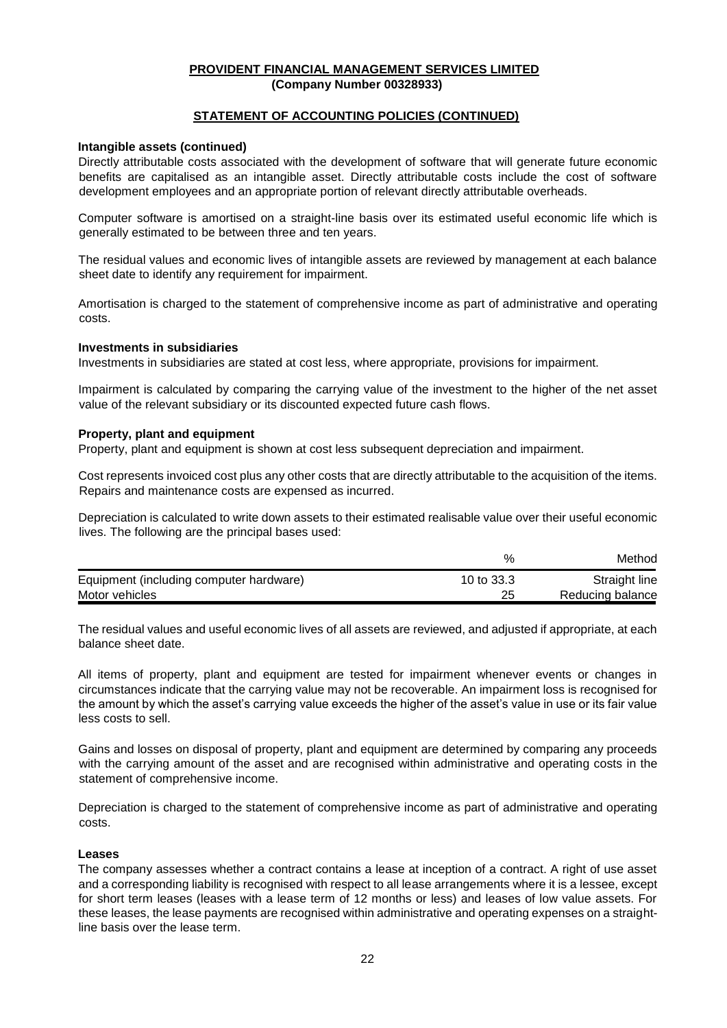# **STATEMENT OF ACCOUNTING POLICIES (CONTINUED)**

#### **Intangible assets (continued)**

Directly attributable costs associated with the development of software that will generate future economic benefits are capitalised as an intangible asset. Directly attributable costs include the cost of software development employees and an appropriate portion of relevant directly attributable overheads.

Computer software is amortised on a straight-line basis over its estimated useful economic life which is generally estimated to be between three and ten years.

The residual values and economic lives of intangible assets are reviewed by management at each balance sheet date to identify any requirement for impairment.

Amortisation is charged to the statement of comprehensive income as part of administrative and operating costs.

#### **Investments in subsidiaries**

Investments in subsidiaries are stated at cost less, where appropriate, provisions for impairment.

Impairment is calculated by comparing the carrying value of the investment to the higher of the net asset value of the relevant subsidiary or its discounted expected future cash flows.

#### **Property, plant and equipment**

Property, plant and equipment is shown at cost less subsequent depreciation and impairment.

Cost represents invoiced cost plus any other costs that are directly attributable to the acquisition of the items. Repairs and maintenance costs are expensed as incurred.

Depreciation is calculated to write down assets to their estimated realisable value over their useful economic lives. The following are the principal bases used:

|                                         | %          | Method           |
|-----------------------------------------|------------|------------------|
| Equipment (including computer hardware) | 10 to 33.3 | Straight line    |
| Motor vehicles                          |            | Reducing balance |

The residual values and useful economic lives of all assets are reviewed, and adjusted if appropriate, at each balance sheet date.

All items of property, plant and equipment are tested for impairment whenever events or changes in circumstances indicate that the carrying value may not be recoverable. An impairment loss is recognised for the amount by which the asset's carrying value exceeds the higher of the asset's value in use or its fair value less costs to sell.

Gains and losses on disposal of property, plant and equipment are determined by comparing any proceeds with the carrying amount of the asset and are recognised within administrative and operating costs in the statement of comprehensive income.

Depreciation is charged to the statement of comprehensive income as part of administrative and operating costs.

#### **Leases**

The company assesses whether a contract contains a lease at inception of a contract. A right of use asset and a corresponding liability is recognised with respect to all lease arrangements where it is a lessee, except for short term leases (leases with a lease term of 12 months or less) and leases of low value assets. For these leases, the lease payments are recognised within administrative and operating expenses on a straightline basis over the lease term.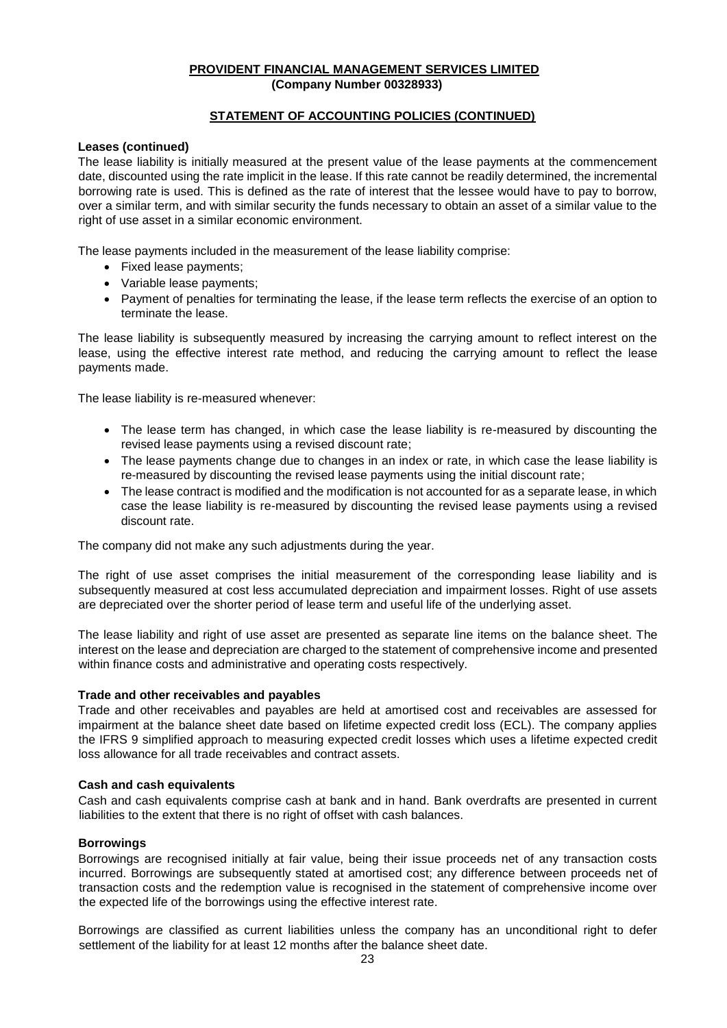# **STATEMENT OF ACCOUNTING POLICIES (CONTINUED)**

# **Leases (continued)**

The lease liability is initially measured at the present value of the lease payments at the commencement date, discounted using the rate implicit in the lease. If this rate cannot be readily determined, the incremental borrowing rate is used. This is defined as the rate of interest that the lessee would have to pay to borrow, over a similar term, and with similar security the funds necessary to obtain an asset of a similar value to the right of use asset in a similar economic environment.

The lease payments included in the measurement of the lease liability comprise:

- Fixed lease payments;
- Variable lease payments;
- Payment of penalties for terminating the lease, if the lease term reflects the exercise of an option to terminate the lease.

The lease liability is subsequently measured by increasing the carrying amount to reflect interest on the lease, using the effective interest rate method, and reducing the carrying amount to reflect the lease payments made.

The lease liability is re-measured whenever:

- The lease term has changed, in which case the lease liability is re-measured by discounting the revised lease payments using a revised discount rate;
- The lease payments change due to changes in an index or rate, in which case the lease liability is re-measured by discounting the revised lease payments using the initial discount rate;
- The lease contract is modified and the modification is not accounted for as a separate lease, in which case the lease liability is re-measured by discounting the revised lease payments using a revised discount rate.

The company did not make any such adjustments during the year.

The right of use asset comprises the initial measurement of the corresponding lease liability and is subsequently measured at cost less accumulated depreciation and impairment losses. Right of use assets are depreciated over the shorter period of lease term and useful life of the underlying asset.

The lease liability and right of use asset are presented as separate line items on the balance sheet. The interest on the lease and depreciation are charged to the statement of comprehensive income and presented within finance costs and administrative and operating costs respectively.

# **Trade and other receivables and payables**

Trade and other receivables and payables are held at amortised cost and receivables are assessed for impairment at the balance sheet date based on lifetime expected credit loss (ECL). The company applies the IFRS 9 simplified approach to measuring expected credit losses which uses a lifetime expected credit loss allowance for all trade receivables and contract assets.

# **Cash and cash equivalents**

Cash and cash equivalents comprise cash at bank and in hand. Bank overdrafts are presented in current liabilities to the extent that there is no right of offset with cash balances.

# **Borrowings**

Borrowings are recognised initially at fair value, being their issue proceeds net of any transaction costs incurred. Borrowings are subsequently stated at amortised cost; any difference between proceeds net of transaction costs and the redemption value is recognised in the statement of comprehensive income over the expected life of the borrowings using the effective interest rate.

Borrowings are classified as current liabilities unless the company has an unconditional right to defer settlement of the liability for at least 12 months after the balance sheet date.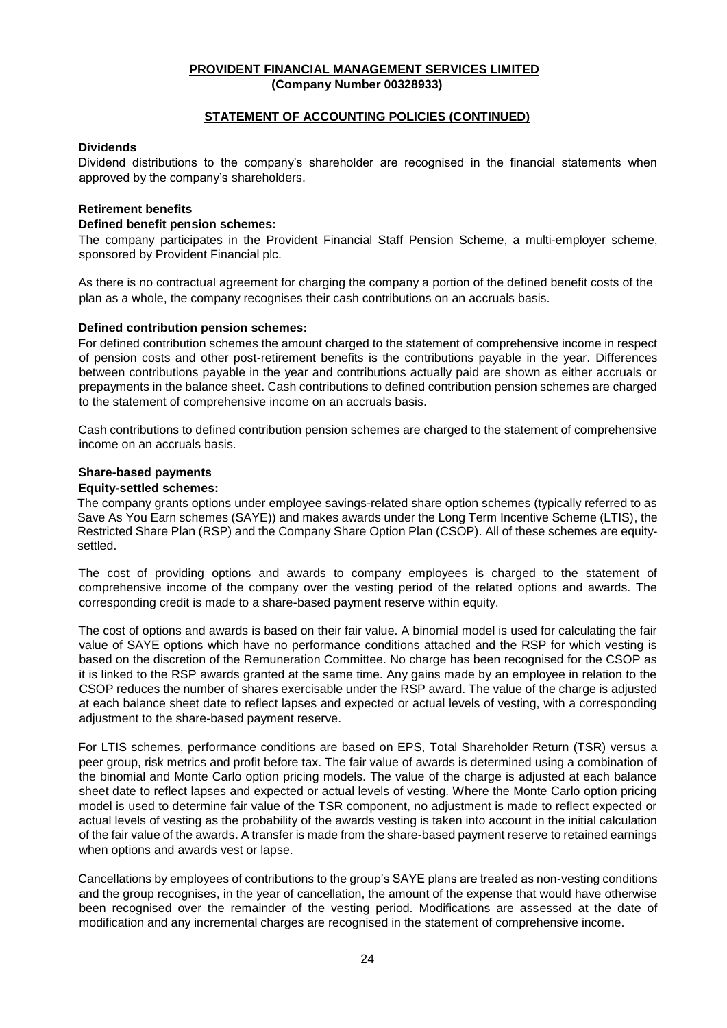# **STATEMENT OF ACCOUNTING POLICIES (CONTINUED)**

# **Dividends**

Dividend distributions to the company's shareholder are recognised in the financial statements when approved by the company's shareholders.

#### **Retirement benefits**

#### **Defined benefit pension schemes:**

The company participates in the Provident Financial Staff Pension Scheme, a multi-employer scheme, sponsored by Provident Financial plc.

As there is no contractual agreement for charging the company a portion of the defined benefit costs of the plan as a whole, the company recognises their cash contributions on an accruals basis.

#### **Defined contribution pension schemes:**

For defined contribution schemes the amount charged to the statement of comprehensive income in respect of pension costs and other post-retirement benefits is the contributions payable in the year. Differences between contributions payable in the year and contributions actually paid are shown as either accruals or prepayments in the balance sheet. Cash contributions to defined contribution pension schemes are charged to the statement of comprehensive income on an accruals basis.

Cash contributions to defined contribution pension schemes are charged to the statement of comprehensive income on an accruals basis.

#### **Share-based payments Equity-settled schemes:**

#### The company grants options under employee savings-related share option schemes (typically referred to as Save As You Earn schemes (SAYE)) and makes awards under the Long Term Incentive Scheme (LTIS), the Restricted Share Plan (RSP) and the Company Share Option Plan (CSOP). All of these schemes are equitysettled.

The cost of providing options and awards to company employees is charged to the statement of comprehensive income of the company over the vesting period of the related options and awards. The corresponding credit is made to a share-based payment reserve within equity.

The cost of options and awards is based on their fair value. A binomial model is used for calculating the fair value of SAYE options which have no performance conditions attached and the RSP for which vesting is based on the discretion of the Remuneration Committee. No charge has been recognised for the CSOP as it is linked to the RSP awards granted at the same time. Any gains made by an employee in relation to the CSOP reduces the number of shares exercisable under the RSP award. The value of the charge is adjusted at each balance sheet date to reflect lapses and expected or actual levels of vesting, with a corresponding adjustment to the share-based payment reserve.

For LTIS schemes, performance conditions are based on EPS, Total Shareholder Return (TSR) versus a peer group, risk metrics and profit before tax. The fair value of awards is determined using a combination of the binomial and Monte Carlo option pricing models. The value of the charge is adjusted at each balance sheet date to reflect lapses and expected or actual levels of vesting. Where the Monte Carlo option pricing model is used to determine fair value of the TSR component, no adjustment is made to reflect expected or actual levels of vesting as the probability of the awards vesting is taken into account in the initial calculation of the fair value of the awards. A transfer is made from the share-based payment reserve to retained earnings when options and awards vest or lapse.

Cancellations by employees of contributions to the group's SAYE plans are treated as non-vesting conditions and the group recognises, in the year of cancellation, the amount of the expense that would have otherwise been recognised over the remainder of the vesting period. Modifications are assessed at the date of modification and any incremental charges are recognised in the statement of comprehensive income.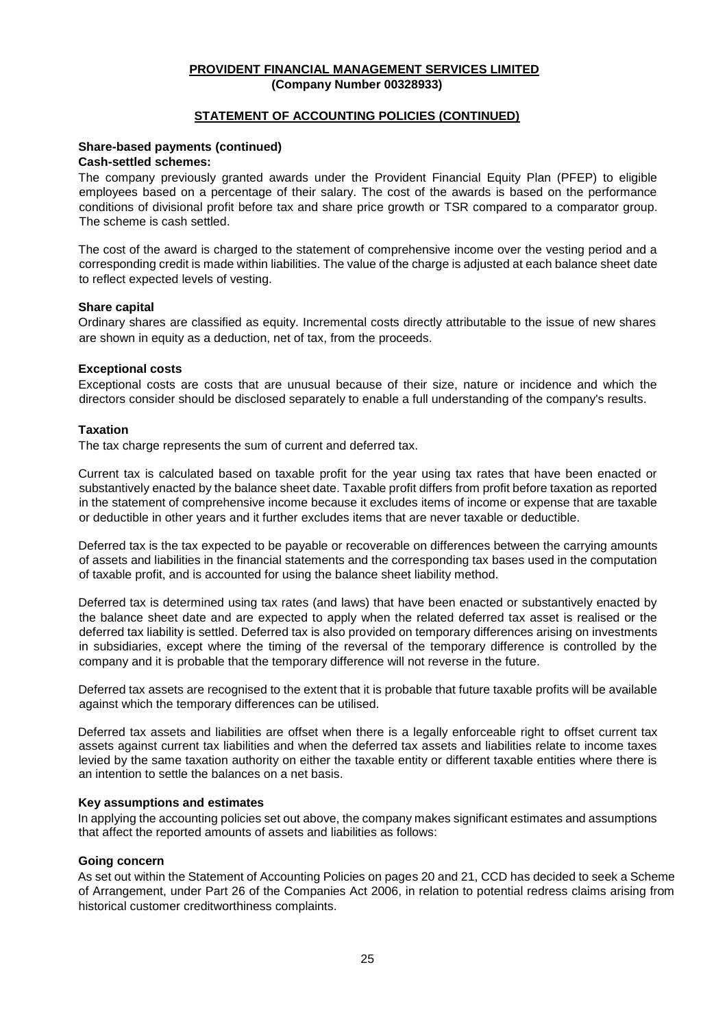# **STATEMENT OF ACCOUNTING POLICIES (CONTINUED)**

#### **Share-based payments (continued) Cash-settled schemes:**

The company previously granted awards under the Provident Financial Equity Plan (PFEP) to eligible employees based on a percentage of their salary. The cost of the awards is based on the performance conditions of divisional profit before tax and share price growth or TSR compared to a comparator group. The scheme is cash settled.

The cost of the award is charged to the statement of comprehensive income over the vesting period and a corresponding credit is made within liabilities. The value of the charge is adjusted at each balance sheet date to reflect expected levels of vesting.

#### **Share capital**

Ordinary shares are classified as equity. Incremental costs directly attributable to the issue of new shares are shown in equity as a deduction, net of tax, from the proceeds.

#### **Exceptional costs**

Exceptional costs are costs that are unusual because of their size, nature or incidence and which the directors consider should be disclosed separately to enable a full understanding of the company's results.

#### **Taxation**

The tax charge represents the sum of current and deferred tax.

Current tax is calculated based on taxable profit for the year using tax rates that have been enacted or substantively enacted by the balance sheet date. Taxable profit differs from profit before taxation as reported in the statement of comprehensive income because it excludes items of income or expense that are taxable or deductible in other years and it further excludes items that are never taxable or deductible.

Deferred tax is the tax expected to be payable or recoverable on differences between the carrying amounts of assets and liabilities in the financial statements and the corresponding tax bases used in the computation of taxable profit, and is accounted for using the balance sheet liability method.

Deferred tax is determined using tax rates (and laws) that have been enacted or substantively enacted by the balance sheet date and are expected to apply when the related deferred tax asset is realised or the deferred tax liability is settled. Deferred tax is also provided on temporary differences arising on investments in subsidiaries, except where the timing of the reversal of the temporary difference is controlled by the company and it is probable that the temporary difference will not reverse in the future.

Deferred tax assets are recognised to the extent that it is probable that future taxable profits will be available against which the temporary differences can be utilised.

Deferred tax assets and liabilities are offset when there is a legally enforceable right to offset current tax assets against current tax liabilities and when the deferred tax assets and liabilities relate to income taxes levied by the same taxation authority on either the taxable entity or different taxable entities where there is an intention to settle the balances on a net basis.

#### **Key assumptions and estimates**

In applying the accounting policies set out above, the company makes significant estimates and assumptions that affect the reported amounts of assets and liabilities as follows:

#### **Going concern**

As set out within the Statement of Accounting Policies on pages 20 and 21, CCD has decided to seek a Scheme of Arrangement, under Part 26 of the Companies Act 2006, in relation to potential redress claims arising from historical customer creditworthiness complaints.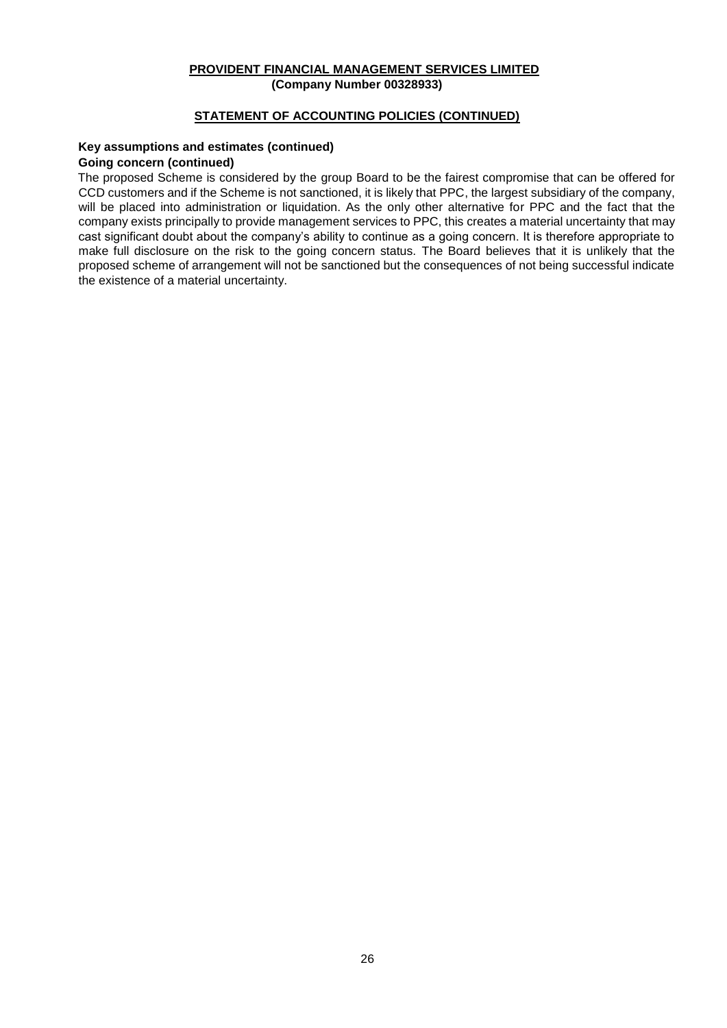# **STATEMENT OF ACCOUNTING POLICIES (CONTINUED)**

#### **Key assumptions and estimates (continued) Going concern (continued)**

The proposed Scheme is considered by the group Board to be the fairest compromise that can be offered for CCD customers and if the Scheme is not sanctioned, it is likely that PPC, the largest subsidiary of the company, will be placed into administration or liquidation. As the only other alternative for PPC and the fact that the company exists principally to provide management services to PPC, this creates a material uncertainty that may cast significant doubt about the company's ability to continue as a going concern. It is therefore appropriate to make full disclosure on the risk to the going concern status. The Board believes that it is unlikely that the proposed scheme of arrangement will not be sanctioned but the consequences of not being successful indicate the existence of a material uncertainty.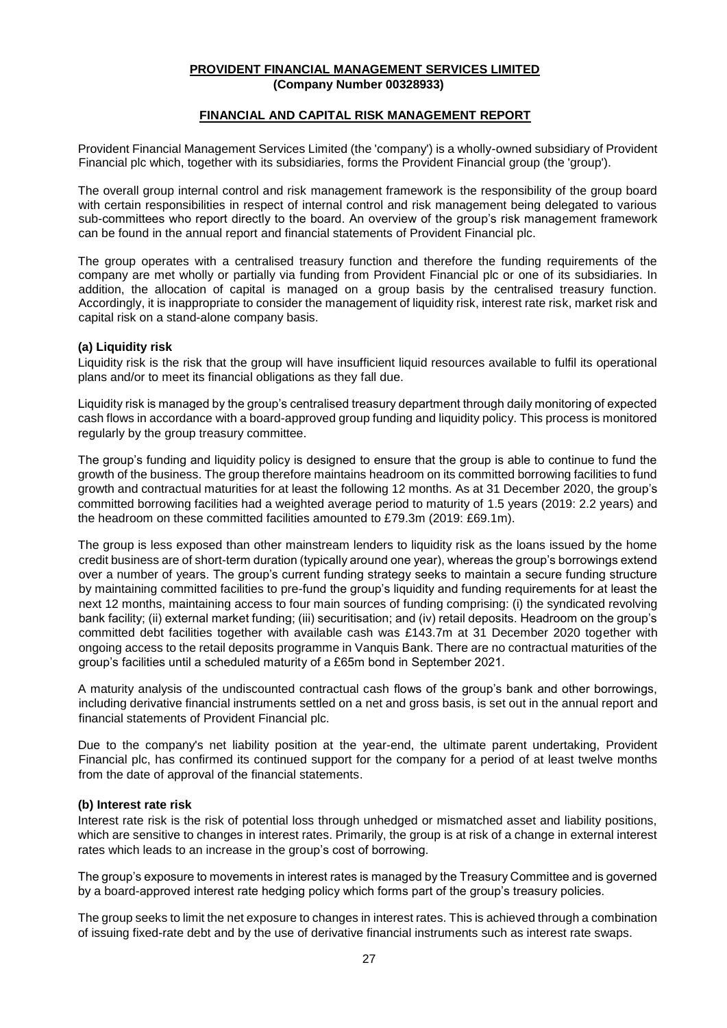# **FINANCIAL AND CAPITAL RISK MANAGEMENT REPORT**

Provident Financial Management Services Limited (the 'company') is a wholly-owned subsidiary of Provident Financial plc which, together with its subsidiaries, forms the Provident Financial group (the 'group').

The overall group internal control and risk management framework is the responsibility of the group board with certain responsibilities in respect of internal control and risk management being delegated to various sub-committees who report directly to the board. An overview of the group's risk management framework can be found in the annual report and financial statements of Provident Financial plc.

The group operates with a centralised treasury function and therefore the funding requirements of the company are met wholly or partially via funding from Provident Financial plc or one of its subsidiaries. In addition, the allocation of capital is managed on a group basis by the centralised treasury function. Accordingly, it is inappropriate to consider the management of liquidity risk, interest rate risk, market risk and capital risk on a stand-alone company basis.

#### **(a) Liquidity risk**

Liquidity risk is the risk that the group will have insufficient liquid resources available to fulfil its operational plans and/or to meet its financial obligations as they fall due.

Liquidity risk is managed by the group's centralised treasury department through daily monitoring of expected cash flows in accordance with a board-approved group funding and liquidity policy. This process is monitored regularly by the group treasury committee.

The group's funding and liquidity policy is designed to ensure that the group is able to continue to fund the growth of the business. The group therefore maintains headroom on its committed borrowing facilities to fund growth and contractual maturities for at least the following 12 months. As at 31 December 2020, the group's committed borrowing facilities had a weighted average period to maturity of 1.5 years (2019: 2.2 years) and the headroom on these committed facilities amounted to £79.3m (2019: £69.1m).

The group is less exposed than other mainstream lenders to liquidity risk as the loans issued by the home credit business are of short-term duration (typically around one year), whereas the group's borrowings extend over a number of years. The group's current funding strategy seeks to maintain a secure funding structure by maintaining committed facilities to pre-fund the group's liquidity and funding requirements for at least the next 12 months, maintaining access to four main sources of funding comprising: (i) the syndicated revolving bank facility; (ii) external market funding; (iii) securitisation; and (iv) retail deposits. Headroom on the group's committed debt facilities together with available cash was £143.7m at 31 December 2020 together with ongoing access to the retail deposits programme in Vanquis Bank. There are no contractual maturities of the group's facilities until a scheduled maturity of a £65m bond in September 2021.

A maturity analysis of the undiscounted contractual cash flows of the group's bank and other borrowings, including derivative financial instruments settled on a net and gross basis, is set out in the annual report and financial statements of Provident Financial plc.

Due to the company's net liability position at the year-end, the ultimate parent undertaking, Provident Financial plc, has confirmed its continued support for the company for a period of at least twelve months from the date of approval of the financial statements.

#### **(b) Interest rate risk**

Interest rate risk is the risk of potential loss through unhedged or mismatched asset and liability positions, which are sensitive to changes in interest rates. Primarily, the group is at risk of a change in external interest rates which leads to an increase in the group's cost of borrowing.

The group's exposure to movements in interest rates is managed by the Treasury Committee and is governed by a board-approved interest rate hedging policy which forms part of the group's treasury policies.

The group seeks to limit the net exposure to changes in interest rates. This is achieved through a combination of issuing fixed-rate debt and by the use of derivative financial instruments such as interest rate swaps.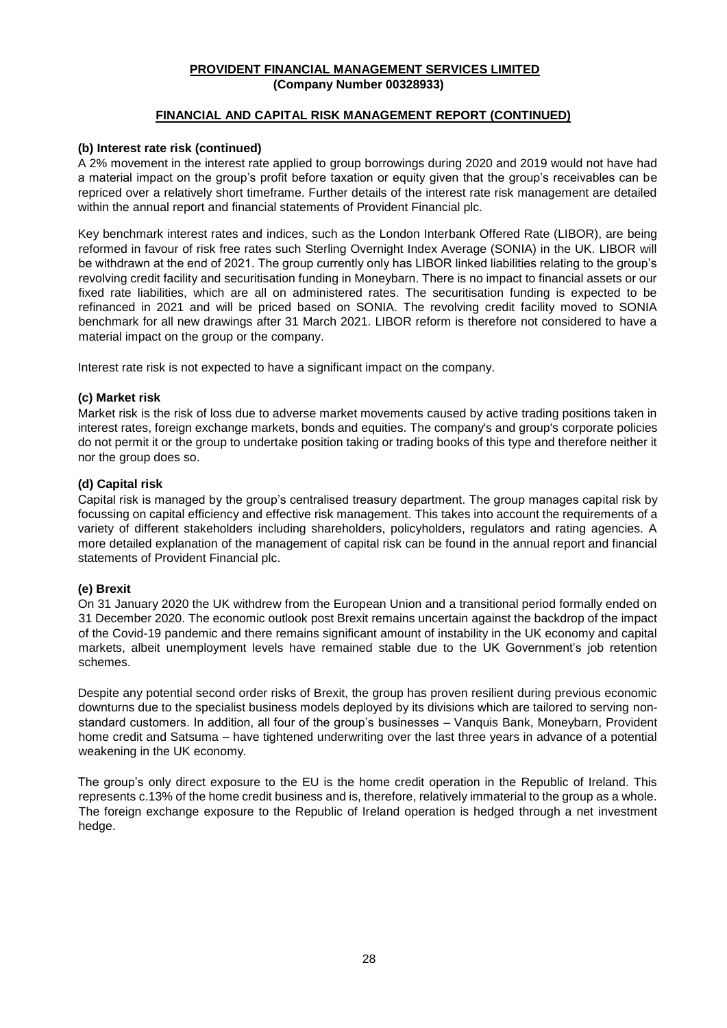# **FINANCIAL AND CAPITAL RISK MANAGEMENT REPORT (CONTINUED)**

# **(b) Interest rate risk (continued)**

A 2% movement in the interest rate applied to group borrowings during 2020 and 2019 would not have had a material impact on the group's profit before taxation or equity given that the group's receivables can be repriced over a relatively short timeframe. Further details of the interest rate risk management are detailed within the annual report and financial statements of Provident Financial plc.

Key benchmark interest rates and indices, such as the London Interbank Offered Rate (LIBOR), are being reformed in favour of risk free rates such Sterling Overnight Index Average (SONIA) in the UK. LIBOR will be withdrawn at the end of 2021. The group currently only has LIBOR linked liabilities relating to the group's revolving credit facility and securitisation funding in Moneybarn. There is no impact to financial assets or our fixed rate liabilities, which are all on administered rates. The securitisation funding is expected to be refinanced in 2021 and will be priced based on SONIA. The revolving credit facility moved to SONIA benchmark for all new drawings after 31 March 2021. LIBOR reform is therefore not considered to have a material impact on the group or the company.

Interest rate risk is not expected to have a significant impact on the company.

#### **(c) Market risk**

Market risk is the risk of loss due to adverse market movements caused by active trading positions taken in interest rates, foreign exchange markets, bonds and equities. The company's and group's corporate policies do not permit it or the group to undertake position taking or trading books of this type and therefore neither it nor the group does so.

#### **(d) Capital risk**

Capital risk is managed by the group's centralised treasury department. The group manages capital risk by focussing on capital efficiency and effective risk management. This takes into account the requirements of a variety of different stakeholders including shareholders, policyholders, regulators and rating agencies. A more detailed explanation of the management of capital risk can be found in the annual report and financial statements of Provident Financial plc.

#### **(e) Brexit**

On 31 January 2020 the UK withdrew from the European Union and a transitional period formally ended on 31 December 2020. The economic outlook post Brexit remains uncertain against the backdrop of the impact of the Covid-19 pandemic and there remains significant amount of instability in the UK economy and capital markets, albeit unemployment levels have remained stable due to the UK Government's job retention schemes.

Despite any potential second order risks of Brexit, the group has proven resilient during previous economic downturns due to the specialist business models deployed by its divisions which are tailored to serving nonstandard customers. In addition, all four of the group's businesses – Vanquis Bank, Moneybarn, Provident home credit and Satsuma – have tightened underwriting over the last three years in advance of a potential weakening in the UK economy.

The group's only direct exposure to the EU is the home credit operation in the Republic of Ireland. This represents c.13% of the home credit business and is, therefore, relatively immaterial to the group as a whole. The foreign exchange exposure to the Republic of Ireland operation is hedged through a net investment hedge.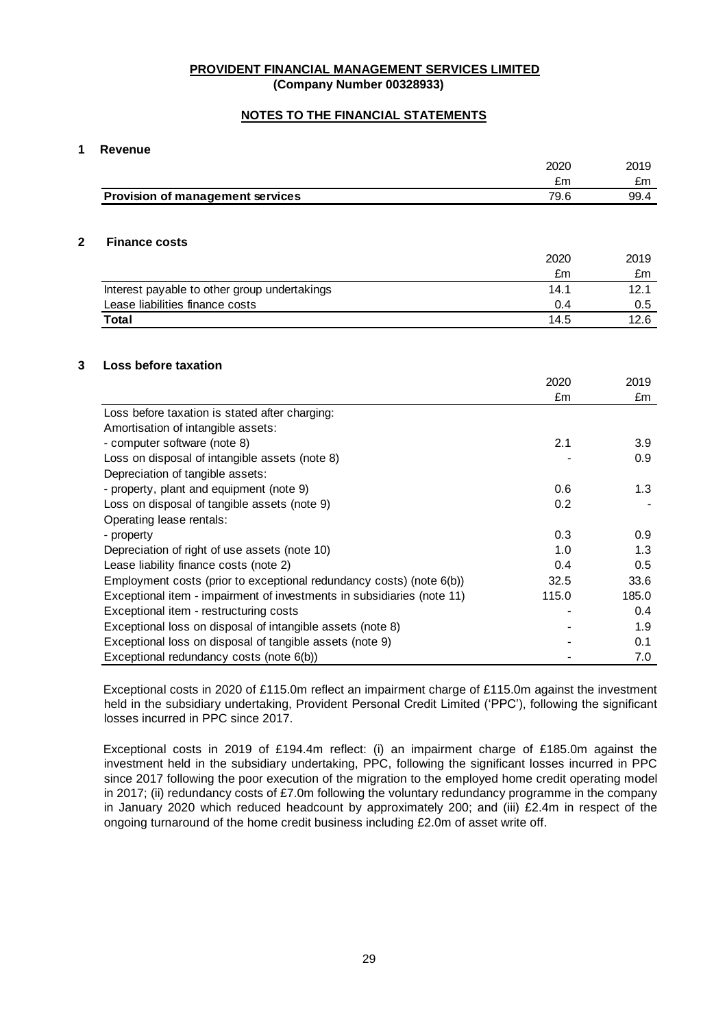# **NOTES TO THE FINANCIAL STATEMENTS**

#### **1 Revenue**

|                                                                        | 2020  | 2019  |
|------------------------------------------------------------------------|-------|-------|
|                                                                        | £m    | £m    |
| <b>Provision of management services</b>                                | 79.6  | 99.4  |
|                                                                        |       |       |
| <b>Finance costs</b>                                                   |       |       |
|                                                                        | 2020  | 2019  |
|                                                                        | £m    | £m    |
| Interest payable to other group undertakings                           | 14.1  | 12.1  |
| Lease liabilities finance costs                                        | 0.4   | 0.5   |
| Total                                                                  | 14.5  | 12.6  |
|                                                                        |       |       |
| Loss before taxation                                                   |       |       |
|                                                                        | 2020  | 2019  |
|                                                                        | £m    | £m    |
| Loss before taxation is stated after charging:                         |       |       |
| Amortisation of intangible assets:                                     |       |       |
| - computer software (note 8)                                           | 2.1   | 3.9   |
| Loss on disposal of intangible assets (note 8)                         |       | 0.9   |
| Depreciation of tangible assets:                                       |       |       |
| - property, plant and equipment (note 9)                               | 0.6   | 1.3   |
| Loss on disposal of tangible assets (note 9)                           | 0.2   |       |
| Operating lease rentals:                                               |       |       |
| - property                                                             | 0.3   | 0.9   |
| Depreciation of right of use assets (note 10)                          | 1.0   | 1.3   |
| Lease liability finance costs (note 2)                                 | 0.4   | 0.5   |
| Employment costs (prior to exceptional redundancy costs) (note 6(b))   | 32.5  | 33.6  |
| Exceptional item - impairment of investments in subsidiaries (note 11) | 115.0 | 185.0 |
| Exceptional item - restructuring costs                                 |       | 0.4   |
| Exceptional loss on disposal of intangible assets (note 8)             |       | 1.9   |
| Exceptional loss on disposal of tangible assets (note 9)               |       | 0.1   |
| Exceptional redundancy costs (note 6(b))                               |       | 7.0   |

Exceptional costs in 2020 of £115.0m reflect an impairment charge of £115.0m against the investment held in the subsidiary undertaking, Provident Personal Credit Limited ('PPC'), following the significant losses incurred in PPC since 2017.

Exceptional costs in 2019 of £194.4m reflect: (i) an impairment charge of £185.0m against the investment held in the subsidiary undertaking, PPC, following the significant losses incurred in PPC since 2017 following the poor execution of the migration to the employed home credit operating model in 2017; (ii) redundancy costs of £7.0m following the voluntary redundancy programme in the company in January 2020 which reduced headcount by approximately 200; and (iii) £2.4m in respect of the ongoing turnaround of the home credit business including £2.0m of asset write off.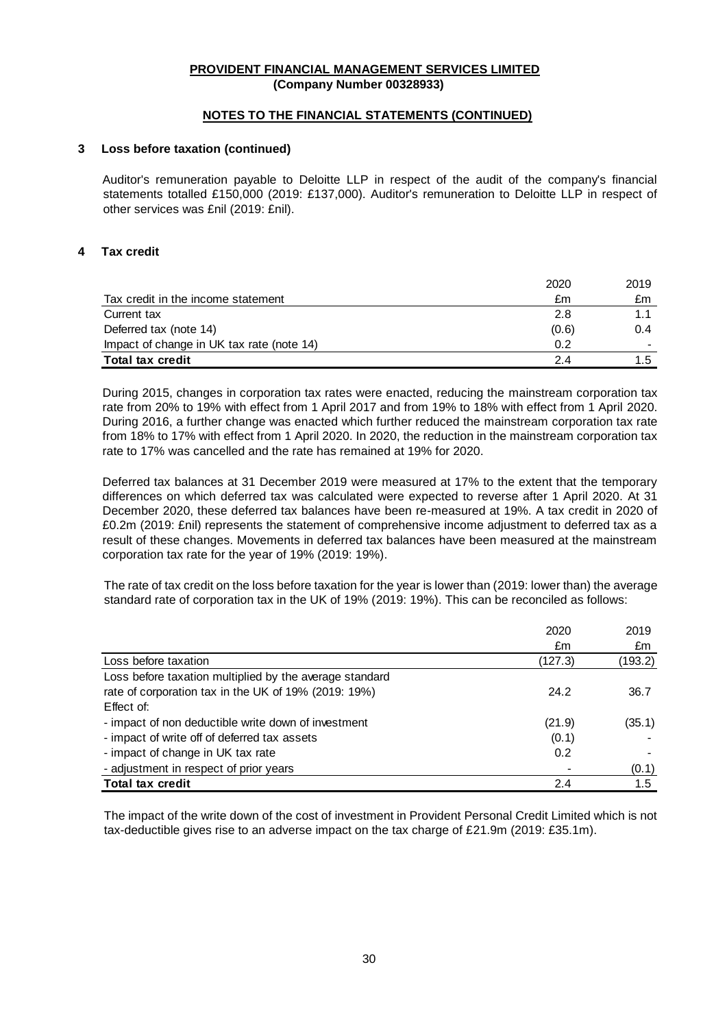# **NOTES TO THE FINANCIAL STATEMENTS (CONTINUED)**

#### **3 Loss before taxation (continued)**

Auditor's remuneration payable to Deloitte LLP in respect of the audit of the company's financial statements totalled £150,000 (2019: £137,000). Auditor's remuneration to Deloitte LLP in respect of other services was £nil (2019: £nil).

# **4 Tax credit**

|                                           | 2020  | 2019 |
|-------------------------------------------|-------|------|
| Tax credit in the income statement        | £m    | £m   |
| Current tax                               | 2.8   |      |
| Deferred tax (note 14)                    | (0.6) | 0.4  |
| Impact of change in UK tax rate (note 14) | 0.2   |      |
| <b>Total tax credit</b>                   | 2.4   |      |

During 2015, changes in corporation tax rates were enacted, reducing the mainstream corporation tax rate from 20% to 19% with effect from 1 April 2017 and from 19% to 18% with effect from 1 April 2020. During 2016, a further change was enacted which further reduced the mainstream corporation tax rate from 18% to 17% with effect from 1 April 2020. In 2020, the reduction in the mainstream corporation tax rate to 17% was cancelled and the rate has remained at 19% for 2020.

Deferred tax balances at 31 December 2019 were measured at 17% to the extent that the temporary differences on which deferred tax was calculated were expected to reverse after 1 April 2020. At 31 December 2020, these deferred tax balances have been re-measured at 19%. A tax credit in 2020 of £0.2m (2019: £nil) represents the statement of comprehensive income adjustment to deferred tax as a result of these changes. Movements in deferred tax balances have been measured at the mainstream corporation tax rate for the year of 19% (2019: 19%).

The rate of tax credit on the loss before taxation for the year is lower than (2019: lower than) the average standard rate of corporation tax in the UK of 19% (2019: 19%). This can be reconciled as follows:

|                                                         | 2020    | 2019    |
|---------------------------------------------------------|---------|---------|
|                                                         | £m      | £m      |
| Loss before taxation                                    | (127.3) | (193.2) |
| Loss before taxation multiplied by the average standard |         |         |
| rate of corporation tax in the UK of 19% (2019: 19%)    | 24.2    | 36.7    |
| Effect of:                                              |         |         |
| - impact of non deductible write down of investment     | (21.9)  | (35.1)  |
| - impact of write off of deferred tax assets            | (0.1)   |         |
| - impact of change in UK tax rate                       | 0.2     |         |
| - adjustment in respect of prior years                  |         | (0.1)   |
| <b>Total tax credit</b>                                 | 2.4     | 1.5     |

The impact of the write down of the cost of investment in Provident Personal Credit Limited which is not tax-deductible gives rise to an adverse impact on the tax charge of £21.9m (2019: £35.1m).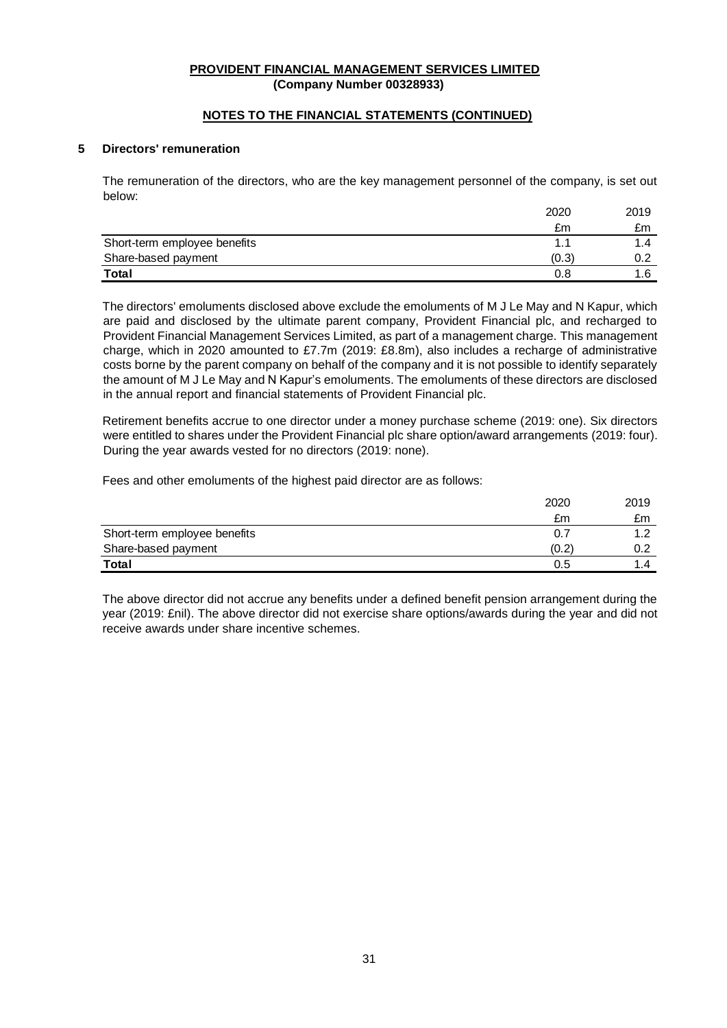# **NOTES TO THE FINANCIAL STATEMENTS (CONTINUED)**

# **5 Directors' remuneration**

The remuneration of the directors, who are the key management personnel of the company, is set out below:

|                              | 2020  | 2019 |
|------------------------------|-------|------|
|                              | £m    | £m   |
| Short-term employee benefits |       | 1.4  |
| Share-based payment          | (0.3) | 0.2  |
| <b>Total</b>                 | 0.8   | 1.6  |

The directors' emoluments disclosed above exclude the emoluments of M J Le May and N Kapur, which are paid and disclosed by the ultimate parent company, Provident Financial plc, and recharged to Provident Financial Management Services Limited, as part of a management charge. This management charge, which in 2020 amounted to £7.7m (2019: £8.8m), also includes a recharge of administrative costs borne by the parent company on behalf of the company and it is not possible to identify separately the amount of M J Le May and N Kapur's emoluments. The emoluments of these directors are disclosed in the annual report and financial statements of Provident Financial plc.

Retirement benefits accrue to one director under a money purchase scheme (2019: one). Six directors were entitled to shares under the Provident Financial plc share option/award arrangements (2019: four). During the year awards vested for no directors (2019: none).

Fees and other emoluments of the highest paid director are as follows:

|                              | 2020  | 2019 |
|------------------------------|-------|------|
|                              | £m    | £m   |
| Short-term employee benefits | 0.7   |      |
| Share-based payment          | (0.2) | 0.2  |
| Total                        | 0.5   | 14   |

The above director did not accrue any benefits under a defined benefit pension arrangement during the year (2019: £nil). The above director did not exercise share options/awards during the year and did not receive awards under share incentive schemes.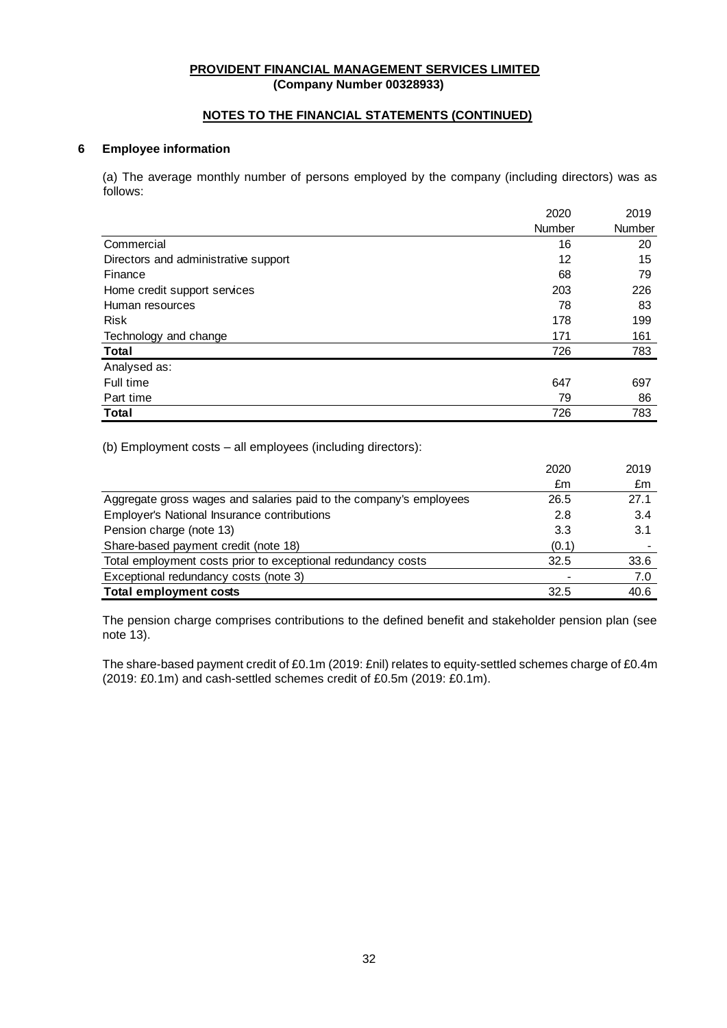# **NOTES TO THE FINANCIAL STATEMENTS (CONTINUED)**

# **6 Employee information**

(a) The average monthly number of persons employed by the company (including directors) was as follows:

|                                      | 2020          | 2019          |
|--------------------------------------|---------------|---------------|
|                                      | <b>Number</b> | <b>Number</b> |
| Commercial                           | 16            | 20            |
| Directors and administrative support | 12            | 15            |
| Finance                              | 68            | 79            |
| Home credit support services         | 203           | 226           |
| Human resources                      | 78            | 83            |
| <b>Risk</b>                          | 178           | 199           |
| Technology and change                | 171           | 161           |
| Total                                | 726           | 783           |
| Analysed as:                         |               |               |
| Full time                            | 647           | 697           |
| Part time                            | 79            | 86            |
| <b>Total</b>                         | 726           | 783           |

(b) Employment costs – all employees (including directors):

|                                                                    | 2020  | 2019 |
|--------------------------------------------------------------------|-------|------|
|                                                                    | £m    | £m   |
| Aggregate gross wages and salaries paid to the company's employees | 26.5  | 27.1 |
| <b>Employer's National Insurance contributions</b>                 | 2.8   | 3.4  |
| Pension charge (note 13)                                           | 3.3   | 3.1  |
| Share-based payment credit (note 18)                               | (0.1) |      |
| Total employment costs prior to exceptional redundancy costs       | 32.5  | 33.6 |
| Exceptional redundancy costs (note 3)                              |       | 7.0  |
| <b>Total employment costs</b>                                      | 32.5  | 40.6 |

The pension charge comprises contributions to the defined benefit and stakeholder pension plan (see note 13).

The share-based payment credit of £0.1m (2019: £nil) relates to equity-settled schemes charge of £0.4m (2019: £0.1m) and cash-settled schemes credit of £0.5m (2019: £0.1m).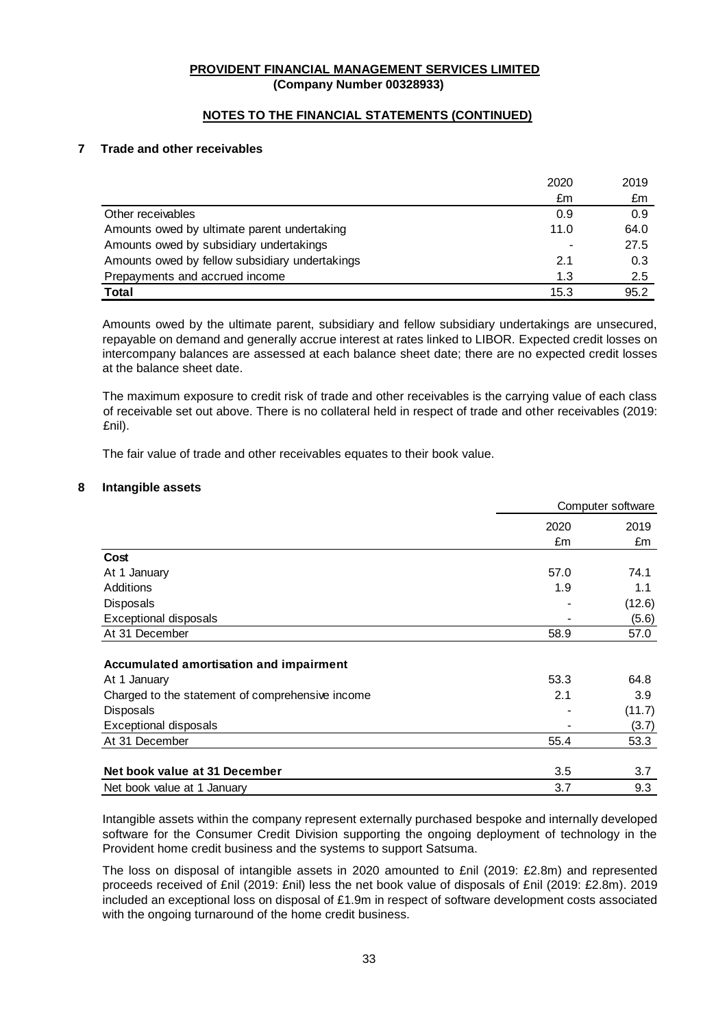# **NOTES TO THE FINANCIAL STATEMENTS (CONTINUED)**

# **7 Trade and other receivables**

|                                                | 2020 | 2019 |
|------------------------------------------------|------|------|
|                                                | £m   | £m   |
| Other receivables                              | 0.9  | 0.9  |
| Amounts owed by ultimate parent undertaking    | 11.0 | 64.0 |
| Amounts owed by subsidiary undertakings        |      | 27.5 |
| Amounts owed by fellow subsidiary undertakings | 2.1  | 0.3  |
| Prepayments and accrued income                 | 1.3  | 2.5  |
| Total                                          | 15.3 | 95.2 |

Amounts owed by the ultimate parent, subsidiary and fellow subsidiary undertakings are unsecured, repayable on demand and generally accrue interest at rates linked to LIBOR. Expected credit losses on intercompany balances are assessed at each balance sheet date; there are no expected credit losses at the balance sheet date.

The maximum exposure to credit risk of trade and other receivables is the carrying value of each class of receivable set out above. There is no collateral held in respect of trade and other receivables (2019: £nil).

The fair value of trade and other receivables equates to their book value.

#### **8 Intangible assets**

|                                                  | Computer software |        |
|--------------------------------------------------|-------------------|--------|
|                                                  | 2020              | 2019   |
|                                                  | £m                | £m     |
| Cost                                             |                   |        |
| At 1 January                                     | 57.0              | 74.1   |
| Additions                                        | 1.9               | 1.1    |
| <b>Disposals</b>                                 |                   | (12.6) |
| <b>Exceptional disposals</b>                     |                   | (5.6)  |
| At 31 December                                   | 58.9              | 57.0   |
|                                                  |                   |        |
| Accumulated amortisation and impairment          |                   |        |
| At 1 January                                     | 53.3              | 64.8   |
| Charged to the statement of comprehensive income | 2.1               | 3.9    |
| <b>Disposals</b>                                 |                   | (11.7) |
| Exceptional disposals                            |                   | (3.7)  |
| At 31 December                                   | 55.4              | 53.3   |
|                                                  |                   |        |
| Net book value at 31 December                    | 3.5               | 3.7    |
| Net book value at 1 January                      | 3.7               | 9.3    |

Intangible assets within the company represent externally purchased bespoke and internally developed software for the Consumer Credit Division supporting the ongoing deployment of technology in the Provident home credit business and the systems to support Satsuma.

The loss on disposal of intangible assets in 2020 amounted to £nil (2019: £2.8m) and represented proceeds received of £nil (2019: £nil) less the net book value of disposals of £nil (2019: £2.8m). 2019 included an exceptional loss on disposal of £1.9m in respect of software development costs associated with the ongoing turnaround of the home credit business.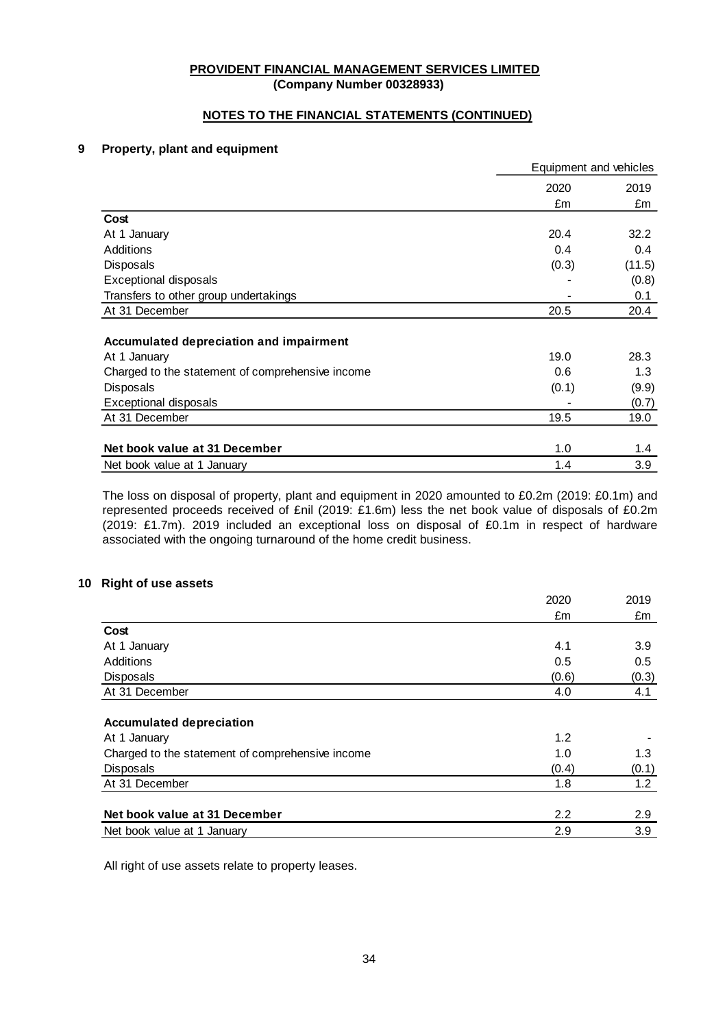# **NOTES TO THE FINANCIAL STATEMENTS (CONTINUED)**

# **9 Property, plant and equipment**

|                                                  | Equipment and vehicles |               |
|--------------------------------------------------|------------------------|---------------|
|                                                  | 2020                   | 2019          |
|                                                  | £m                     | £m            |
| Cost                                             |                        |               |
| At 1 January                                     | 20.4                   | 32.2          |
| <b>Additions</b>                                 | 0.4                    | $0.4^{\circ}$ |
| <b>Disposals</b>                                 | (0.3)                  | (11.5)        |
| <b>Exceptional disposals</b>                     |                        | (0.8)         |
| Transfers to other group undertakings            |                        | 0.1           |
| At 31 December                                   | 20.5                   | 20.4          |
| Accumulated depreciation and impairment          |                        |               |
| At 1 January                                     | 19.0                   | 28.3          |
| Charged to the statement of comprehensive income | 0.6                    | 1.3           |
| <b>Disposals</b>                                 | (0.1)                  | (9.9)         |
| <b>Exceptional disposals</b>                     |                        | (0.7)         |
| At 31 December                                   | 19.5                   | 19.0          |
| Net book value at 31 December                    | 1.0                    | 1.4           |
| Net book value at 1 January                      | 1.4                    | 3.9           |

The loss on disposal of property, plant and equipment in 2020 amounted to £0.2m (2019: £0.1m) and represented proceeds received of £nil (2019: £1.6m) less the net book value of disposals of £0.2m (2019: £1.7m). 2019 included an exceptional loss on disposal of £0.1m in respect of hardware associated with the ongoing turnaround of the home credit business.

#### **10 Right of use assets**

|                                                  | 2020  | 2019  |
|--------------------------------------------------|-------|-------|
|                                                  | £m    | £m    |
| Cost                                             |       |       |
| At 1 January                                     | 4.1   | 3.9   |
| Additions                                        | 0.5   | 0.5   |
| <b>Disposals</b>                                 | (0.6) | (0.3) |
| At 31 December                                   | 4.0   | 4.1   |
| <b>Accumulated depreciation</b>                  |       |       |
| At 1 January                                     | 1.2   |       |
| Charged to the statement of comprehensive income | 1.0   | 1.3   |
| <b>Disposals</b>                                 | (0.4) | (0.1) |
| At 31 December                                   | 1.8   | 1.2   |
|                                                  |       |       |
| Net book value at 31 December                    | 2.2   | 2.9   |
| Net book value at 1 January                      | 2.9   | 3.9   |

All right of use assets relate to property leases.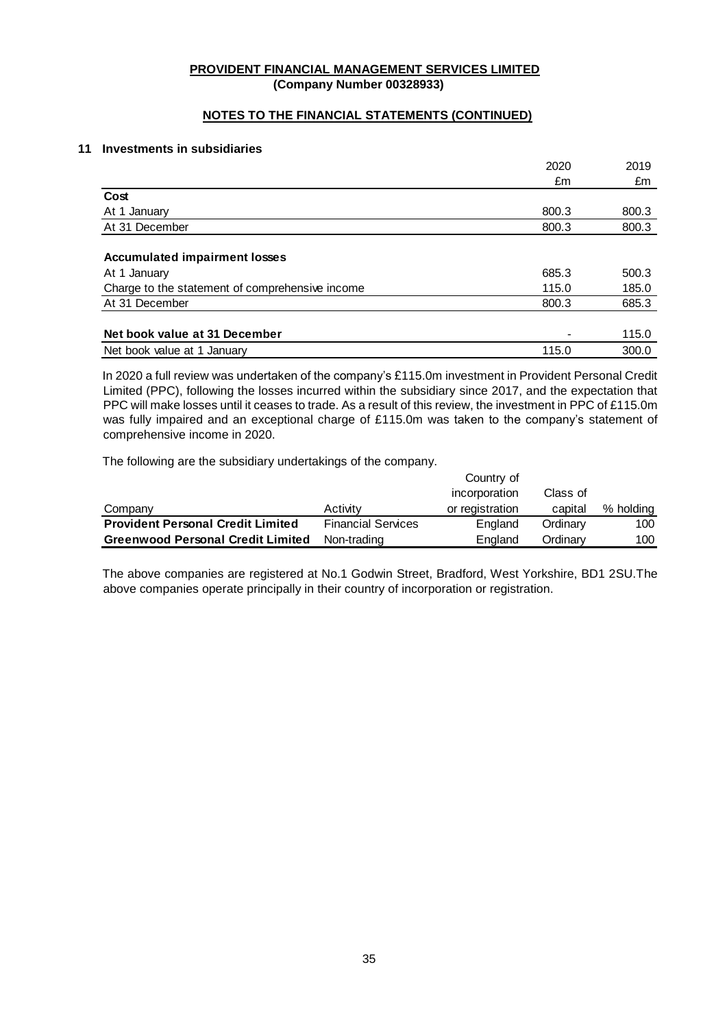# **NOTES TO THE FINANCIAL STATEMENTS (CONTINUED)**

#### **11 Investments in subsidiaries**

|                                                 | 2020  | 2019  |
|-------------------------------------------------|-------|-------|
|                                                 | £m    | £m    |
| Cost                                            |       |       |
| At 1 January                                    | 800.3 | 800.3 |
| At 31 December                                  | 800.3 | 800.3 |
|                                                 |       |       |
| <b>Accumulated impairment losses</b>            |       |       |
| At 1 January                                    | 685.3 | 500.3 |
| Charge to the statement of comprehensive income | 115.0 | 185.0 |
| At 31 December                                  | 800.3 | 685.3 |
|                                                 |       |       |
| Net book value at 31 December                   |       | 115.0 |
| Net book value at 1 January                     | 115.0 | 300.0 |

In 2020 a full review was undertaken of the company's £115.0m investment in Provident Personal Credit Limited (PPC), following the losses incurred within the subsidiary since 2017, and the expectation that PPC will make losses until it ceases to trade. As a result of this review, the investment in PPC of £115.0m was fully impaired and an exceptional charge of £115.0m was taken to the company's statement of comprehensive income in 2020.

The following are the subsidiary undertakings of the company.

|                                          |                           | Country of      |          |           |
|------------------------------------------|---------------------------|-----------------|----------|-----------|
|                                          |                           | incorporation   | Class of |           |
| Company                                  | Activity                  | or registration | capital  | % holding |
| <b>Provident Personal Credit Limited</b> | <b>Financial Services</b> | England         | Ordinary | 100       |
| <b>Greenwood Personal Credit Limited</b> | Non-trading               | England         | Ordinarv | 100       |
|                                          |                           |                 |          |           |

The above companies are registered at No.1 Godwin Street, Bradford, West Yorkshire, BD1 2SU.The above companies operate principally in their country of incorporation or registration.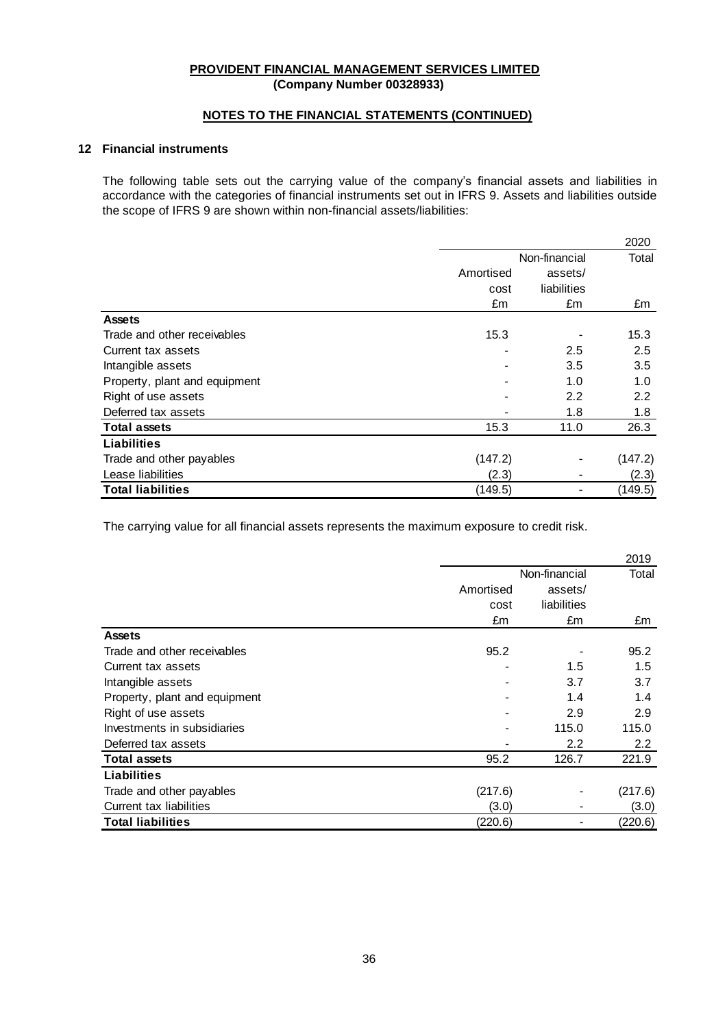# **NOTES TO THE FINANCIAL STATEMENTS (CONTINUED)**

# **12 Financial instruments**

The following table sets out the carrying value of the company's financial assets and liabilities in accordance with the categories of financial instruments set out in IFRS 9. Assets and liabilities outside the scope of IFRS 9 are shown within non-financial assets/liabilities:

|                               |                          |                          | 2020    |
|-------------------------------|--------------------------|--------------------------|---------|
|                               |                          | Non-financial            | Total   |
|                               | Amortised                | assets/                  |         |
|                               | cost                     | liabilities              |         |
|                               | £m                       | £m                       | £m      |
| <b>Assets</b>                 |                          |                          |         |
| Trade and other receivables   | 15.3                     |                          | 15.3    |
| Current tax assets            |                          | 2.5                      | 2.5     |
| Intangible assets             |                          | 3.5                      | 3.5     |
| Property, plant and equipment |                          | 1.0                      | 1.0     |
| Right of use assets           |                          | 2.2                      | 2.2     |
| Deferred tax assets           | $\overline{\phantom{a}}$ | 1.8                      | 1.8     |
| <b>Total assets</b>           | 15.3                     | 11.0                     | 26.3    |
| <b>Liabilities</b>            |                          |                          |         |
| Trade and other payables      | (147.2)                  |                          | (147.2) |
| Lease liabilities             | (2.3)                    | $\overline{\phantom{0}}$ | (2.3)   |
| <b>Total liabilities</b>      | (149.5)                  |                          | (149.5) |

The carrying value for all financial assets represents the maximum exposure to credit risk.

|                               |           |                          | 2019             |  |
|-------------------------------|-----------|--------------------------|------------------|--|
|                               |           | Non-financial            |                  |  |
|                               | Amortised | assets/                  |                  |  |
|                               | cost      | liabilities              |                  |  |
|                               | £m        | £m                       | £m               |  |
| <b>Assets</b>                 |           |                          |                  |  |
| Trade and other receivables   | 95.2      |                          | 95.2             |  |
| Current tax assets            |           | 1.5                      | 1.5              |  |
| Intangible assets             |           | 3.7                      | 3.7              |  |
| Property, plant and equipment |           | 1.4                      | 1.4              |  |
| Right of use assets           |           | 2.9                      | 2.9              |  |
| Investments in subsidiaries   |           | 115.0                    | 115.0            |  |
| Deferred tax assets           |           | 2.2                      | $2.2\phantom{0}$ |  |
| <b>Total assets</b>           | 95.2      | 126.7                    | 221.9            |  |
| <b>Liabilities</b>            |           |                          |                  |  |
| Trade and other payables      | (217.6)   |                          | (217.6)          |  |
| Current tax liabilities       | (3.0)     | $\overline{\phantom{0}}$ | (3.0)            |  |
| <b>Total liabilities</b>      | (220.6)   |                          | (220.6)          |  |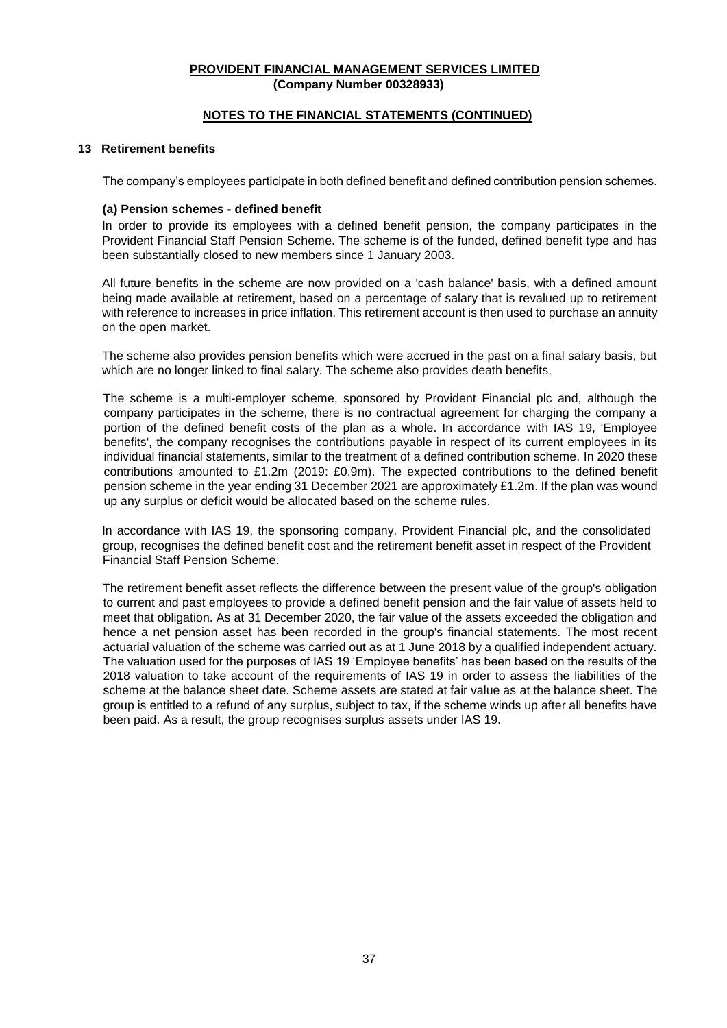# **NOTES TO THE FINANCIAL STATEMENTS (CONTINUED)**

# **13 Retirement benefits**

The company's employees participate in both defined benefit and defined contribution pension schemes.

#### **(a) Pension schemes - defined benefit**

In order to provide its employees with a defined benefit pension, the company participates in the Provident Financial Staff Pension Scheme. The scheme is of the funded, defined benefit type and has been substantially closed to new members since 1 January 2003.

All future benefits in the scheme are now provided on a 'cash balance' basis, with a defined amount being made available at retirement, based on a percentage of salary that is revalued up to retirement with reference to increases in price inflation. This retirement account is then used to purchase an annuity on the open market.

The scheme also provides pension benefits which were accrued in the past on a final salary basis, but which are no longer linked to final salary. The scheme also provides death benefits.

The scheme is a multi-employer scheme, sponsored by Provident Financial plc and, although the company participates in the scheme, there is no contractual agreement for charging the company a portion of the defined benefit costs of the plan as a whole. In accordance with IAS 19, 'Employee benefits', the company recognises the contributions payable in respect of its current employees in its individual financial statements, similar to the treatment of a defined contribution scheme. In 2020 these contributions amounted to £1.2m (2019: £0.9m). The expected contributions to the defined benefit pension scheme in the year ending 31 December 2021 are approximately £1.2m. If the plan was wound up any surplus or deficit would be allocated based on the scheme rules.

In accordance with IAS 19, the sponsoring company, Provident Financial plc, and the consolidated group, recognises the defined benefit cost and the retirement benefit asset in respect of the Provident Financial Staff Pension Scheme.

The retirement benefit asset reflects the difference between the present value of the group's obligation to current and past employees to provide a defined benefit pension and the fair value of assets held to meet that obligation. As at 31 December 2020, the fair value of the assets exceeded the obligation and hence a net pension asset has been recorded in the group's financial statements. The most recent actuarial valuation of the scheme was carried out as at 1 June 2018 by a qualified independent actuary. The valuation used for the purposes of IAS 19 'Employee benefits' has been based on the results of the 2018 valuation to take account of the requirements of IAS 19 in order to assess the liabilities of the scheme at the balance sheet date. Scheme assets are stated at fair value as at the balance sheet. The group is entitled to a refund of any surplus, subject to tax, if the scheme winds up after all benefits have been paid. As a result, the group recognises surplus assets under IAS 19.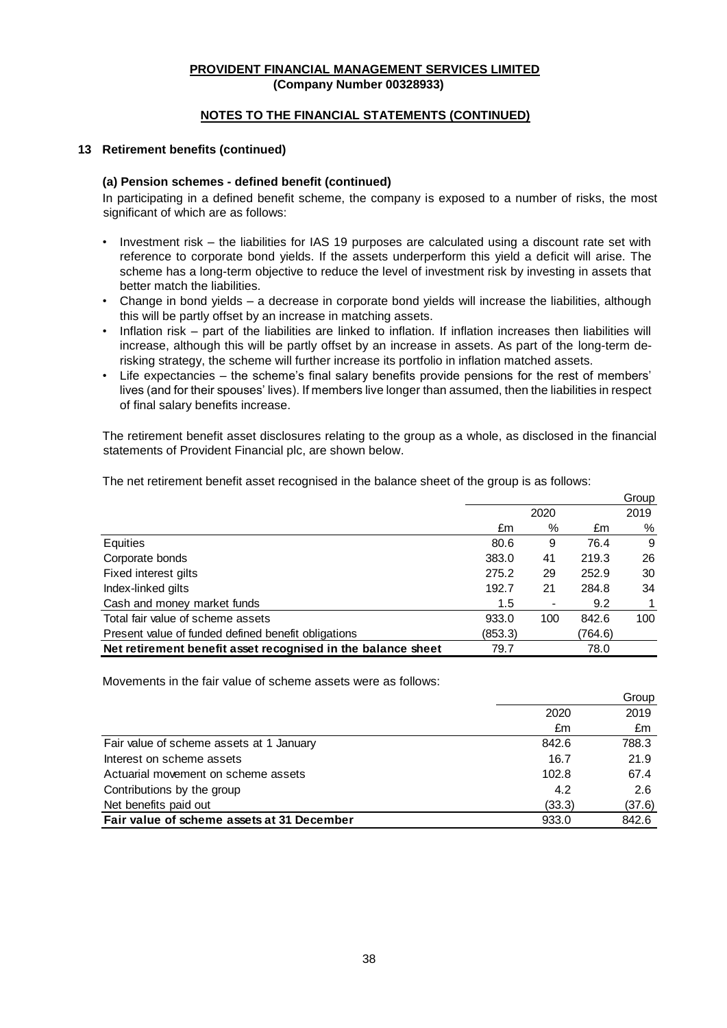# **NOTES TO THE FINANCIAL STATEMENTS (CONTINUED)**

#### **13 Retirement benefits (continued)**

# **(a) Pension schemes - defined benefit (continued)**

In participating in a defined benefit scheme, the company is exposed to a number of risks, the most significant of which are as follows:

- Investment risk the liabilities for IAS 19 purposes are calculated using a discount rate set with reference to corporate bond yields. If the assets underperform this yield a deficit will arise. The scheme has a long-term objective to reduce the level of investment risk by investing in assets that better match the liabilities.
- Change in bond yields a decrease in corporate bond yields will increase the liabilities, although this will be partly offset by an increase in matching assets.
- Inflation risk part of the liabilities are linked to inflation. If inflation increases then liabilities will increase, although this will be partly offset by an increase in assets. As part of the long-term derisking strategy, the scheme will further increase its portfolio in inflation matched assets.
- Life expectancies the scheme's final salary benefits provide pensions for the rest of members' lives (and for their spouses' lives). If members live longer than assumed, then the liabilities in respect of final salary benefits increase.

The retirement benefit asset disclosures relating to the group as a whole, as disclosed in the financial statements of Provident Financial plc, are shown below.

|                                                              |         |      |         | Group |
|--------------------------------------------------------------|---------|------|---------|-------|
|                                                              |         | 2020 |         | 2019  |
|                                                              | £m      | %    | £m      | %     |
| Equities                                                     | 80.6    | 9    | 76.4    | 9     |
| Corporate bonds                                              | 383.0   | 41   | 219.3   | 26    |
| Fixed interest gilts                                         | 275.2   | 29   | 252.9   | 30    |
| Index-linked gilts                                           | 192.7   | 21   | 284.8   | 34    |
| Cash and money market funds                                  | 1.5     |      | 9.2     |       |
| Total fair value of scheme assets                            | 933.0   | 100  | 842.6   | 100   |
| Present value of funded defined benefit obligations          | (853.3) |      | (764.6) |       |
| Net retirement benefit asset recognised in the balance sheet | 79.7    |      | 78.0    |       |

The net retirement benefit asset recognised in the balance sheet of the group is as follows:

Movements in the fair value of scheme assets were as follows:

|                                            |        | Group  |
|--------------------------------------------|--------|--------|
|                                            | 2020   | 2019   |
|                                            | £m     | £m     |
| Fair value of scheme assets at 1 January   | 842.6  | 788.3  |
| Interest on scheme assets                  | 16.7   | 21.9   |
| Actuarial movement on scheme assets        | 102.8  | 67.4   |
| Contributions by the group                 | 4.2    | 2.6    |
| Net benefits paid out                      | (33.3) | (37.6) |
| Fair value of scheme assets at 31 December | 933.0  | 842.6  |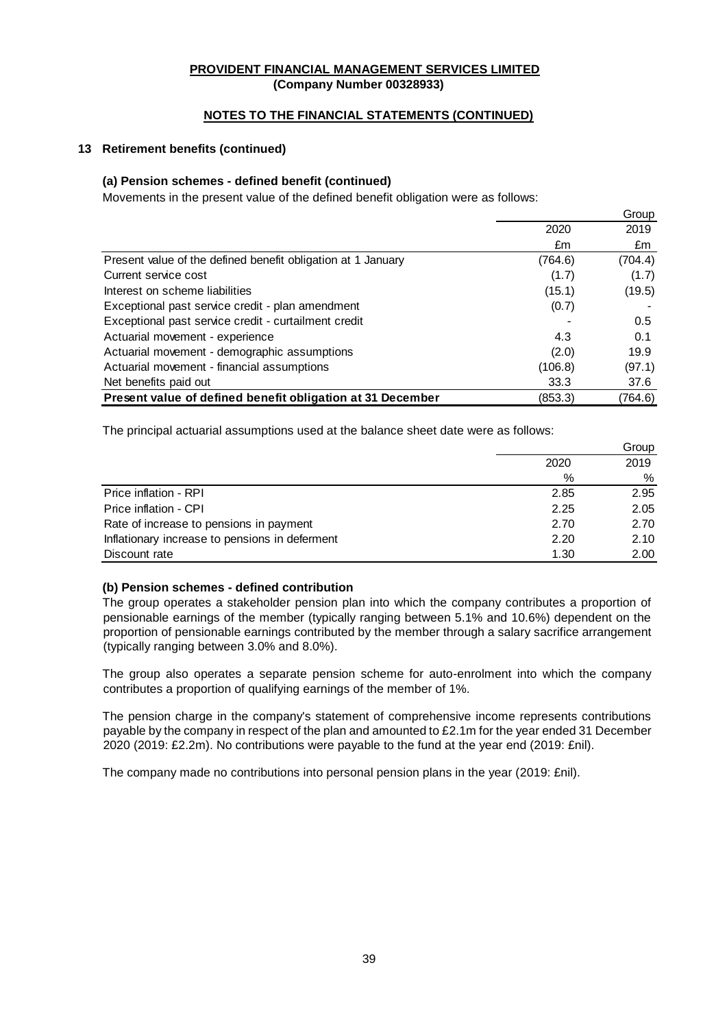# **NOTES TO THE FINANCIAL STATEMENTS (CONTINUED)**

# **13 Retirement benefits (continued)**

# **(a) Pension schemes - defined benefit (continued)**

Movements in the present value of the defined benefit obligation were as follows:

|                                                              |         | uuuu    |
|--------------------------------------------------------------|---------|---------|
|                                                              | 2020    | 2019    |
|                                                              | £m      | £m      |
| Present value of the defined benefit obligation at 1 January | (764.6) | (704.4) |
| Current service cost                                         | (1.7)   | (1.7)   |
| Interest on scheme liabilities                               | (15.1)  | (19.5)  |
| Exceptional past service credit - plan amendment             | (0.7)   |         |
| Exceptional past service credit - curtailment credit         |         | 0.5     |
| Actuarial movement - experience                              | 4.3     | 0.1     |
| Actuarial movement - demographic assumptions                 | (2.0)   | 19.9    |
| Actuarial movement - financial assumptions                   | (106.8) | (97.1)  |
| Net benefits paid out                                        | 33.3    | 37.6    |
| Present value of defined benefit obligation at 31 December   | (853.3) | (764.6) |

 $G_{\text{max}}$ 

The principal actuarial assumptions used at the balance sheet date were as follows:

|                                                |      | Group |
|------------------------------------------------|------|-------|
|                                                | 2020 | 2019  |
|                                                | %    | $\%$  |
| Price inflation - RPI                          | 2.85 | 2.95  |
| Price inflation - CPI                          | 2.25 | 2.05  |
| Rate of increase to pensions in payment        | 2.70 | 2.70  |
| Inflationary increase to pensions in deferment | 2.20 | 2.10  |
| Discount rate                                  | 1.30 | 2.00  |

# **(b) Pension schemes - defined contribution**

The group operates a stakeholder pension plan into which the company contributes a proportion of pensionable earnings of the member (typically ranging between 5.1% and 10.6%) dependent on the proportion of pensionable earnings contributed by the member through a salary sacrifice arrangement (typically ranging between 3.0% and 8.0%).

The group also operates a separate pension scheme for auto-enrolment into which the company contributes a proportion of qualifying earnings of the member of 1%.

The pension charge in the company's statement of comprehensive income represents contributions payable by the company in respect of the plan and amounted to £2.1m for the year ended 31 December 2020 (2019: £2.2m). No contributions were payable to the fund at the year end (2019: £nil).

The company made no contributions into personal pension plans in the year (2019: £nil).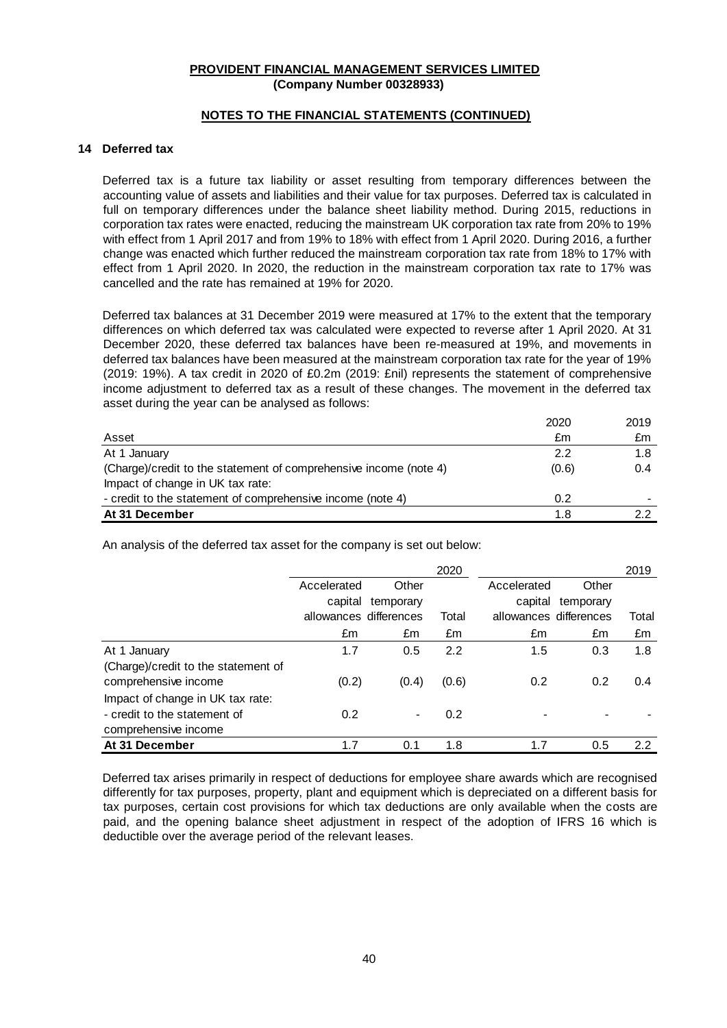# **NOTES TO THE FINANCIAL STATEMENTS (CONTINUED)**

### **14 Deferred tax**

Deferred tax is a future tax liability or asset resulting from temporary differences between the accounting value of assets and liabilities and their value for tax purposes. Deferred tax is calculated in full on temporary differences under the balance sheet liability method. During 2015, reductions in corporation tax rates were enacted, reducing the mainstream UK corporation tax rate from 20% to 19% with effect from 1 April 2017 and from 19% to 18% with effect from 1 April 2020. During 2016, a further change was enacted which further reduced the mainstream corporation tax rate from 18% to 17% with effect from 1 April 2020. In 2020, the reduction in the mainstream corporation tax rate to 17% was cancelled and the rate has remained at 19% for 2020.

Deferred tax balances at 31 December 2019 were measured at 17% to the extent that the temporary differences on which deferred tax was calculated were expected to reverse after 1 April 2020. At 31 December 2020, these deferred tax balances have been re-measured at 19%, and movements in deferred tax balances have been measured at the mainstream corporation tax rate for the year of 19% (2019: 19%). A tax credit in 2020 of £0.2m (2019: £nil) represents the statement of comprehensive income adjustment to deferred tax as a result of these changes. The movement in the deferred tax asset during the year can be analysed as follows:

|                                                                   | 2020  | 2019 |
|-------------------------------------------------------------------|-------|------|
| Asset                                                             | £m    | £m   |
| At 1 January                                                      | 2.2   | 1.8  |
| (Charge)/credit to the statement of comprehensive income (note 4) | (0.6) | 0.4  |
| Impact of change in UK tax rate:                                  |       |      |
| - credit to the statement of comprehensive income (note 4)        | 0.2   |      |
| At 31 December                                                    | 1.8   | っっ   |

An analysis of the deferred tax asset for the company is set out below:

|                                                                                          |                        |                | 2020  |                        |           | 2019  |
|------------------------------------------------------------------------------------------|------------------------|----------------|-------|------------------------|-----------|-------|
|                                                                                          | Accelerated            | Other          |       | Accelerated            | Other     |       |
|                                                                                          | capital                | temporary      |       | capital                | temporary |       |
|                                                                                          | allowances differences |                | Total | allowances differences |           | Total |
|                                                                                          | £m                     | £m             | £m    | £m                     | £m        | £m    |
| At 1 January                                                                             | 1.7                    | 0.5            | 2.2   | 1.5                    | 0.3       | 1.8   |
| (Charge)/credit to the statement of<br>comprehensive income                              | (0.2)                  | (0.4)          | (0.6) | 0.2                    | 0.2       | 0.4   |
| Impact of change in UK tax rate:<br>- credit to the statement of<br>comprehensive income | 0.2                    | $\blacksquare$ | 0.2   | $\blacksquare$         |           |       |
| At 31 December                                                                           | 1.7                    | 0.1            | 1.8   | 1.7                    | 0.5       | 2.2   |

Deferred tax arises primarily in respect of deductions for employee share awards which are recognised differently for tax purposes, property, plant and equipment which is depreciated on a different basis for tax purposes, certain cost provisions for which tax deductions are only available when the costs are paid, and the opening balance sheet adjustment in respect of the adoption of IFRS 16 which is deductible over the average period of the relevant leases.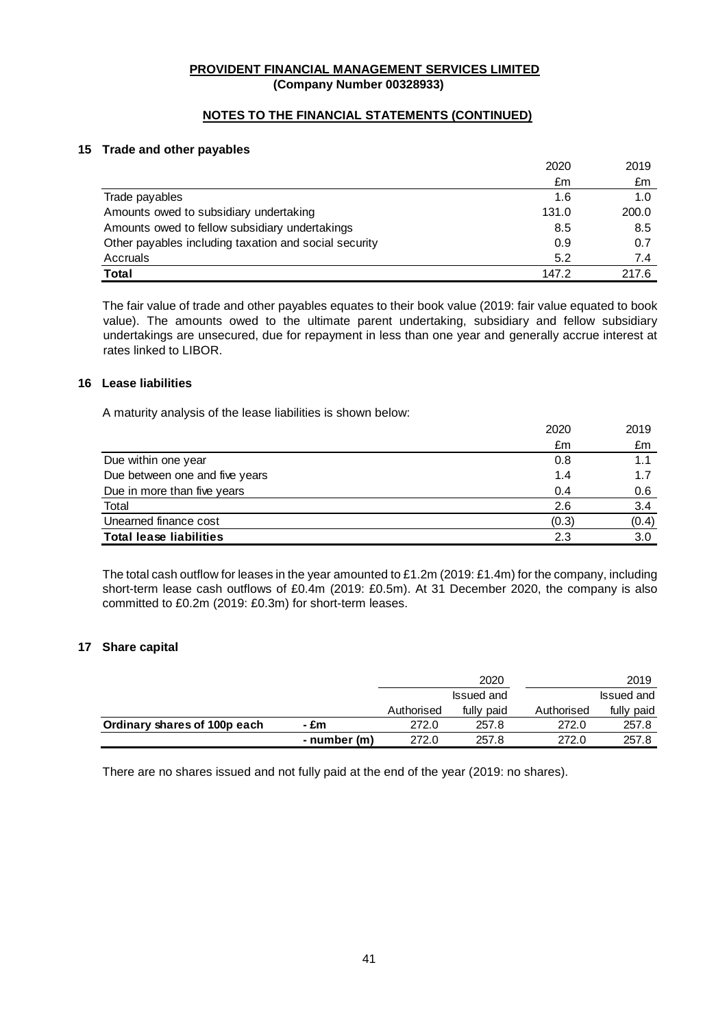# **NOTES TO THE FINANCIAL STATEMENTS (CONTINUED)**

# **15 Trade and other payables**

|                                                       | 2020  | 2019  |
|-------------------------------------------------------|-------|-------|
|                                                       | £m    | £m    |
| Trade payables                                        | 1.6   | 1.0   |
| Amounts owed to subsidiary undertaking                | 131.0 | 200.0 |
| Amounts owed to fellow subsidiary undertakings        | 8.5   | 8.5   |
| Other payables including taxation and social security | 0.9   | 0.7   |
| Accruals                                              | 5.2   | 7.4   |
| Total                                                 | 147.2 | 217.6 |

The fair value of trade and other payables equates to their book value (2019: fair value equated to book value). The amounts owed to the ultimate parent undertaking, subsidiary and fellow subsidiary undertakings are unsecured, due for repayment in less than one year and generally accrue interest at rates linked to LIBOR.

#### **16 Lease liabilities**

A maturity analysis of the lease liabilities is shown below:

|                                | 2020<br>£m | 2019<br>£m |
|--------------------------------|------------|------------|
| Due within one year            | 0.8        | 1.1        |
| Due between one and five years | 1.4        | 1.7        |
| Due in more than five years    | 0.4        | 0.6        |
| Total                          | 2.6        | 3.4        |
| Unearned finance cost          | (0.3)      | (0.4)      |
| <b>Total lease liabilities</b> | 2.3        | 3.0        |

The total cash outflow for leases in the year amounted to £1.2m (2019: £1.4m) for the company, including short-term lease cash outflows of £0.4m (2019: £0.5m). At 31 December 2020, the company is also committed to £0.2m (2019: £0.3m) for short-term leases.

# **17 Share capital**

|                              |              | 2020       |            |            | 2019       |
|------------------------------|--------------|------------|------------|------------|------------|
|                              |              |            | Issued and |            | Issued and |
|                              |              | Authorised | fully paid | Authorised | fully paid |
| Ordinary shares of 100p each | - £m         | 272.0      | 257.8      | 272.0      | 257.8      |
|                              | - number (m) | 272.0      | 257.8      | 272.0      | 257.8      |

There are no shares issued and not fully paid at the end of the year (2019: no shares).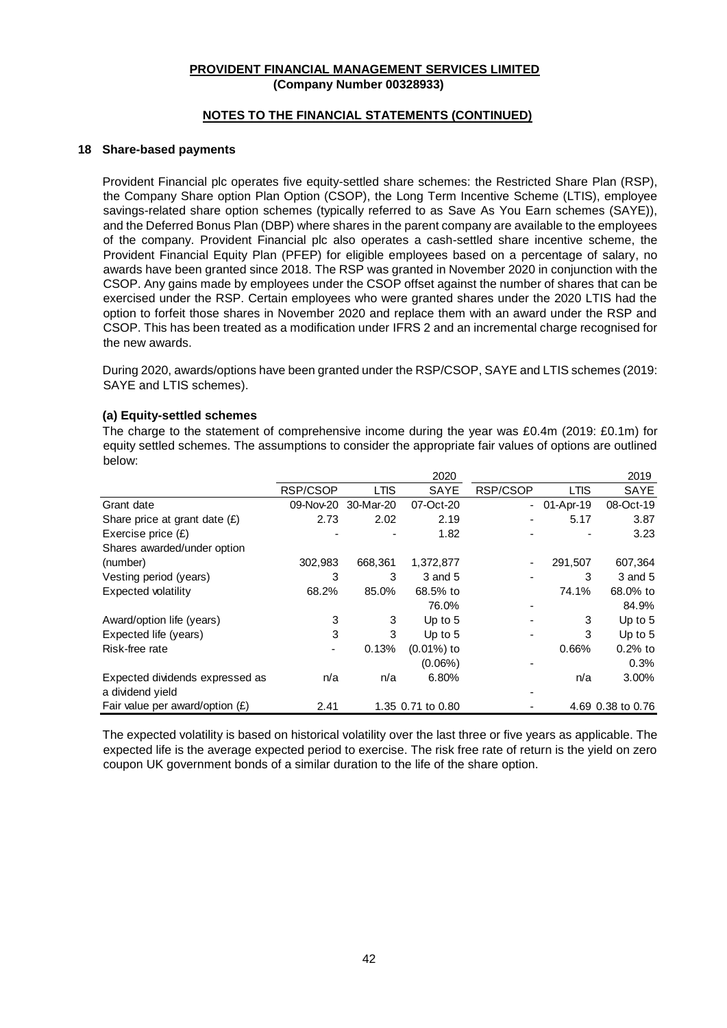# **NOTES TO THE FINANCIAL STATEMENTS (CONTINUED)**

#### **18 Share-based payments**

Provident Financial plc operates five equity-settled share schemes: the Restricted Share Plan (RSP), the Company Share option Plan Option (CSOP), the Long Term Incentive Scheme (LTIS), employee savings-related share option schemes (typically referred to as Save As You Earn schemes (SAYE)), and the Deferred Bonus Plan (DBP) where shares in the parent company are available to the employees of the company. Provident Financial plc also operates a cash-settled share incentive scheme, the Provident Financial Equity Plan (PFEP) for eligible employees based on a percentage of salary, no awards have been granted since 2018. The RSP was granted in November 2020 in conjunction with the CSOP. Any gains made by employees under the CSOP offset against the number of shares that can be exercised under the RSP. Certain employees who were granted shares under the 2020 LTIS had the option to forfeit those shares in November 2020 and replace them with an award under the RSP and CSOP. This has been treated as a modification under IFRS 2 and an incremental charge recognised for the new awards.

During 2020, awards/options have been granted under the RSP/CSOP, SAYE and LTIS schemes (2019: SAYE and LTIS schemes).

# **(a) Equity-settled schemes**

The charge to the statement of comprehensive income during the year was £0.4m (2019: £0.1m) for equity settled schemes. The assumptions to consider the appropriate fair values of options are outlined below:

|                                   |                          |             | 2020              |                 |             | 2019              |
|-----------------------------------|--------------------------|-------------|-------------------|-----------------|-------------|-------------------|
|                                   | <b>RSP/CSOP</b>          | <b>LTIS</b> | <b>SAYE</b>       | <b>RSP/CSOP</b> | <b>LTIS</b> | SAYE              |
| Grant date                        | 09-Nov-20                | 30-Mar-20   | 07-Oct-20         | ۰.              | 01-Apr-19   | 08-Oct-19         |
| Share price at grant date $(E)$   | 2.73                     | 2.02        | 2.19              |                 | 5.17        | 3.87              |
| Exercise price $(E)$              |                          |             | 1.82              |                 |             | 3.23              |
| Shares awarded/under option       |                          |             |                   |                 |             |                   |
| (number)                          | 302,983                  | 668,361     | 1,372,877         |                 | 291,507     | 607,364           |
| Vesting period (years)            | 3                        | 3           | 3 and 5           |                 | 3           | 3 and 5           |
| <b>Expected volatility</b>        | 68.2%                    | 85.0%       | 68.5% to          |                 | 74.1%       | 68.0% to          |
|                                   |                          |             | 76.0%             |                 |             | 84.9%             |
| Award/option life (years)         | 3                        | 3           | Up to $5$         |                 | 3           | Up to $5$         |
| Expected life (years)             | 3                        | 3           | Up to $5$         |                 | 3           | Up to $5$         |
| Risk-free rate                    | $\overline{\phantom{0}}$ | 0.13%       | $(0.01\%)$ to     |                 | 0.66%       | $0.2%$ to         |
|                                   |                          |             | $(0.06\%)$        |                 |             | 0.3%              |
| Expected dividends expressed as   | n/a                      | n/a         | 6.80%             |                 | n/a         | 3.00%             |
| a dividend yield                  |                          |             |                   |                 |             |                   |
| Fair value per award/option $(E)$ | 2.41                     |             | 1.35 0.71 to 0.80 |                 |             | 4.69 0.38 to 0.76 |

The expected volatility is based on historical volatility over the last three or five years as applicable. The expected life is the average expected period to exercise. The risk free rate of return is the yield on zero coupon UK government bonds of a similar duration to the life of the share option.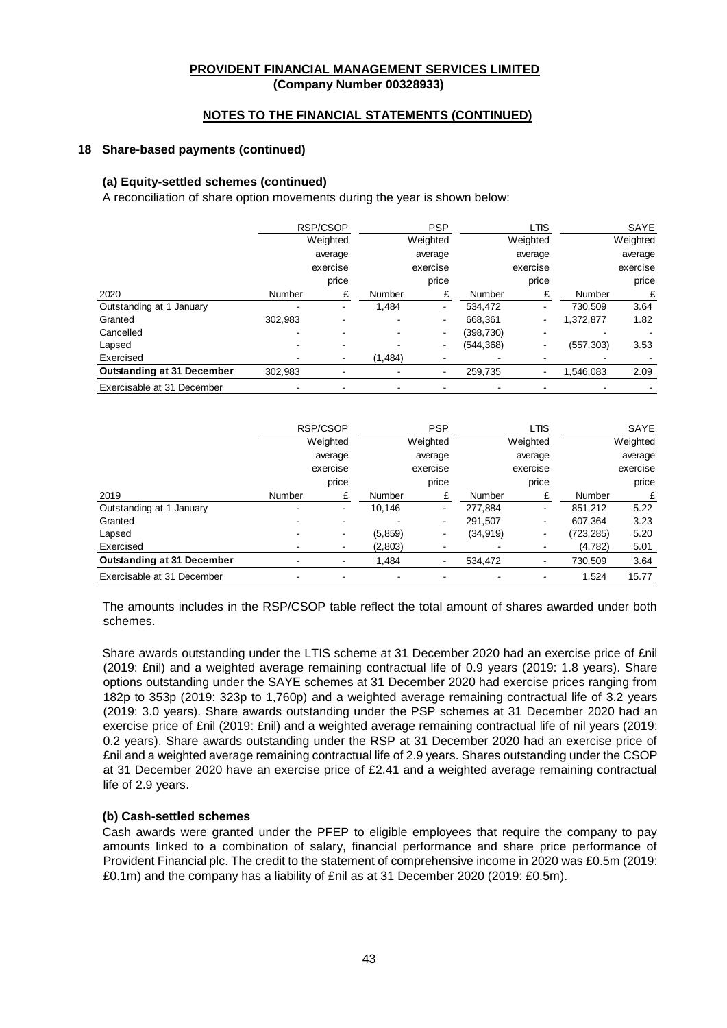# **NOTES TO THE FINANCIAL STATEMENTS (CONTINUED)**

#### **18 Share-based payments (continued)**

#### **(a) Equity-settled schemes (continued)**

A reconciliation of share option movements during the year is shown below:

|                                   | <b>RSP/CSOP</b> |          | <b>PSP</b> |                          | <b>LTIS</b> |                          | SAYE       |       |
|-----------------------------------|-----------------|----------|------------|--------------------------|-------------|--------------------------|------------|-------|
|                                   | Weighted        |          | Weighted   |                          | Weighted    |                          | Weighted   |       |
|                                   | average         |          | average    |                          | average     |                          | average    |       |
|                                   |                 | exercise | exercise   |                          | exercise    |                          | exercise   |       |
|                                   |                 | price    |            | price                    |             | price                    |            | price |
| 2020                              | Number          | £        | Number     | £                        | Number      | £                        | Number     | £     |
| Outstanding at 1 January          |                 | ۰        | 1,484      | $\overline{\phantom{0}}$ | 534,472     | ۰                        | 730.509    | 3.64  |
| Granted                           | 302.983         | -        |            | $\blacksquare$           | 668.361     | $\overline{\phantom{a}}$ | 1,372,877  | 1.82  |
| Cancelled                         |                 |          |            | $\overline{\phantom{a}}$ | (398, 730)  |                          |            |       |
| Lapsed                            |                 |          |            | $\blacksquare$           | (544, 368)  |                          | (557, 303) | 3.53  |
| Exercised                         |                 |          | (1,484)    |                          |             |                          |            |       |
| <b>Outstanding at 31 December</b> | 302.983         |          | -          | $\overline{\phantom{a}}$ | 259,735     |                          | 1,546,083  | 2.09  |
| Exercisable at 31 December        |                 |          |            |                          |             |                          |            |       |

|                                   |                     | RSP/CSOP                     |                     | <b>PSP</b>               |                     | <b>LTIS</b>    |           | SAYE                |
|-----------------------------------|---------------------|------------------------------|---------------------|--------------------------|---------------------|----------------|-----------|---------------------|
|                                   |                     | Weighted                     | Weighted            |                          | Weighted            |                | Weighted  |                     |
|                                   | average<br>exercise |                              | average<br>exercise |                          | average<br>exercise |                |           | average<br>exercise |
|                                   |                     | price                        |                     | price                    |                     | price          |           | price               |
| 2019                              | Number              | £                            | Number              | £                        | Number              | £              | Number    | £                   |
| Outstanding at 1 January          |                     | ۰                            | 10,146              | $\overline{\phantom{a}}$ | 277,884             | $\blacksquare$ | 851,212   | 5.22                |
| Granted                           |                     | ۰                            | -                   | $\overline{\phantom{a}}$ | 291,507             | $\blacksquare$ | 607.364   | 3.23                |
| Lapsed                            |                     | ۰                            | (5, 859)            | ٠                        | (34, 919)           | ۰              | (723,285) | 5.20                |
| Exercised                         |                     | ۰                            | (2,803)             |                          |                     |                | (4,782)   | 5.01                |
| <b>Outstanding at 31 December</b> |                     | $\qquad \qquad \blacksquare$ | 1,484               | $\overline{\phantom{a}}$ | 534,472             |                | 730,509   | 3.64                |
| Exercisable at 31 December        |                     |                              | -                   |                          |                     |                | 1.524     | 15.77               |

The amounts includes in the RSP/CSOP table reflect the total amount of shares awarded under both schemes.

Share awards outstanding under the LTIS scheme at 31 December 2020 had an exercise price of £nil (2019: £nil) and a weighted average remaining contractual life of 0.9 years (2019: 1.8 years). Share options outstanding under the SAYE schemes at 31 December 2020 had exercise prices ranging from 182p to 353p (2019: 323p to 1,760p) and a weighted average remaining contractual life of 3.2 years (2019: 3.0 years). Share awards outstanding under the PSP schemes at 31 December 2020 had an exercise price of £nil (2019: £nil) and a weighted average remaining contractual life of nil years (2019: 0.2 years). Share awards outstanding under the RSP at 31 December 2020 had an exercise price of £nil and a weighted average remaining contractual life of 2.9 years. Shares outstanding under the CSOP at 31 December 2020 have an exercise price of £2.41 and a weighted average remaining contractual life of 2.9 years.

# **(b) Cash-settled schemes**

Cash awards were granted under the PFEP to eligible employees that require the company to pay amounts linked to a combination of salary, financial performance and share price performance of Provident Financial plc. The credit to the statement of comprehensive income in 2020 was £0.5m (2019: £0.1m) and the company has a liability of £nil as at 31 December 2020 (2019: £0.5m).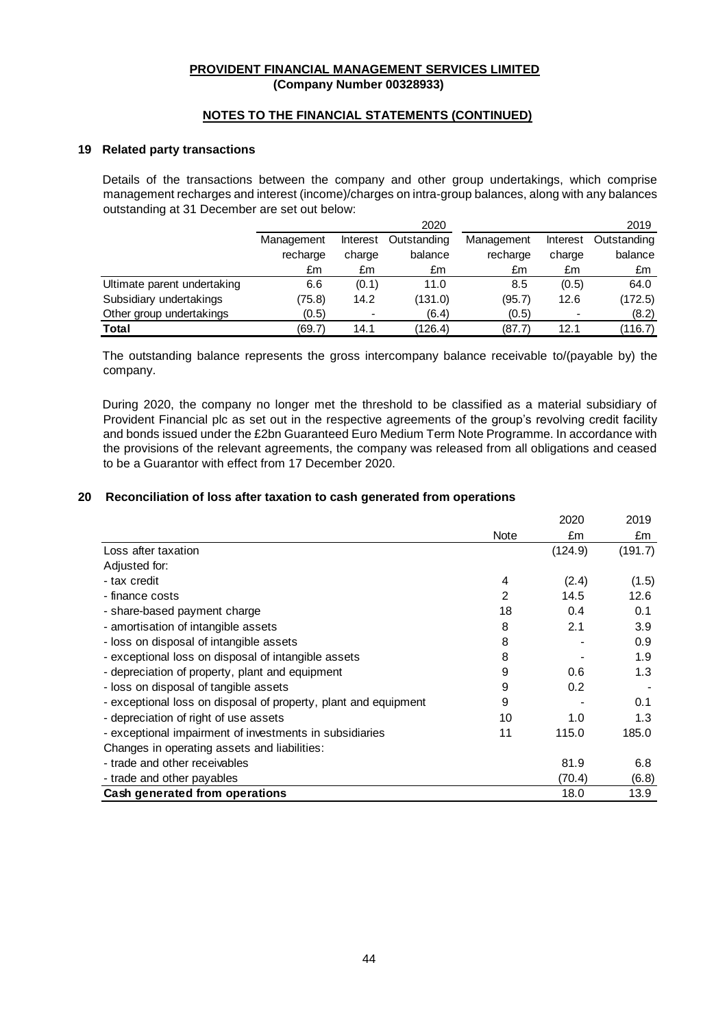# **NOTES TO THE FINANCIAL STATEMENTS (CONTINUED)**

#### **19 Related party transactions**

Details of the transactions between the company and other group undertakings, which comprise management recharges and interest (income)/charges on intra-group balances, along with any balances outstanding at 31 December are set out below:

|                             |            |          | 2020        |            |          | 2019        |
|-----------------------------|------------|----------|-------------|------------|----------|-------------|
|                             | Management | Interest | Outstanding | Management | Interest | Outstanding |
|                             | recharge   | charge   | balance     | recharge   | charge   | balance     |
|                             | £m         | £m       | £m          | £m         | £m       | £m          |
| Ultimate parent undertaking | 6.6        | (0.1)    | 11.0        | 8.5        | (0.5)    | 64.0        |
| Subsidiary undertakings     | (75.8)     | 14.2     | (131.0)     | (95.7)     | 12.6     | (172.5)     |
| Other group undertakings    | (0.5)      | $\,$     | (6.4)       | (0.5)      |          | (8.2)       |
| Total                       | (69.7)     | 14.1     | (126.4)     | (87.7)     | 12.1     | (116.7)     |

The outstanding balance represents the gross intercompany balance receivable to/(payable by) the company.

During 2020, the company no longer met the threshold to be classified as a material subsidiary of Provident Financial plc as set out in the respective agreements of the group's revolving credit facility and bonds issued under the £2bn Guaranteed Euro Medium Term Note Programme. In accordance with the provisions of the relevant agreements, the company was released from all obligations and ceased to be a Guarantor with effect from 17 December 2020.

# **20 Reconciliation of loss after taxation to cash generated from operations**

|                                                                 |             | 2020    | 2019    |
|-----------------------------------------------------------------|-------------|---------|---------|
|                                                                 | <b>Note</b> | £m      | £m      |
| Loss after taxation                                             |             | (124.9) | (191.7) |
| Adjusted for:                                                   |             |         |         |
| - tax credit                                                    | 4           | (2.4)   | (1.5)   |
| - finance costs                                                 | 2           | 14.5    | 12.6    |
| - share-based payment charge                                    | 18          | 0.4     | 0.1     |
| - amortisation of intangible assets                             | 8           | 2.1     | 3.9     |
| - loss on disposal of intangible assets                         | 8           |         | 0.9     |
| - exceptional loss on disposal of intangible assets             | 8           |         | 1.9     |
| - depreciation of property, plant and equipment                 | 9           | 0.6     | 1.3     |
| - loss on disposal of tangible assets                           | 9           | 0.2     |         |
| - exceptional loss on disposal of property, plant and equipment | 9           |         | 0.1     |
| - depreciation of right of use assets                           | 10          | 1.0     | 1.3     |
| - exceptional impairment of investments in subsidiaries         | 11          | 115.0   | 185.0   |
| Changes in operating assets and liabilities:                    |             |         |         |
| - trade and other receivables                                   |             | 81.9    | 6.8     |
| - trade and other payables                                      |             | (70.4)  | (6.8)   |
| Cash generated from operations                                  |             | 18.0    | 13.9    |